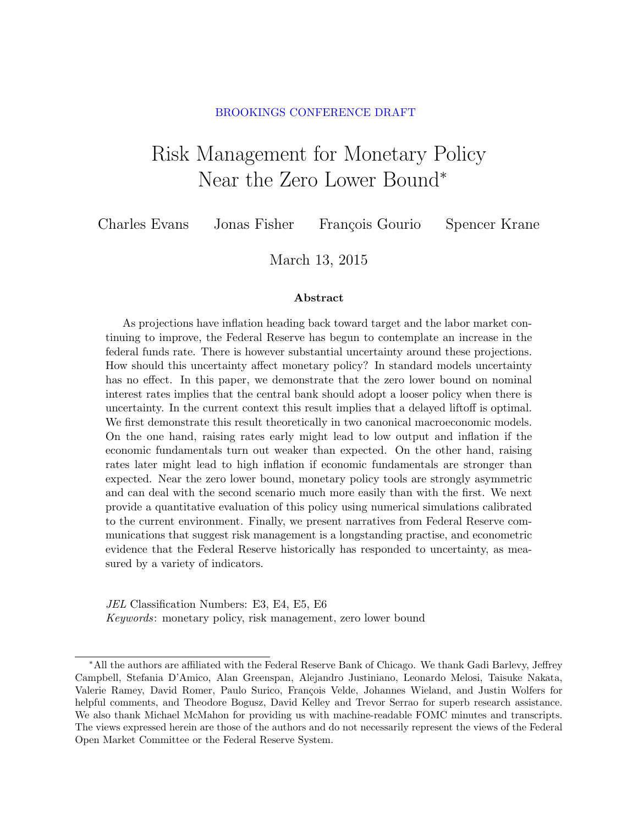#### BROOKINGS CONFERENCE DRAFT

# <span id="page-0-0"></span>Risk Management for Monetary Policy Near the Zero Lower Bound<sup>∗</sup>

Charles Evans Jonas Fisher François Gourio Spencer Krane

March 13, 2015

#### Abstract

As projections have inflation heading back toward target and the labor market continuing to improve, the Federal Reserve has begun to contemplate an increase in the federal funds rate. There is however substantial uncertainty around these projections. How should this uncertainty affect monetary policy? In standard models uncertainty has no effect. In this paper, we demonstrate that the zero lower bound on nominal interest rates implies that the central bank should adopt a looser policy when there is uncertainty. In the current context this result implies that a delayed liftoff is optimal. We first demonstrate this result theoretically in two canonical macroeconomic models. On the one hand, raising rates early might lead to low output and inflation if the economic fundamentals turn out weaker than expected. On the other hand, raising rates later might lead to high inflation if economic fundamentals are stronger than expected. Near the zero lower bound, monetary policy tools are strongly asymmetric and can deal with the second scenario much more easily than with the first. We next provide a quantitative evaluation of this policy using numerical simulations calibrated to the current environment. Finally, we present narratives from Federal Reserve communications that suggest risk management is a longstanding practise, and econometric evidence that the Federal Reserve historically has responded to uncertainty, as measured by a variety of indicators.

JEL Classification Numbers: E3, E4, E5, E6 Keywords: monetary policy, risk management, zero lower bound

<sup>∗</sup>All the authors are affiliated with the Federal Reserve Bank of Chicago. We thank Gadi Barlevy, Jeffrey Campbell, Stefania D'Amico, Alan Greenspan, Alejandro Justiniano, Leonardo Melosi, Taisuke Nakata, Valerie Ramey, David Romer, Paulo Surico, François Velde, Johannes Wieland, and Justin Wolfers for helpful comments, and Theodore Bogusz, David Kelley and Trevor Serrao for superb research assistance. We also thank Michael McMahon for providing us with machine-readable FOMC minutes and transcripts. The views expressed herein are those of the authors and do not necessarily represent the views of the Federal Open Market Committee or the Federal Reserve System.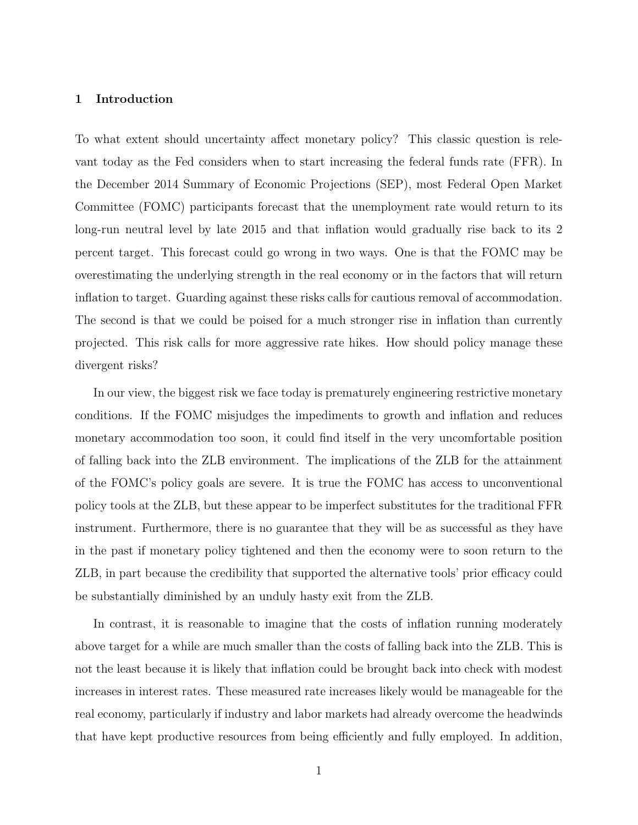#### 1 Introduction

To what extent should uncertainty affect monetary policy? This classic question is relevant today as the Fed considers when to start increasing the federal funds rate (FFR). In the December 2014 Summary of Economic Projections (SEP), most Federal Open Market Committee (FOMC) participants forecast that the unemployment rate would return to its long-run neutral level by late 2015 and that inflation would gradually rise back to its 2 percent target. This forecast could go wrong in two ways. One is that the FOMC may be overestimating the underlying strength in the real economy or in the factors that will return inflation to target. Guarding against these risks calls for cautious removal of accommodation. The second is that we could be poised for a much stronger rise in inflation than currently projected. This risk calls for more aggressive rate hikes. How should policy manage these divergent risks?

In our view, the biggest risk we face today is prematurely engineering restrictive monetary conditions. If the FOMC misjudges the impediments to growth and inflation and reduces monetary accommodation too soon, it could find itself in the very uncomfortable position of falling back into the ZLB environment. The implications of the ZLB for the attainment of the FOMC's policy goals are severe. It is true the FOMC has access to unconventional policy tools at the ZLB, but these appear to be imperfect substitutes for the traditional FFR instrument. Furthermore, there is no guarantee that they will be as successful as they have in the past if monetary policy tightened and then the economy were to soon return to the ZLB, in part because the credibility that supported the alternative tools' prior efficacy could be substantially diminished by an unduly hasty exit from the ZLB.

In contrast, it is reasonable to imagine that the costs of inflation running moderately above target for a while are much smaller than the costs of falling back into the ZLB. This is not the least because it is likely that inflation could be brought back into check with modest increases in interest rates. These measured rate increases likely would be manageable for the real economy, particularly if industry and labor markets had already overcome the headwinds that have kept productive resources from being efficiently and fully employed. In addition,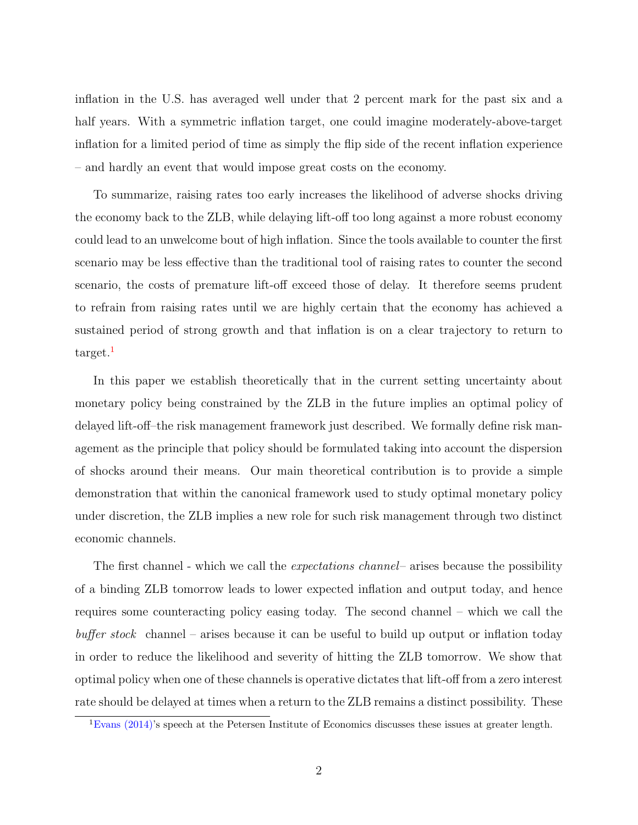inflation in the U.S. has averaged well under that 2 percent mark for the past six and a half years. With a symmetric inflation target, one could imagine moderately-above-target inflation for a limited period of time as simply the flip side of the recent inflation experience – and hardly an event that would impose great costs on the economy.

To summarize, raising rates too early increases the likelihood of adverse shocks driving the economy back to the ZLB, while delaying lift-off too long against a more robust economy could lead to an unwelcome bout of high inflation. Since the tools available to counter the first scenario may be less effective than the traditional tool of raising rates to counter the second scenario, the costs of premature lift-off exceed those of delay. It therefore seems prudent to refrain from raising rates until we are highly certain that the economy has achieved a sustained period of strong growth and that inflation is on a clear trajectory to return to  $\text{target.}$ 

In this paper we establish theoretically that in the current setting uncertainty about monetary policy being constrained by the ZLB in the future implies an optimal policy of delayed lift-off–the risk management framework just described. We formally define risk management as the principle that policy should be formulated taking into account the dispersion of shocks around their means. Our main theoretical contribution is to provide a simple demonstration that within the canonical framework used to study optimal monetary policy under discretion, the ZLB implies a new role for such risk management through two distinct economic channels.

The first channel - which we call the *expectations channel* – arises because the possibility of a binding ZLB tomorrow leads to lower expected inflation and output today, and hence requires some counteracting policy easing today. The second channel – which we call the  $buffer \ stock$  channel – arises because it can be useful to build up output or inflation today in order to reduce the likelihood and severity of hitting the ZLB tomorrow. We show that optimal policy when one of these channels is operative dictates that lift-off from a zero interest rate should be delayed at times when a return to the ZLB remains a distinct possibility. These

 ${}^{1}$ [Evans](#page-58-0) [\(2014\)](#page-58-0)'s speech at the Petersen Institute of Economics discusses these issues at greater length.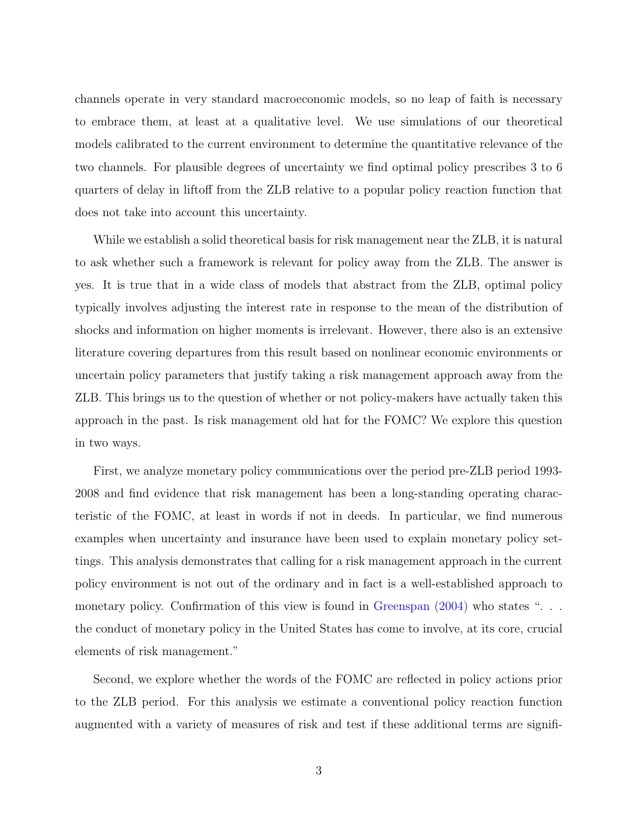channels operate in very standard macroeconomic models, so no leap of faith is necessary to embrace them, at least at a qualitative level. We use simulations of our theoretical models calibrated to the current environment to determine the quantitative relevance of the two channels. For plausible degrees of uncertainty we find optimal policy prescribes 3 to 6 quarters of delay in liftoff from the ZLB relative to a popular policy reaction function that does not take into account this uncertainty.

While we establish a solid theoretical basis for risk management near the ZLB, it is natural to ask whether such a framework is relevant for policy away from the ZLB. The answer is yes. It is true that in a wide class of models that abstract from the ZLB, optimal policy typically involves adjusting the interest rate in response to the mean of the distribution of shocks and information on higher moments is irrelevant. However, there also is an extensive literature covering departures from this result based on nonlinear economic environments or uncertain policy parameters that justify taking a risk management approach away from the ZLB. This brings us to the question of whether or not policy-makers have actually taken this approach in the past. Is risk management old hat for the FOMC? We explore this question in two ways.

First, we analyze monetary policy communications over the period pre-ZLB period 1993- 2008 and find evidence that risk management has been a long-standing operating characteristic of the FOMC, at least in words if not in deeds. In particular, we find numerous examples when uncertainty and insurance have been used to explain monetary policy settings. This analysis demonstrates that calling for a risk management approach in the current policy environment is not out of the ordinary and in fact is a well-established approach to monetary policy. Confirmation of this view is found in [Greenspan](#page-58-1) [\(2004\)](#page-58-1) who states ". . . the conduct of monetary policy in the United States has come to involve, at its core, crucial elements of risk management."

Second, we explore whether the words of the FOMC are reflected in policy actions prior to the ZLB period. For this analysis we estimate a conventional policy reaction function augmented with a variety of measures of risk and test if these additional terms are signifi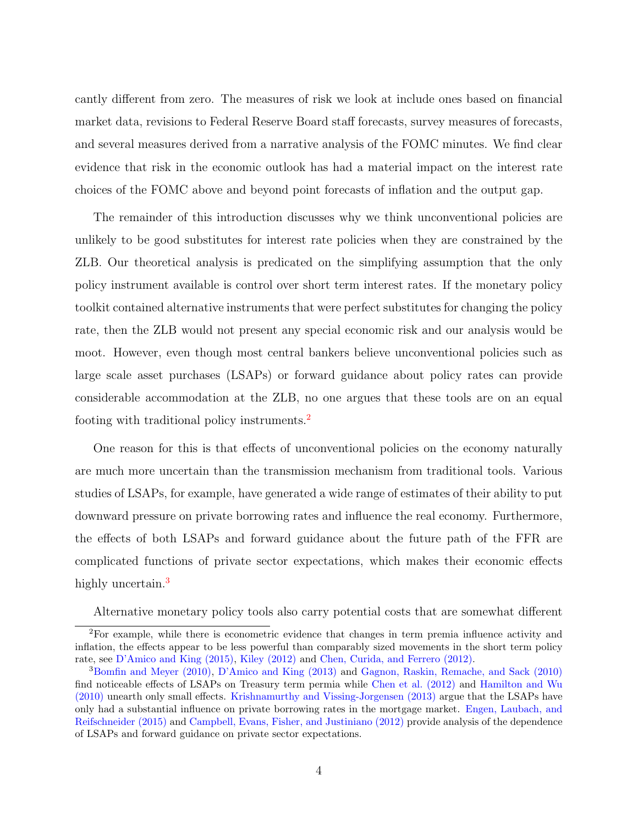cantly different from zero. The measures of risk we look at include ones based on financial market data, revisions to Federal Reserve Board staff forecasts, survey measures of forecasts, and several measures derived from a narrative analysis of the FOMC minutes. We find clear evidence that risk in the economic outlook has had a material impact on the interest rate choices of the FOMC above and beyond point forecasts of inflation and the output gap.

The remainder of this introduction discusses why we think unconventional policies are unlikely to be good substitutes for interest rate policies when they are constrained by the ZLB. Our theoretical analysis is predicated on the simplifying assumption that the only policy instrument available is control over short term interest rates. If the monetary policy toolkit contained alternative instruments that were perfect substitutes for changing the policy rate, then the ZLB would not present any special economic risk and our analysis would be moot. However, even though most central bankers believe unconventional policies such as large scale asset purchases (LSAPs) or forward guidance about policy rates can provide considerable accommodation at the ZLB, no one argues that these tools are on an equal footing with traditional policy instruments.[2](#page-0-0)

One reason for this is that effects of unconventional policies on the economy naturally are much more uncertain than the transmission mechanism from traditional tools. Various studies of LSAPs, for example, have generated a wide range of estimates of their ability to put downward pressure on private borrowing rates and influence the real economy. Furthermore, the effects of both LSAPs and forward guidance about the future path of the FFR are complicated functions of private sector expectations, which makes their economic effects highly uncertain.<sup>[3](#page-0-0)</sup>

Alternative monetary policy tools also carry potential costs that are somewhat different

<sup>2</sup>For example, while there is econometric evidence that changes in term premia influence activity and inflation, the effects appear to be less powerful than comparably sized movements in the short term policy rate, see [D'Amico and King](#page-57-0) [\(2015\)](#page-57-0), [Kiley](#page-59-0) [\(2012\)](#page-59-0) and [Chen, Curida, and Ferrero](#page-57-1) [\(2012\)](#page-57-1).

<sup>3</sup>[Bomfin and Meyer](#page-56-0) [\(2010\)](#page-56-0), [D'Amico and King](#page-57-2) [\(2013\)](#page-57-2) and [Gagnon, Raskin, Remache, and Sack](#page-58-2) [\(2010\)](#page-58-2) find noticeable effects of LSAPs on Treasury term permia while [Chen et al.](#page-57-1) [\(2012\)](#page-57-1) and [Hamilton and Wu](#page-58-3) [\(2010\)](#page-58-3) unearth only small effects. [Krishnamurthy and Vissing-Jorgensen](#page-59-1) [\(2013\)](#page-59-1) argue that the LSAPs have only had a substantial influence on private borrowing rates in the mortgage market. [Engen, Laubach, and](#page-57-3) [Reifschneider](#page-57-3) [\(2015\)](#page-57-3) and [Campbell, Evans, Fisher, and Justiniano](#page-56-1) [\(2012\)](#page-56-1) provide analysis of the dependence of LSAPs and forward guidance on private sector expectations.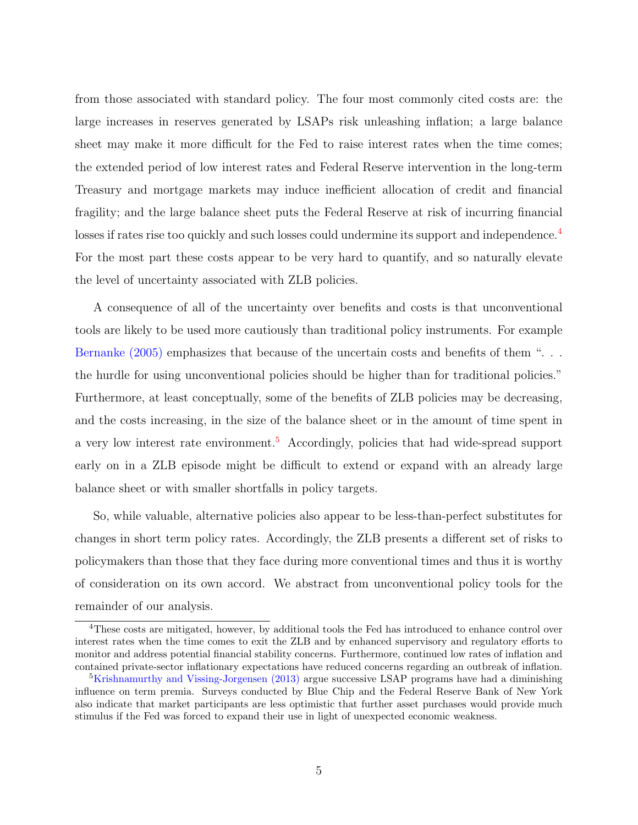from those associated with standard policy. The four most commonly cited costs are: the large increases in reserves generated by LSAPs risk unleashing inflation; a large balance sheet may make it more difficult for the Fed to raise interest rates when the time comes; the extended period of low interest rates and Federal Reserve intervention in the long-term Treasury and mortgage markets may induce inefficient allocation of credit and financial fragility; and the large balance sheet puts the Federal Reserve at risk of incurring financial losses if rates rise too quickly and such losses could undermine its support and independence.<sup>[4](#page-0-0)</sup> For the most part these costs appear to be very hard to quantify, and so naturally elevate the level of uncertainty associated with ZLB policies.

A consequence of all of the uncertainty over benefits and costs is that unconventional tools are likely to be used more cautiously than traditional policy instruments. For example [Bernanke](#page-56-2) [\(2005\)](#page-56-2) emphasizes that because of the uncertain costs and benefits of them ". . . the hurdle for using unconventional policies should be higher than for traditional policies." Furthermore, at least conceptually, some of the benefits of ZLB policies may be decreasing, and the costs increasing, in the size of the balance sheet or in the amount of time spent in a very low interest rate environment.[5](#page-0-0) Accordingly, policies that had wide-spread support early on in a ZLB episode might be difficult to extend or expand with an already large balance sheet or with smaller shortfalls in policy targets.

So, while valuable, alternative policies also appear to be less-than-perfect substitutes for changes in short term policy rates. Accordingly, the ZLB presents a different set of risks to policymakers than those that they face during more conventional times and thus it is worthy of consideration on its own accord. We abstract from unconventional policy tools for the remainder of our analysis.

<sup>4</sup>These costs are mitigated, however, by additional tools the Fed has introduced to enhance control over interest rates when the time comes to exit the ZLB and by enhanced supervisory and regulatory efforts to monitor and address potential financial stability concerns. Furthermore, continued low rates of inflation and contained private-sector inflationary expectations have reduced concerns regarding an outbreak of inflation.

<sup>&</sup>lt;sup>5</sup>[Krishnamurthy and Vissing-Jorgensen](#page-59-1) [\(2013\)](#page-59-1) argue successive LSAP programs have had a diminishing influence on term premia. Surveys conducted by Blue Chip and the Federal Reserve Bank of New York also indicate that market participants are less optimistic that further asset purchases would provide much stimulus if the Fed was forced to expand their use in light of unexpected economic weakness.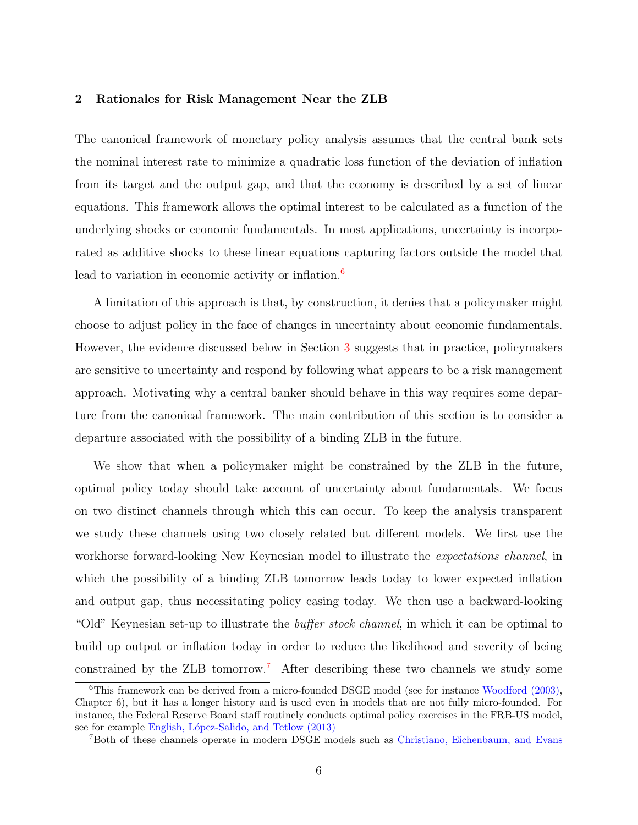### 2 Rationales for Risk Management Near the ZLB

The canonical framework of monetary policy analysis assumes that the central bank sets the nominal interest rate to minimize a quadratic loss function of the deviation of inflation from its target and the output gap, and that the economy is described by a set of linear equations. This framework allows the optimal interest to be calculated as a function of the underlying shocks or economic fundamentals. In most applications, uncertainty is incorporated as additive shocks to these linear equations capturing factors outside the model that lead to variation in economic activity or inflation.<sup>[6](#page-0-0)</sup>

A limitation of this approach is that, by construction, it denies that a policymaker might choose to adjust policy in the face of changes in uncertainty about economic fundamentals. However, the evidence discussed below in Section [3](#page-26-0) suggests that in practice, policymakers are sensitive to uncertainty and respond by following what appears to be a risk management approach. Motivating why a central banker should behave in this way requires some departure from the canonical framework. The main contribution of this section is to consider a departure associated with the possibility of a binding ZLB in the future.

We show that when a policymaker might be constrained by the ZLB in the future, optimal policy today should take account of uncertainty about fundamentals. We focus on two distinct channels through which this can occur. To keep the analysis transparent we study these channels using two closely related but different models. We first use the workhorse forward-looking New Keynesian model to illustrate the expectations channel, in which the possibility of a binding ZLB tomorrow leads today to lower expected inflation and output gap, thus necessitating policy easing today. We then use a backward-looking "Old" Keynesian set-up to illustrate the *buffer stock channel*, in which it can be optimal to build up output or inflation today in order to reduce the likelihood and severity of being constrained by the ZLB tomorrow.[7](#page-0-0) After describing these two channels we study some

<sup>6</sup>This framework can be derived from a micro-founded DSGE model (see for instance [Woodford](#page-60-0) [\(2003\)](#page-60-0), Chapter 6), but it has a longer history and is used even in models that are not fully micro-founded. For instance, the Federal Reserve Board staff routinely conducts optimal policy exercises in the FRB-US model, see for example English, López-Salido, and Tetlow [\(2013\)](#page-58-4)

<sup>7</sup>Both of these channels operate in modern DSGE models such as [Christiano, Eichenbaum, and Evans](#page-57-4)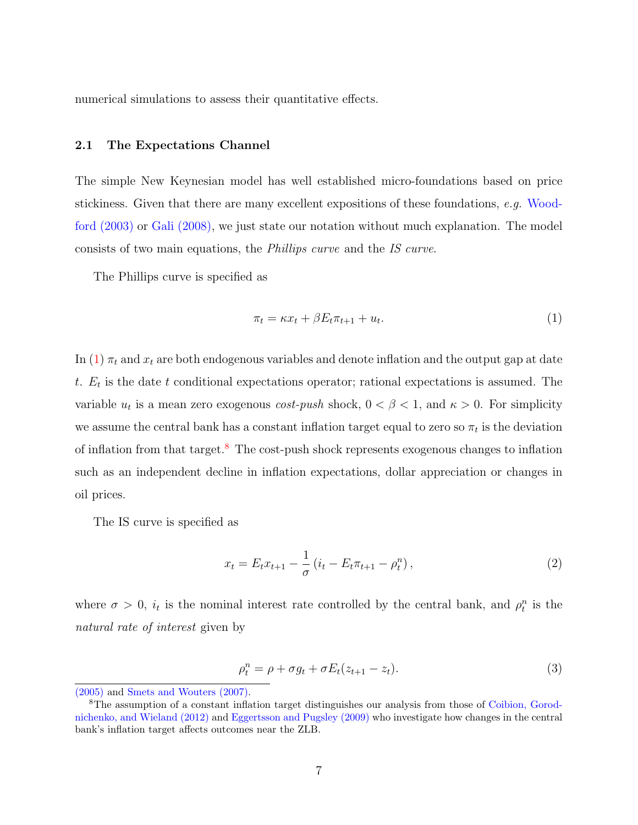numerical simulations to assess their quantitative effects.

#### <span id="page-7-3"></span>2.1 The Expectations Channel

The simple New Keynesian model has well established micro-foundations based on price stickiness. Given that there are many excellent expositions of these foundations, e.g. [Wood](#page-60-0)[ford](#page-60-0) [\(2003\)](#page-60-0) or [Gali](#page-58-5) [\(2008\)](#page-58-5), we just state our notation without much explanation. The model consists of two main equations, the Phillips curve and the IS curve.

The Phillips curve is specified as

<span id="page-7-0"></span>
$$
\pi_t = \kappa x_t + \beta E_t \pi_{t+1} + u_t. \tag{1}
$$

In [\(1\)](#page-7-0)  $\pi_t$  and  $x_t$  are both endogenous variables and denote inflation and the output gap at date t.  $E_t$  is the date t conditional expectations operator; rational expectations is assumed. The variable  $u_t$  is a mean zero exogenous *cost-push* shock,  $0 < \beta < 1$ , and  $\kappa > 0$ . For simplicity we assume the central bank has a constant inflation target equal to zero so  $\pi_t$  is the deviation of inflation from that target.[8](#page-0-0) The cost-push shock represents exogenous changes to inflation such as an independent decline in inflation expectations, dollar appreciation or changes in oil prices.

The IS curve is specified as

<span id="page-7-2"></span>
$$
x_t = E_t x_{t+1} - \frac{1}{\sigma} \left( i_t - E_t \pi_{t+1} - \rho_t^n \right), \tag{2}
$$

where  $\sigma > 0$ ,  $i_t$  is the nominal interest rate controlled by the central bank, and  $\rho_t^n$  is the natural rate of interest given by

<span id="page-7-1"></span>
$$
\rho_t^n = \rho + \sigma g_t + \sigma E_t (z_{t+1} - z_t). \tag{3}
$$

[<sup>\(2005\)</sup>](#page-57-4) and [Smets and Wouters](#page-60-1) [\(2007\)](#page-60-1).

<sup>&</sup>lt;sup>8</sup>The assumption of a constant inflation target distinguishes our analysis from those of [Coibion, Gorod](#page-57-5)[nichenko, and Wieland](#page-57-5) [\(2012\)](#page-57-5) and [Eggertsson and Pugsley](#page-57-6) [\(2009\)](#page-57-6) who investigate how changes in the central bank's inflation target affects outcomes near the ZLB.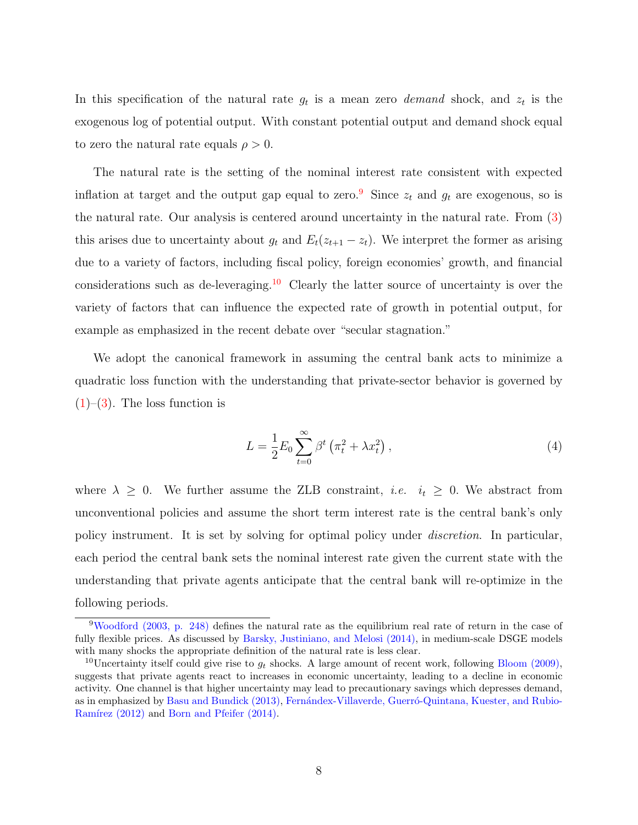In this specification of the natural rate  $g_t$  is a mean zero *demand* shock, and  $z_t$  is the exogenous log of potential output. With constant potential output and demand shock equal to zero the natural rate equals  $\rho > 0$ .

The natural rate is the setting of the nominal interest rate consistent with expected inflation at target and the output gap equal to zero.<sup>[9](#page-0-0)</sup> Since  $z_t$  and  $g_t$  are exogenous, so is the natural rate. Our analysis is centered around uncertainty in the natural rate. From [\(3\)](#page-7-1) this arises due to uncertainty about  $g_t$  and  $E_t(z_{t+1} - z_t)$ . We interpret the former as arising due to a variety of factors, including fiscal policy, foreign economies' growth, and financial considerations such as de-leveraging.<sup>[10](#page-0-0)</sup> Clearly the latter source of uncertainty is over the variety of factors that can influence the expected rate of growth in potential output, for example as emphasized in the recent debate over "secular stagnation."

We adopt the canonical framework in assuming the central bank acts to minimize a quadratic loss function with the understanding that private-sector behavior is governed by  $(1)$ – $(3)$ . The loss function is

$$
L = \frac{1}{2} E_0 \sum_{t=0}^{\infty} \beta^t \left( \pi_t^2 + \lambda x_t^2 \right), \tag{4}
$$

where  $\lambda \geq 0$ . We further assume the ZLB constraint, *i.e.*  $i_t \geq 0$ . We abstract from unconventional policies and assume the short term interest rate is the central bank's only policy instrument. It is set by solving for optimal policy under discretion. In particular, each period the central bank sets the nominal interest rate given the current state with the understanding that private agents anticipate that the central bank will re-optimize in the following periods.

<sup>9</sup>[Woodford](#page-60-0) [\(2003,](#page-60-0) p. 248) defines the natural rate as the equilibrium real rate of return in the case of fully flexible prices. As discussed by [Barsky, Justiniano, and Melosi](#page-56-3) [\(2014\)](#page-56-3), in medium-scale DSGE models with many shocks the appropriate definition of the natural rate is less clear.

<sup>&</sup>lt;sup>10</sup>Uncertainty itself could give rise to  $g_t$  shocks. A large amount of recent work, following [Bloom](#page-56-4) [\(2009\)](#page-56-4), suggests that private agents react to increases in economic uncertainty, leading to a decline in economic activity. One channel is that higher uncertainty may lead to precautionary savings which depresses demand, as in emphasized by [Basu and Bundick](#page-56-5) [\(2013\)](#page-56-5), Fernándex-Villaverde, Guerró-Quintana, Kuester, and Rubio-Ramírez [\(2012\)](#page-58-6) and [Born and Pfeifer](#page-56-6) [\(2014\)](#page-56-6).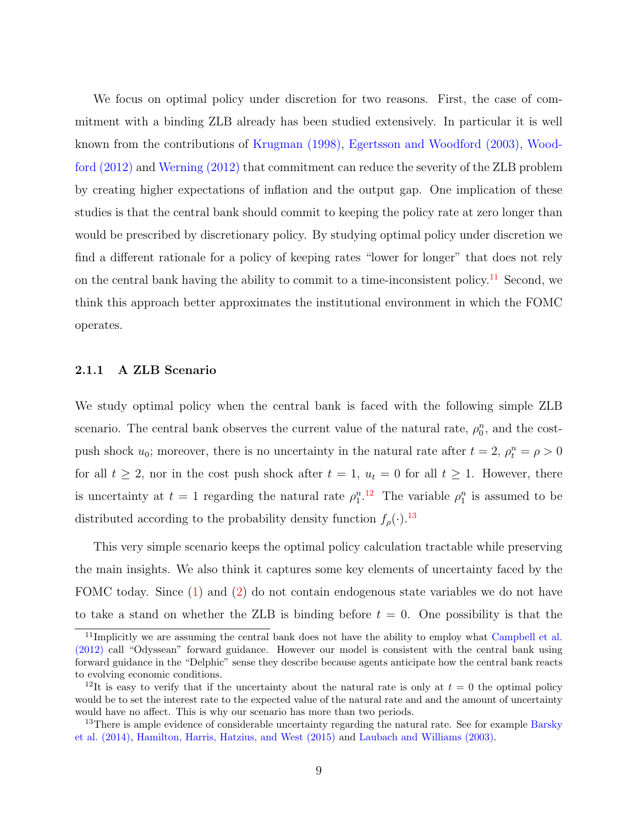We focus on optimal policy under discretion for two reasons. First, the case of commitment with a binding ZLB already has been studied extensively. In particular it is well known from the contributions of [Krugman](#page-59-2) [\(1998\)](#page-59-2), [Egertsson and Woodford](#page-57-7) [\(2003\)](#page-57-7), [Wood](#page-60-2)[ford](#page-60-2) [\(2012\)](#page-60-2) and [Werning](#page-60-3) [\(2012\)](#page-60-3) that commitment can reduce the severity of the ZLB problem by creating higher expectations of inflation and the output gap. One implication of these studies is that the central bank should commit to keeping the policy rate at zero longer than would be prescribed by discretionary policy. By studying optimal policy under discretion we find a different rationale for a policy of keeping rates "lower for longer" that does not rely on the central bank having the ability to commit to a time-inconsistent policy.<sup>[11](#page-0-0)</sup> Second, we think this approach better approximates the institutional environment in which the FOMC operates.

#### <span id="page-9-0"></span>2.1.1 A ZLB Scenario

We study optimal policy when the central bank is faced with the following simple ZLB scenario. The central bank observes the current value of the natural rate,  $\rho_0^n$ , and the costpush shock  $u_0$ ; moreover, there is no uncertainty in the natural rate after  $t = 2$ ,  $\rho_t^n = \rho > 0$ for all  $t \geq 2$ , nor in the cost push shock after  $t = 1$ ,  $u_t = 0$  for all  $t \geq 1$ . However, there is uncertainty at  $t = 1$  regarding the natural rate  $\rho_1^{n}$ .<sup>[12](#page-0-0)</sup> The variable  $\rho_1^n$  is assumed to be distributed according to the probability density function  $f_{\rho}(\cdot)$ .<sup>[13](#page-0-0)</sup>

This very simple scenario keeps the optimal policy calculation tractable while preserving the main insights. We also think it captures some key elements of uncertainty faced by the FOMC today. Since  $(1)$  and  $(2)$  do not contain endogenous state variables we do not have to take a stand on whether the ZLB is binding before  $t = 0$ . One possibility is that the

<sup>&</sup>lt;sup>11</sup>Implicitly we are assuming the central bank does not have the ability to employ what [Campbell et al.](#page-56-1) [\(2012\)](#page-56-1) call "Odyssean" forward guidance. However our model is consistent with the central bank using forward guidance in the "Delphic" sense they describe because agents anticipate how the central bank reacts to evolving economic conditions.

<sup>&</sup>lt;sup>12</sup>It is easy to verify that if the uncertainty about the natural rate is only at  $t = 0$  the optimal policy would be to set the interest rate to the expected value of the natural rate and and the amount of uncertainty would have no affect. This is why our scenario has more than two periods.

<sup>&</sup>lt;sup>13</sup>There is ample evidence of considerable uncertainty regarding the natural rate. See for example [Barsky](#page-56-3) [et al.](#page-56-3) [\(2014\)](#page-56-3), [Hamilton, Harris, Hatzius, and West](#page-58-7) [\(2015\)](#page-58-7) and [Laubach and Williams](#page-59-3) [\(2003\)](#page-59-3).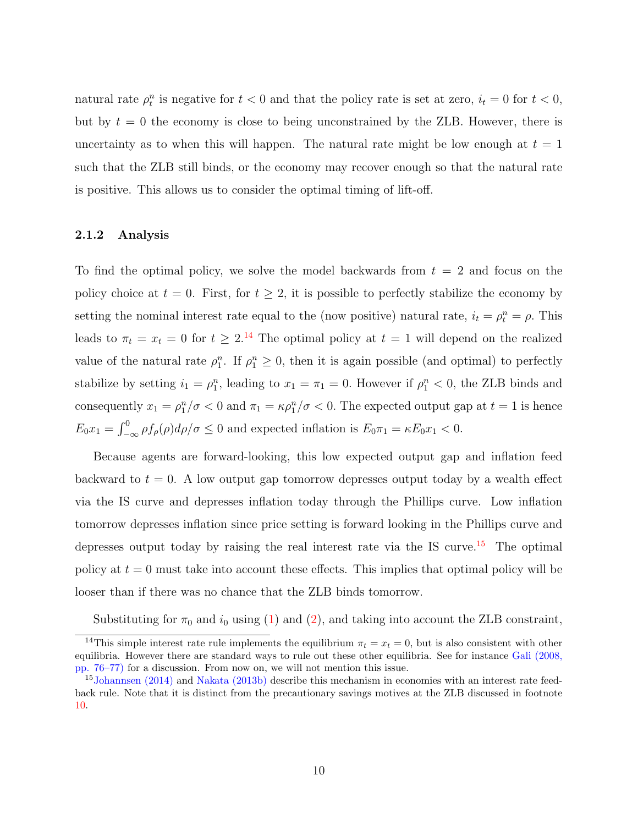natural rate  $\rho_t^n$  is negative for  $t < 0$  and that the policy rate is set at zero,  $i_t = 0$  for  $t < 0$ , but by  $t = 0$  the economy is close to being unconstrained by the ZLB. However, there is uncertainty as to when this will happen. The natural rate might be low enough at  $t = 1$ such that the ZLB still binds, or the economy may recover enough so that the natural rate is positive. This allows us to consider the optimal timing of lift-off.

# 2.1.2 Analysis

To find the optimal policy, we solve the model backwards from  $t = 2$  and focus on the policy choice at  $t = 0$ . First, for  $t \geq 2$ , it is possible to perfectly stabilize the economy by setting the nominal interest rate equal to the (now positive) natural rate,  $i_t = \rho_t^n = \rho$ . This leads to  $\pi_t = x_t = 0$  for  $t \geq 2^{14}$  $t \geq 2^{14}$  $t \geq 2^{14}$  The optimal policy at  $t = 1$  will depend on the realized value of the natural rate  $\rho_1^n$ . If  $\rho_1^n \geq 0$ , then it is again possible (and optimal) to perfectly stabilize by setting  $i_1 = \rho_1^n$ , leading to  $x_1 = \pi_1 = 0$ . However if  $\rho_1^n < 0$ , the ZLB binds and consequently  $x_1 = \rho_1^n/\sigma < 0$  and  $\pi_1 = \kappa \rho_1^n/\sigma < 0$ . The expected output gap at  $t = 1$  is hence  $E_0 x_1 = \int_{-\infty}^0 \rho f_\rho(\rho) d\rho/\sigma \leq 0$  and expected inflation is  $E_0 \pi_1 = \kappa E_0 x_1 < 0$ .

Because agents are forward-looking, this low expected output gap and inflation feed backward to  $t = 0$ . A low output gap tomorrow depresses output today by a wealth effect via the IS curve and depresses inflation today through the Phillips curve. Low inflation tomorrow depresses inflation since price setting is forward looking in the Phillips curve and depresses output today by raising the real interest rate via the IS curve.<sup>[15](#page-0-0)</sup> The optimal policy at  $t = 0$  must take into account these effects. This implies that optimal policy will be looser than if there was no chance that the ZLB binds tomorrow.

Substituting for  $\pi_0$  and  $i_0$  using [\(1\)](#page-7-0) and [\(2\)](#page-7-2), and taking into account the ZLB constraint,

<sup>&</sup>lt;sup>14</sup>This simple interest rate rule implements the equilibrium  $\pi_t = x_t = 0$ , but is also consistent with other equilibria. However there are standard ways to rule out these other equilibria. See for instance [Gali](#page-58-5) [\(2008,](#page-58-5) pp. 76–77) for a discussion. From now on, we will not mention this issue.

<sup>&</sup>lt;sup>15</sup>[Johannsen](#page-58-8) [\(2014\)](#page-58-8) and [Nakata](#page-59-4) [\(2013b\)](#page-59-4) describe this mechanism in economies with an interest rate feedback rule. Note that it is distinct from the precautionary savings motives at the ZLB discussed in footnote [10.](#page-7-1)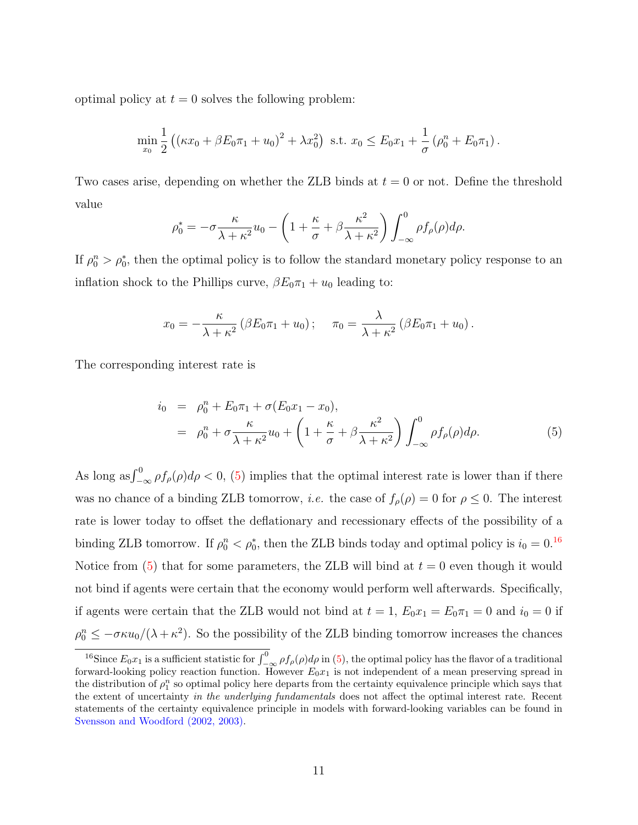optimal policy at  $t = 0$  solves the following problem:

$$
\min_{x_0} \frac{1}{2} \left( (\kappa x_0 + \beta E_0 \pi_1 + u_0)^2 + \lambda x_0^2 \right) \text{ s.t. } x_0 \le E_0 x_1 + \frac{1}{\sigma} \left( \rho_0^n + E_0 \pi_1 \right).
$$

Two cases arise, depending on whether the ZLB binds at  $t = 0$  or not. Define the threshold value

$$
\rho_0^* = -\sigma \frac{\kappa}{\lambda + \kappa^2} u_0 - \left( 1 + \frac{\kappa}{\sigma} + \beta \frac{\kappa^2}{\lambda + \kappa^2} \right) \int_{-\infty}^0 \rho f_\rho(\rho) d\rho.
$$

If  $\rho_0^n > \rho_0^*$ , then the optimal policy is to follow the standard monetary policy response to an inflation shock to the Phillips curve,  $\beta E_0 \pi_1 + u_0$  leading to:

$$
x_0 = -\frac{\kappa}{\lambda + \kappa^2} \left( \beta E_0 \pi_1 + u_0 \right); \quad \pi_0 = \frac{\lambda}{\lambda + \kappa^2} \left( \beta E_0 \pi_1 + u_0 \right).
$$

The corresponding interest rate is

<span id="page-11-0"></span>
$$
\begin{array}{rcl}\ni_0 & = & \rho_0^n + E_0 \pi_1 + \sigma(E_0 x_1 - x_0), \\
& = & \rho_0^n + \sigma \frac{\kappa}{\lambda + \kappa^2} u_0 + \left(1 + \frac{\kappa}{\sigma} + \beta \frac{\kappa^2}{\lambda + \kappa^2}\right) \int_{-\infty}^0 \rho f_\rho(\rho) d\rho.\n\end{array} \tag{5}
$$

As long as  $\int_{-\infty}^{0} \rho f_{\rho}(\rho) d\rho < 0$ , [\(5\)](#page-11-0) implies that the optimal interest rate is lower than if there was no chance of a binding ZLB tomorrow, *i.e.* the case of  $f_{\rho}(\rho) = 0$  for  $\rho \leq 0$ . The interest rate is lower today to offset the deflationary and recessionary effects of the possibility of a binding ZLB tomorrow. If  $\rho_0^n < \rho_0^*$ , then the ZLB binds today and optimal policy is  $i_0 = 0.16$  $i_0 = 0.16$ Notice from [\(5\)](#page-11-0) that for some parameters, the ZLB will bind at  $t = 0$  even though it would not bind if agents were certain that the economy would perform well afterwards. Specifically, if agents were certain that the ZLB would not bind at  $t = 1$ ,  $E_0 x_1 = E_0 \pi_1 = 0$  and  $i_0 = 0$  if  $\rho_0^n \leq -\sigma \kappa u_0/(\lambda + \kappa^2)$ . So the possibility of the ZLB binding tomorrow increases the chances

<sup>&</sup>lt;sup>16</sup>Since  $E_0x_1$  is a sufficient statistic for  $\int_{-\infty}^0 \rho f_\rho(\rho) d\rho$  in [\(5\)](#page-11-0), the optimal policy has the flavor of a traditional forward-looking policy reaction function. However  $E_0x_1$  is not independent of a mean preserving spread in the distribution of  $\rho_1^n$  so optimal policy here departs from the certainty equivalence principle which says that the extent of uncertainty in the underlying fundamentals does not affect the optimal interest rate. Recent statements of the certainty equivalence principle in models with forward-looking variables can be found in [Svensson and Woodford](#page-60-4) [\(2002,](#page-60-4) [2003\)](#page-60-5).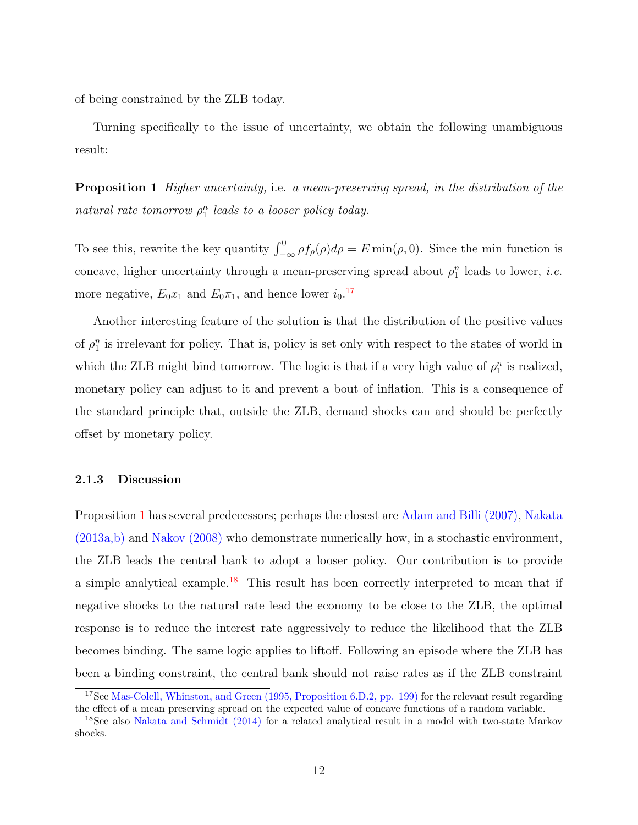of being constrained by the ZLB today.

<span id="page-12-0"></span>Turning specifically to the issue of uncertainty, we obtain the following unambiguous result:

Proposition 1 Higher uncertainty, i.e. a mean-preserving spread, in the distribution of the natural rate tomorrow  $\rho_1^n$  leads to a looser policy today.

To see this, rewrite the key quantity  $\int_{-\infty}^{0} \rho f_{\rho}(\rho) d\rho = E \min(\rho, 0)$ . Since the min function is concave, higher uncertainty through a mean-preserving spread about  $\rho_1^n$  leads to lower, *i.e.* more negative,  $E_0 x_1$  and  $E_0 \pi_1$ , and hence lower  $i_0$ .<sup>[17](#page-0-0)</sup>

Another interesting feature of the solution is that the distribution of the positive values of  $\rho_1^n$  is irrelevant for policy. That is, policy is set only with respect to the states of world in which the ZLB might bind tomorrow. The logic is that if a very high value of  $\rho_1^n$  is realized, monetary policy can adjust to it and prevent a bout of inflation. This is a consequence of the standard principle that, outside the ZLB, demand shocks can and should be perfectly offset by monetary policy.

#### 2.1.3 Discussion

Proposition [1](#page-12-0) has several predecessors; perhaps the closest are [Adam and Billi](#page-56-7) [\(2007\)](#page-56-7), [Nakata](#page-59-5) [\(2013a,](#page-59-5)[b\)](#page-59-4) and [Nakov](#page-59-6) [\(2008\)](#page-59-6) who demonstrate numerically how, in a stochastic environment, the ZLB leads the central bank to adopt a looser policy. Our contribution is to provide a simple analytical example.<sup>[18](#page-0-0)</sup> This result has been correctly interpreted to mean that if negative shocks to the natural rate lead the economy to be close to the ZLB, the optimal response is to reduce the interest rate aggressively to reduce the likelihood that the ZLB becomes binding. The same logic applies to liftoff. Following an episode where the ZLB has been a binding constraint, the central bank should not raise rates as if the ZLB constraint

<sup>&</sup>lt;sup>17</sup>See [Mas-Colell, Whinston, and Green](#page-59-7) [\(1995,](#page-59-7) Proposition 6.D.2, pp. 199) for the relevant result regarding the effect of a mean preserving spread on the expected value of concave functions of a random variable.

<sup>&</sup>lt;sup>18</sup>See also [Nakata and Schmidt](#page-59-8) [\(2014\)](#page-59-8) for a related analytical result in a model with two-state Markov shocks.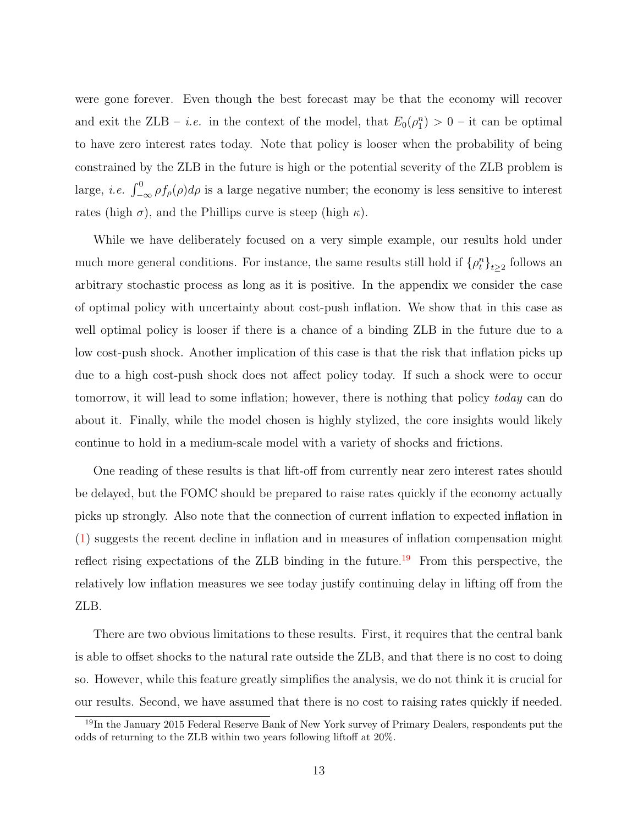were gone forever. Even though the best forecast may be that the economy will recover and exit the ZLB – *i.e.* in the context of the model, that  $E_0(\rho_1^n) > 0$  – it can be optimal to have zero interest rates today. Note that policy is looser when the probability of being constrained by the ZLB in the future is high or the potential severity of the ZLB problem is large, *i.e.*  $\int_{-\infty}^{0} \rho f_{\rho}(\rho) d\rho$  is a large negative number; the economy is less sensitive to interest rates (high  $\sigma$ ), and the Phillips curve is steep (high  $\kappa$ ).

While we have deliberately focused on a very simple example, our results hold under much more general conditions. For instance, the same results still hold if  $\{\rho_t^n\}_{t\geq 2}$  follows an arbitrary stochastic process as long as it is positive. In the appendix we consider the case of optimal policy with uncertainty about cost-push inflation. We show that in this case as well optimal policy is looser if there is a chance of a binding ZLB in the future due to a low cost-push shock. Another implication of this case is that the risk that inflation picks up due to a high cost-push shock does not affect policy today. If such a shock were to occur tomorrow, it will lead to some inflation; however, there is nothing that policy today can do about it. Finally, while the model chosen is highly stylized, the core insights would likely continue to hold in a medium-scale model with a variety of shocks and frictions.

One reading of these results is that lift-off from currently near zero interest rates should be delayed, but the FOMC should be prepared to raise rates quickly if the economy actually picks up strongly. Also note that the connection of current inflation to expected inflation in [\(1\)](#page-7-0) suggests the recent decline in inflation and in measures of inflation compensation might reflect rising expectations of the ZLB binding in the future.<sup>[19](#page-0-0)</sup> From this perspective, the relatively low inflation measures we see today justify continuing delay in lifting off from the ZLB.

There are two obvious limitations to these results. First, it requires that the central bank is able to offset shocks to the natural rate outside the ZLB, and that there is no cost to doing so. However, while this feature greatly simplifies the analysis, we do not think it is crucial for our results. Second, we have assumed that there is no cost to raising rates quickly if needed.

<sup>19</sup>In the January 2015 Federal Reserve Bank of New York survey of Primary Dealers, respondents put the odds of returning to the ZLB within two years following liftoff at 20%.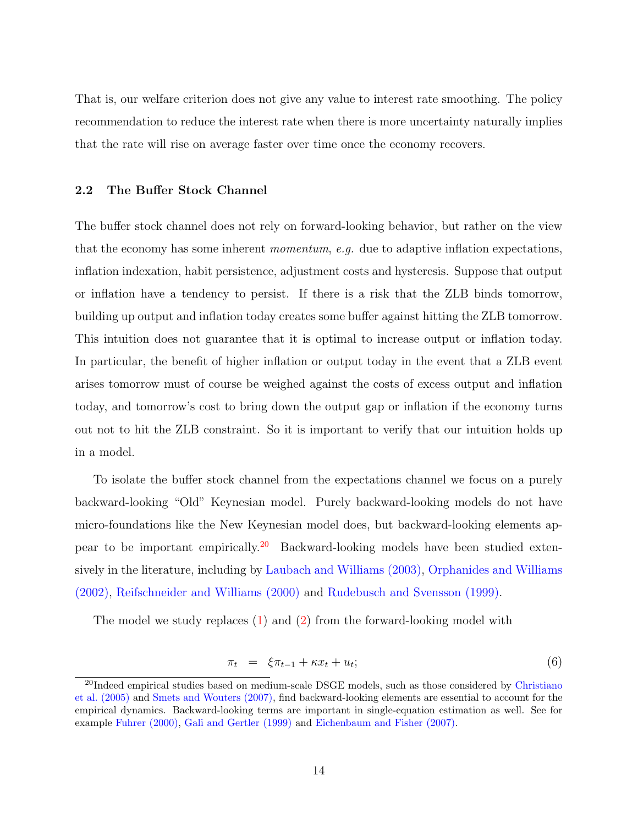That is, our welfare criterion does not give any value to interest rate smoothing. The policy recommendation to reduce the interest rate when there is more uncertainty naturally implies that the rate will rise on average faster over time once the economy recovers.

## 2.2 The Buffer Stock Channel

The buffer stock channel does not rely on forward-looking behavior, but rather on the view that the economy has some inherent *momentum*, e.g. due to adaptive inflation expectations, inflation indexation, habit persistence, adjustment costs and hysteresis. Suppose that output or inflation have a tendency to persist. If there is a risk that the ZLB binds tomorrow, building up output and inflation today creates some buffer against hitting the ZLB tomorrow. This intuition does not guarantee that it is optimal to increase output or inflation today. In particular, the benefit of higher inflation or output today in the event that a ZLB event arises tomorrow must of course be weighed against the costs of excess output and inflation today, and tomorrow's cost to bring down the output gap or inflation if the economy turns out not to hit the ZLB constraint. So it is important to verify that our intuition holds up in a model.

To isolate the buffer stock channel from the expectations channel we focus on a purely backward-looking "Old" Keynesian model. Purely backward-looking models do not have micro-foundations like the New Keynesian model does, but backward-looking elements appear to be important empirically.[20](#page-0-0) Backward-looking models have been studied extensively in the literature, including by [Laubach and Williams](#page-59-3) [\(2003\)](#page-59-3), [Orphanides and Williams](#page-59-9) [\(2002\)](#page-59-9), [Reifschneider and Williams](#page-59-10) [\(2000\)](#page-59-10) and [Rudebusch and Svensson](#page-60-6) [\(1999\)](#page-60-6).

The model we study replaces [\(1\)](#page-7-0) and [\(2\)](#page-7-2) from the forward-looking model with

<span id="page-14-0"></span>
$$
\pi_t = \xi \pi_{t-1} + \kappa x_t + u_t; \tag{6}
$$

<sup>&</sup>lt;sup>20</sup>Indeed empirical studies based on medium-scale DSGE models, such as those considered by [Christiano](#page-57-4) [et al.](#page-57-4) [\(2005\)](#page-57-4) and [Smets and Wouters](#page-60-1) [\(2007\)](#page-60-1), find backward-looking elements are essential to account for the empirical dynamics. Backward-looking terms are important in single-equation estimation as well. See for example [Fuhrer](#page-58-9) [\(2000\)](#page-58-9), [Gali and Gertler](#page-58-10) [\(1999\)](#page-58-10) and [Eichenbaum and Fisher](#page-57-8) [\(2007\)](#page-57-8).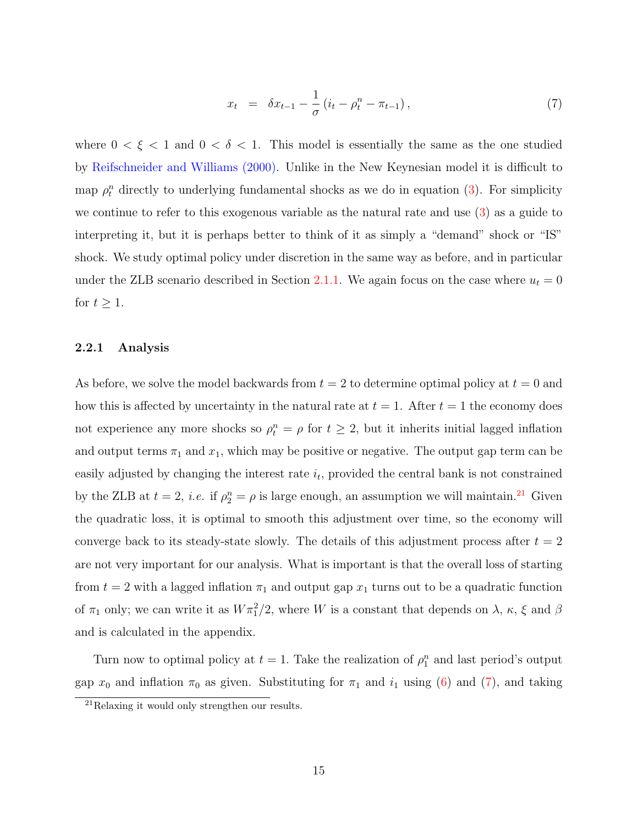$$
x_t = \delta x_{t-1} - \frac{1}{\sigma} (i_t - \rho_t^n - \pi_{t-1}), \qquad (7)
$$

where  $0 < \xi < 1$  and  $0 < \delta < 1$ . This model is essentially the same as the one studied by [Reifschneider and Williams](#page-59-10) [\(2000\)](#page-59-10). Unlike in the New Keynesian model it is difficult to map  $\rho_t^n$  directly to underlying fundamental shocks as we do in equation [\(3\)](#page-7-1). For simplicity we continue to refer to this exogenous variable as the natural rate and use [\(3\)](#page-7-1) as a guide to interpreting it, but it is perhaps better to think of it as simply a "demand" shock or "IS" shock. We study optimal policy under discretion in the same way as before, and in particular under the ZLB scenario described in Section [2.1.1.](#page-9-0) We again focus on the case where  $u_t = 0$ for  $t \geq 1$ .

#### 2.2.1 Analysis

As before, we solve the model backwards from  $t = 2$  to determine optimal policy at  $t = 0$  and how this is affected by uncertainty in the natural rate at  $t = 1$ . After  $t = 1$  the economy does not experience any more shocks so  $\rho_t^n = \rho$  for  $t \geq 2$ , but it inherits initial lagged inflation and output terms  $\pi_1$  and  $x_1$ , which may be positive or negative. The output gap term can be easily adjusted by changing the interest rate  $i_t$ , provided the central bank is not constrained by the ZLB at  $t = 2$ , *i.e.* if  $\rho_2^n = \rho$  is large enough, an assumption we will maintain.<sup>[21](#page-0-0)</sup> Given the quadratic loss, it is optimal to smooth this adjustment over time, so the economy will converge back to its steady-state slowly. The details of this adjustment process after  $t = 2$ are not very important for our analysis. What is important is that the overall loss of starting from  $t = 2$  with a lagged inflation  $\pi_1$  and output gap  $x_1$  turns out to be a quadratic function of  $\pi_1$  only; we can write it as  $W \pi_1^2/2$ , where W is a constant that depends on  $\lambda$ ,  $\kappa$ ,  $\xi$  and  $\beta$ and is calculated in the appendix.

Turn now to optimal policy at  $t = 1$ . Take the realization of  $\rho_1^n$  and last period's output gap  $x_0$  and inflation  $\pi_0$  as given. Substituting for  $\pi_1$  and  $i_1$  using [\(6\)](#page-14-0) and [\(7\)](#page-14-0), and taking

<sup>21</sup>Relaxing it would only strengthen our results.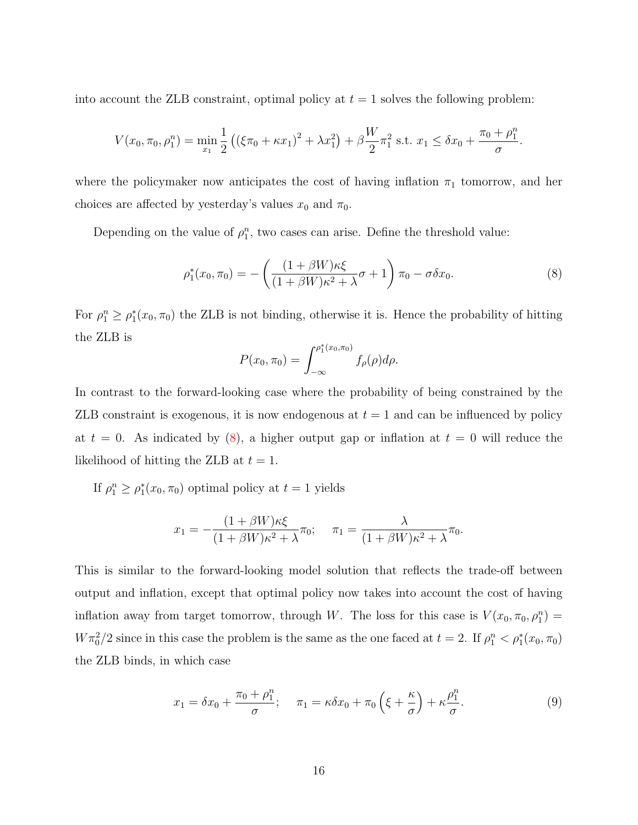into account the ZLB constraint, optimal policy at  $t = 1$  solves the following problem:

$$
V(x_0, \pi_0, \rho_1^n) = \min_{x_1} \frac{1}{2} \left( (\xi \pi_0 + \kappa x_1)^2 + \lambda x_1^2 \right) + \beta \frac{W}{2} \pi_1^2 \text{ s.t. } x_1 \le \delta x_0 + \frac{\pi_0 + \rho_1^n}{\sigma}.
$$

where the policymaker now anticipates the cost of having inflation  $\pi_1$  tomorrow, and her choices are affected by yesterday's values  $x_0$  and  $\pi_0$ .

Depending on the value of  $\rho_1^n$ , two cases can arise. Define the threshold value:

<span id="page-16-0"></span>
$$
\rho_1^*(x_0, \pi_0) = -\left(\frac{(1+\beta W)\kappa \xi}{(1+\beta W)\kappa^2 + \lambda} \sigma + 1\right) \pi_0 - \sigma \delta x_0.
$$
\n(8)

For  $\rho_1^n \geq \rho_1^*(x_0, \pi_0)$  the ZLB is not binding, otherwise it is. Hence the probability of hitting the ZLB is

$$
P(x_0, \pi_0) = \int_{-\infty}^{\rho_1^*(x_0, \pi_0)} f_{\rho}(\rho) d\rho.
$$

In contrast to the forward-looking case where the probability of being constrained by the ZLB constraint is exogenous, it is now endogenous at  $t = 1$  and can be influenced by policy at  $t = 0$ . As indicated by [\(8\)](#page-16-0), a higher output gap or inflation at  $t = 0$  will reduce the likelihood of hitting the ZLB at  $t = 1$ .

If  $\rho_1^n \ge \rho_1^*(x_0, \pi_0)$  optimal policy at  $t = 1$  yields

$$
x_1 = -\frac{(1+\beta W)\kappa \xi}{(1+\beta W)\kappa^2 + \lambda} \pi_0; \quad \pi_1 = \frac{\lambda}{(1+\beta W)\kappa^2 + \lambda} \pi_0.
$$

This is similar to the forward-looking model solution that reflects the trade-off between output and inflation, except that optimal policy now takes into account the cost of having inflation away from target tomorrow, through W. The loss for this case is  $V(x_0, \pi_0, \rho_1^n) =$  $W\pi_0^2/2$  since in this case the problem is the same as the one faced at  $t=2$ . If  $\rho_1^n < \rho_1^*(x_0, \pi_0)$ the ZLB binds, in which case

$$
x_1 = \delta x_0 + \frac{\pi_0 + \rho_1^n}{\sigma}; \quad \pi_1 = \kappa \delta x_0 + \pi_0 \left(\xi + \frac{\kappa}{\sigma}\right) + \kappa \frac{\rho_1^n}{\sigma}.
$$
 (9)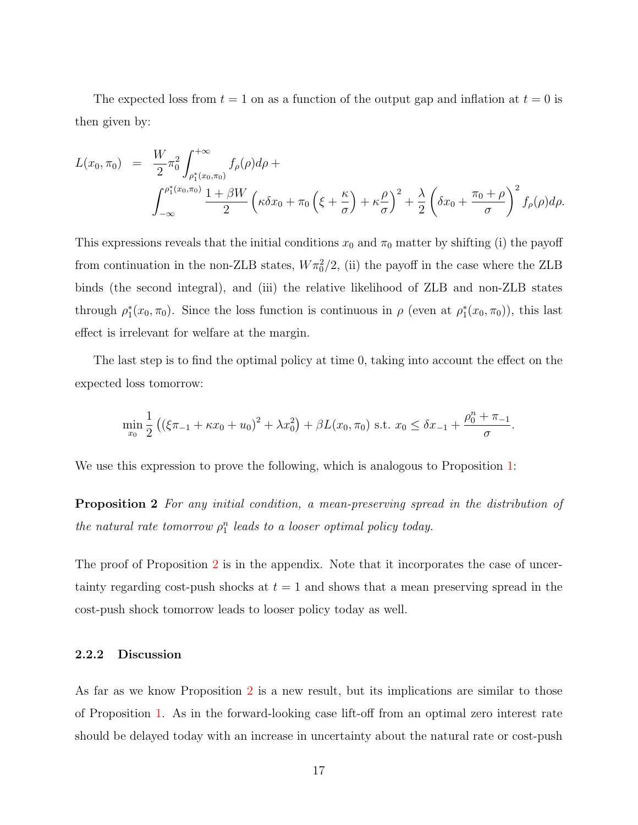The expected loss from  $t = 1$  on as a function of the output gap and inflation at  $t = 0$  is then given by:

$$
L(x_0, \pi_0) = \frac{W}{2} \pi_0^2 \int_{\rho_1^*(x_0, \pi_0)}^{+\infty} f_{\rho}(\rho) d\rho +
$$
  

$$
\int_{-\infty}^{\rho_1^*(x_0, \pi_0)} \frac{1 + \beta W}{2} \left( \kappa \delta x_0 + \pi_0 \left( \xi + \frac{\kappa}{\sigma} \right) + \kappa \frac{\rho}{\sigma} \right)^2 + \frac{\lambda}{2} \left( \delta x_0 + \frac{\pi_0 + \rho}{\sigma} \right)^2 f_{\rho}(\rho) d\rho.
$$

This expressions reveals that the initial conditions  $x_0$  and  $\pi_0$  matter by shifting (i) the payoff from continuation in the non-ZLB states,  $W\pi_0^2/2$ , (ii) the payoff in the case where the ZLB binds (the second integral), and (iii) the relative likelihood of ZLB and non-ZLB states through  $\rho_1^*(x_0, \pi_0)$ . Since the loss function is continuous in  $\rho$  (even at  $\rho_1^*(x_0, \pi_0)$ ), this last effect is irrelevant for welfare at the margin.

The last step is to find the optimal policy at time 0, taking into account the effect on the expected loss tomorrow:

<span id="page-17-0"></span>
$$
\min_{x_0} \frac{1}{2} \left( \left( \xi \pi_{-1} + \kappa x_0 + u_0 \right)^2 + \lambda x_0^2 \right) + \beta L(x_0, \pi_0) \text{ s.t. } x_0 \le \delta x_{-1} + \frac{\rho_0^n + \pi_{-1}}{\sigma}.
$$

We use this expression to prove the following, which is analogous to Proposition [1:](#page-12-0)

**Proposition 2** For any initial condition, a mean-preserving spread in the distribution of the natural rate tomorrow  $\rho_1^n$  leads to a looser optimal policy today.

The proof of Proposition [2](#page-17-0) is in the appendix. Note that it incorporates the case of uncertainty regarding cost-push shocks at  $t = 1$  and shows that a mean preserving spread in the cost-push shock tomorrow leads to looser policy today as well.

## 2.2.2 Discussion

As far as we know Proposition [2](#page-17-0) is a new result, but its implications are similar to those of Proposition [1.](#page-12-0) As in the forward-looking case lift-off from an optimal zero interest rate should be delayed today with an increase in uncertainty about the natural rate or cost-push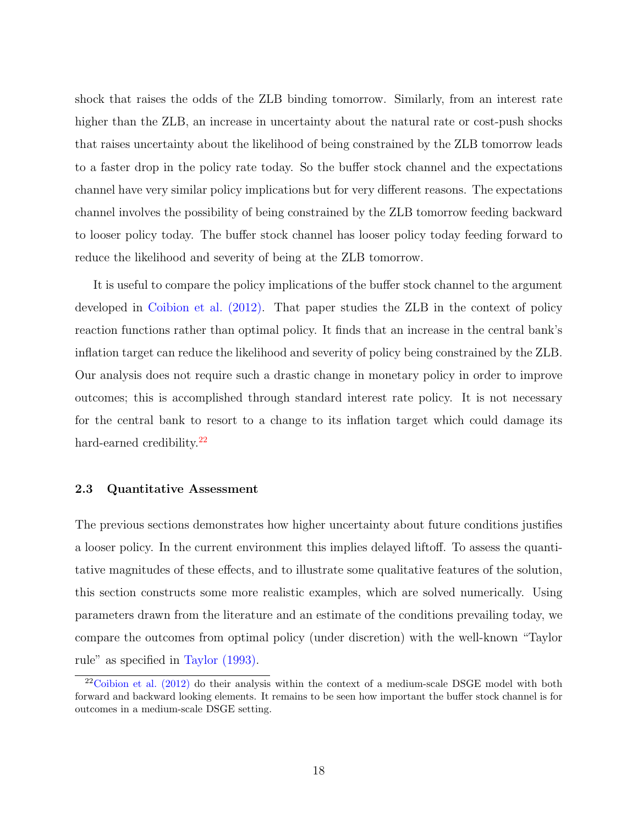shock that raises the odds of the ZLB binding tomorrow. Similarly, from an interest rate higher than the ZLB, an increase in uncertainty about the natural rate or cost-push shocks that raises uncertainty about the likelihood of being constrained by the ZLB tomorrow leads to a faster drop in the policy rate today. So the buffer stock channel and the expectations channel have very similar policy implications but for very different reasons. The expectations channel involves the possibility of being constrained by the ZLB tomorrow feeding backward to looser policy today. The buffer stock channel has looser policy today feeding forward to reduce the likelihood and severity of being at the ZLB tomorrow.

It is useful to compare the policy implications of the buffer stock channel to the argument developed in [Coibion et al.](#page-57-5) [\(2012\)](#page-57-5). That paper studies the ZLB in the context of policy reaction functions rather than optimal policy. It finds that an increase in the central bank's inflation target can reduce the likelihood and severity of policy being constrained by the ZLB. Our analysis does not require such a drastic change in monetary policy in order to improve outcomes; this is accomplished through standard interest rate policy. It is not necessary for the central bank to resort to a change to its inflation target which could damage its hard-earned credibility.<sup>[22](#page-0-0)</sup>

#### 2.3 Quantitative Assessment

The previous sections demonstrates how higher uncertainty about future conditions justifies a looser policy. In the current environment this implies delayed liftoff. To assess the quantitative magnitudes of these effects, and to illustrate some qualitative features of the solution, this section constructs some more realistic examples, which are solved numerically. Using parameters drawn from the literature and an estimate of the conditions prevailing today, we compare the outcomes from optimal policy (under discretion) with the well-known "Taylor rule" as specified in [Taylor](#page-60-7) [\(1993\)](#page-60-7).

 $22$ [Coibion et al.](#page-57-5) [\(2012\)](#page-57-5) do their analysis within the context of a medium-scale DSGE model with both forward and backward looking elements. It remains to be seen how important the buffer stock channel is for outcomes in a medium-scale DSGE setting.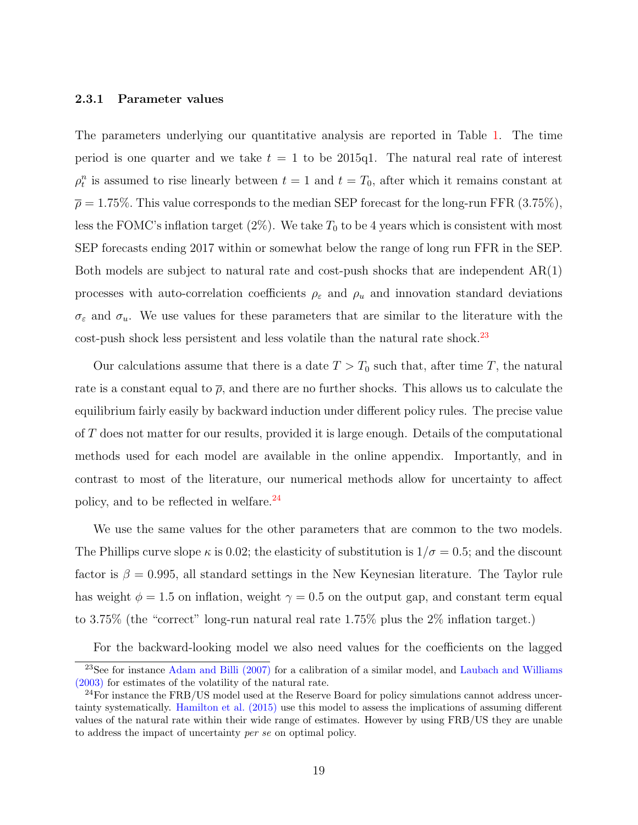#### 2.3.1 Parameter values

The parameters underlying our quantitative analysis are reported in Table [1.](#page-20-0) The time period is one quarter and we take  $t = 1$  to be 2015q1. The natural real rate of interest  $\rho_t^n$  is assumed to rise linearly between  $t = 1$  and  $t = T_0$ , after which it remains constant at  $\bar{\rho} = 1.75\%$ . This value corresponds to the median SEP forecast for the long-run FFR (3.75%), less the FOMC's inflation target  $(2\%)$ . We take  $T_0$  to be 4 years which is consistent with most SEP forecasts ending 2017 within or somewhat below the range of long run FFR in the SEP. Both models are subject to natural rate and cost-push shocks that are independent  $AR(1)$ processes with auto-correlation coefficients  $\rho_{\varepsilon}$  and  $\rho_{u}$  and innovation standard deviations  $\sigma_{\varepsilon}$  and  $\sigma_{u}$ . We use values for these parameters that are similar to the literature with the cost-push shock less persistent and less volatile than the natural rate shock.<sup>[23](#page-0-0)</sup>

Our calculations assume that there is a date  $T > T_0$  such that, after time T, the natural rate is a constant equal to  $\bar{\rho}$ , and there are no further shocks. This allows us to calculate the equilibrium fairly easily by backward induction under different policy rules. The precise value of T does not matter for our results, provided it is large enough. Details of the computational methods used for each model are available in the online appendix. Importantly, and in contrast to most of the literature, our numerical methods allow for uncertainty to affect policy, and to be reflected in welfare.[24](#page-0-0)

We use the same values for the other parameters that are common to the two models. The Phillips curve slope  $\kappa$  is 0.02; the elasticity of substitution is  $1/\sigma = 0.5$ ; and the discount factor is  $\beta = 0.995$ , all standard settings in the New Keynesian literature. The Taylor rule has weight  $\phi = 1.5$  on inflation, weight  $\gamma = 0.5$  on the output gap, and constant term equal to 3.75% (the "correct" long-run natural real rate 1.75% plus the 2% inflation target.)

For the backward-looking model we also need values for the coefficients on the lagged

 $23$ See for instance [Adam and Billi](#page-56-7) [\(2007\)](#page-56-7) for a calibration of a similar model, and [Laubach and Williams](#page-59-3) [\(2003\)](#page-59-3) for estimates of the volatility of the natural rate.

<sup>&</sup>lt;sup>24</sup>For instance the FRB/US model used at the Reserve Board for policy simulations cannot address uncertainty systematically. [Hamilton et al.](#page-58-7) [\(2015\)](#page-58-7) use this model to assess the implications of assuming different values of the natural rate within their wide range of estimates. However by using FRB/US they are unable to address the impact of uncertainty per se on optimal policy.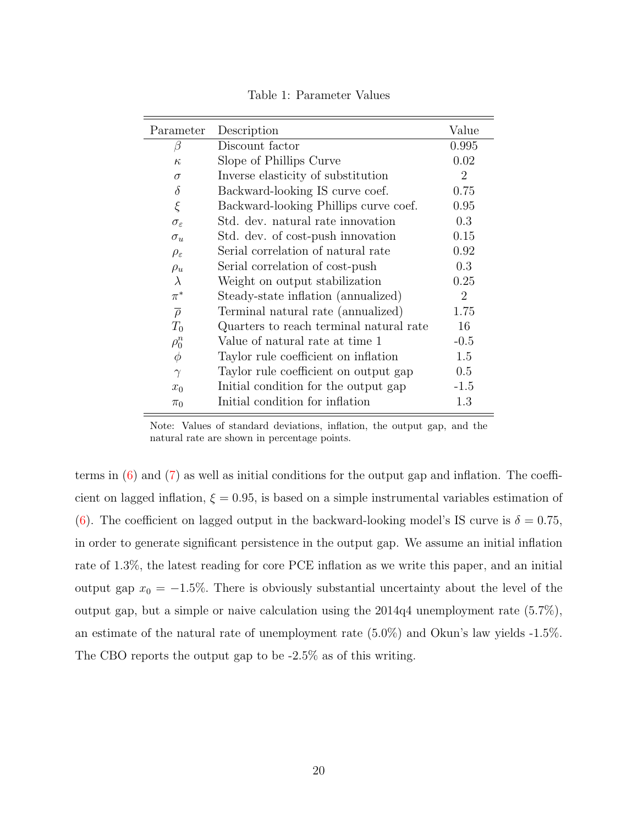| Parameter              | Description                             | Value          |
|------------------------|-----------------------------------------|----------------|
| $\beta$                | Discount factor                         | 0.995          |
| $\kappa$               | Slope of Phillips Curve                 | 0.02           |
| $\sigma$               | Inverse elasticity of substitution      | $\overline{2}$ |
| $\delta$               | Backward-looking IS curve coef.         | 0.75           |
| $\xi$                  | Backward-looking Phillips curve coef.   | 0.95           |
| $\sigma_{\varepsilon}$ | Std. dev. natural rate innovation       | 0.3            |
| $\sigma_u$             | Std. dev. of cost-push innovation       | 0.15           |
| $\rho_{\varepsilon}$   | Serial correlation of natural rate      | 0.92           |
| $\rho_u$               | Serial correlation of cost-push         | 0.3            |
| $\lambda$              | Weight on output stabilization          | 0.25           |
| $\pi^*$                | Steady-state inflation (annualized)     | $\overline{2}$ |
| $\overline{\rho}$      | Terminal natural rate (annualized)      | 1.75           |
| $T_0$                  | Quarters to reach terminal natural rate | 16             |
| $\rho_0^n$             | Value of natural rate at time 1         | $-0.5$         |
| $\phi$                 | Taylor rule coefficient on inflation    | 1.5            |
| $\gamma$               | Taylor rule coefficient on output gap   | 0.5            |
| $x_0$                  | Initial condition for the output gap    | $-1.5$         |
| $\pi_0$                | Initial condition for inflation         | 1.3            |
|                        |                                         |                |

<span id="page-20-0"></span>Table 1: Parameter Values

Note: Values of standard deviations, inflation, the output gap, and the natural rate are shown in percentage points.

terms in  $(6)$  and  $(7)$  as well as initial conditions for the output gap and inflation. The coefficient on lagged inflation,  $\xi = 0.95$ , is based on a simple instrumental variables estimation of [\(6\)](#page-14-0). The coefficient on lagged output in the backward-looking model's IS curve is  $\delta = 0.75$ , in order to generate significant persistence in the output gap. We assume an initial inflation rate of 1.3%, the latest reading for core PCE inflation as we write this paper, and an initial output gap  $x_0 = -1.5\%$ . There is obviously substantial uncertainty about the level of the output gap, but a simple or naive calculation using the 2014q4 unemployment rate (5.7%), an estimate of the natural rate of unemployment rate (5.0%) and Okun's law yields -1.5%. The CBO reports the output gap to be -2.5% as of this writing.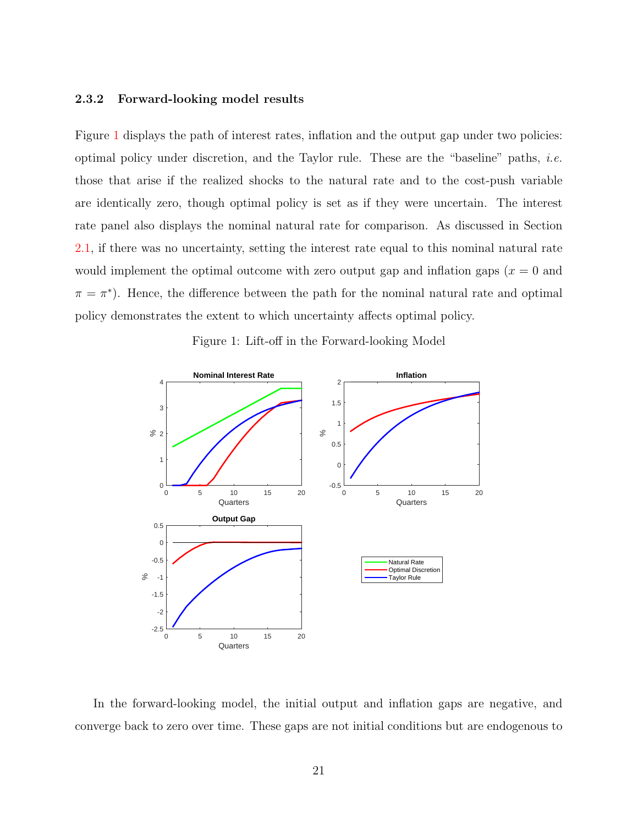## 2.3.2 Forward-looking model results

Figure [1](#page-21-0) displays the path of interest rates, inflation and the output gap under two policies: optimal policy under discretion, and the Taylor rule. These are the "baseline" paths, i.e. those that arise if the realized shocks to the natural rate and to the cost-push variable are identically zero, though optimal policy is set as if they were uncertain. The interest rate panel also displays the nominal natural rate for comparison. As discussed in Section [2.1,](#page-7-3) if there was no uncertainty, setting the interest rate equal to this nominal natural rate would implement the optimal outcome with zero output gap and inflation gaps  $(x = 0)$  and  $\pi = \pi^*$ ). Hence, the difference between the path for the nominal natural rate and optimal policy demonstrates the extent to which uncertainty affects optimal policy.



<span id="page-21-0"></span>Figure 1: Lift-off in the Forward-looking Model

In the forward-looking model, the initial output and inflation gaps are negative, and converge back to zero over time. These gaps are not initial conditions but are endogenous to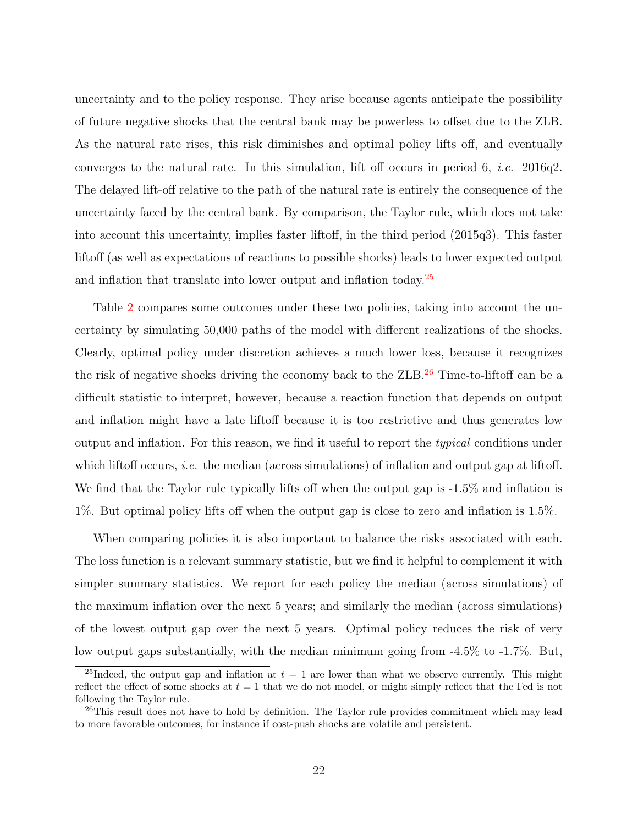uncertainty and to the policy response. They arise because agents anticipate the possibility of future negative shocks that the central bank may be powerless to offset due to the ZLB. As the natural rate rises, this risk diminishes and optimal policy lifts off, and eventually converges to the natural rate. In this simulation, lift off occurs in period 6, *i.e.* 2016q2. The delayed lift-off relative to the path of the natural rate is entirely the consequence of the uncertainty faced by the central bank. By comparison, the Taylor rule, which does not take into account this uncertainty, implies faster liftoff, in the third period (2015q3). This faster liftoff (as well as expectations of reactions to possible shocks) leads to lower expected output and inflation that translate into lower output and inflation today.<sup>[25](#page-0-0)</sup>

Table [2](#page-23-0) compares some outcomes under these two policies, taking into account the uncertainty by simulating 50,000 paths of the model with different realizations of the shocks. Clearly, optimal policy under discretion achieves a much lower loss, because it recognizes the risk of negative shocks driving the economy back to the ZLB.[26](#page-0-0) Time-to-liftoff can be a difficult statistic to interpret, however, because a reaction function that depends on output and inflation might have a late liftoff because it is too restrictive and thus generates low output and inflation. For this reason, we find it useful to report the typical conditions under which liftoff occurs, *i.e.* the median (across simulations) of inflation and output gap at liftoff. We find that the Taylor rule typically lifts off when the output gap is  $-1.5\%$  and inflation is 1%. But optimal policy lifts off when the output gap is close to zero and inflation is 1.5%.

When comparing policies it is also important to balance the risks associated with each. The loss function is a relevant summary statistic, but we find it helpful to complement it with simpler summary statistics. We report for each policy the median (across simulations) of the maximum inflation over the next 5 years; and similarly the median (across simulations) of the lowest output gap over the next 5 years. Optimal policy reduces the risk of very low output gaps substantially, with the median minimum going from -4.5% to -1.7%. But,

<sup>&</sup>lt;sup>25</sup>Indeed, the output gap and inflation at  $t = 1$  are lower than what we observe currently. This might reflect the effect of some shocks at  $t = 1$  that we do not model, or might simply reflect that the Fed is not following the Taylor rule.

 $^{26}$ This result does not have to hold by definition. The Taylor rule provides commitment which may lead to more favorable outcomes, for instance if cost-push shocks are volatile and persistent.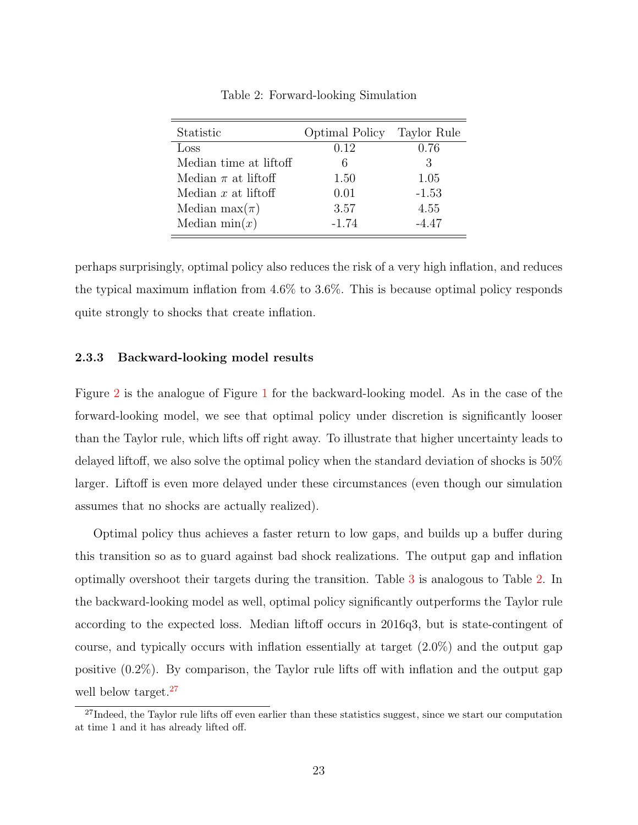| Statistic               | Optimal Policy Taylor Rule |         |
|-------------------------|----------------------------|---------|
| Loss                    | 0.12                       | 0.76    |
| Median time at liftoff  | 6                          | 3       |
| Median $\pi$ at liftoff | 1.50                       | 1.05    |
| Median $x$ at liftoff   | 0.01                       | $-1.53$ |
| Median max $(\pi)$      | 3.57                       | 4.55    |
| Median $min(x)$         | $-1.74$                    | $-4.47$ |

<span id="page-23-0"></span>Table 2: Forward-looking Simulation

perhaps surprisingly, optimal policy also reduces the risk of a very high inflation, and reduces the typical maximum inflation from 4.6% to 3.6%. This is because optimal policy responds quite strongly to shocks that create inflation.

#### 2.3.3 Backward-looking model results

Figure [2](#page-24-0) is the analogue of Figure [1](#page-21-0) for the backward-looking model. As in the case of the forward-looking model, we see that optimal policy under discretion is significantly looser than the Taylor rule, which lifts off right away. To illustrate that higher uncertainty leads to delayed liftoff, we also solve the optimal policy when the standard deviation of shocks is 50% larger. Liftoff is even more delayed under these circumstances (even though our simulation assumes that no shocks are actually realized).

Optimal policy thus achieves a faster return to low gaps, and builds up a buffer during this transition so as to guard against bad shock realizations. The output gap and inflation optimally overshoot their targets during the transition. Table [3](#page-24-1) is analogous to Table [2.](#page-23-0) In the backward-looking model as well, optimal policy significantly outperforms the Taylor rule according to the expected loss. Median liftoff occurs in 2016q3, but is state-contingent of course, and typically occurs with inflation essentially at target (2.0%) and the output gap positive (0.2%). By comparison, the Taylor rule lifts off with inflation and the output gap well below target.<sup>[27](#page-0-0)</sup>

<sup>&</sup>lt;sup>27</sup>Indeed, the Taylor rule lifts off even earlier than these statistics suggest, since we start our computation at time 1 and it has already lifted off.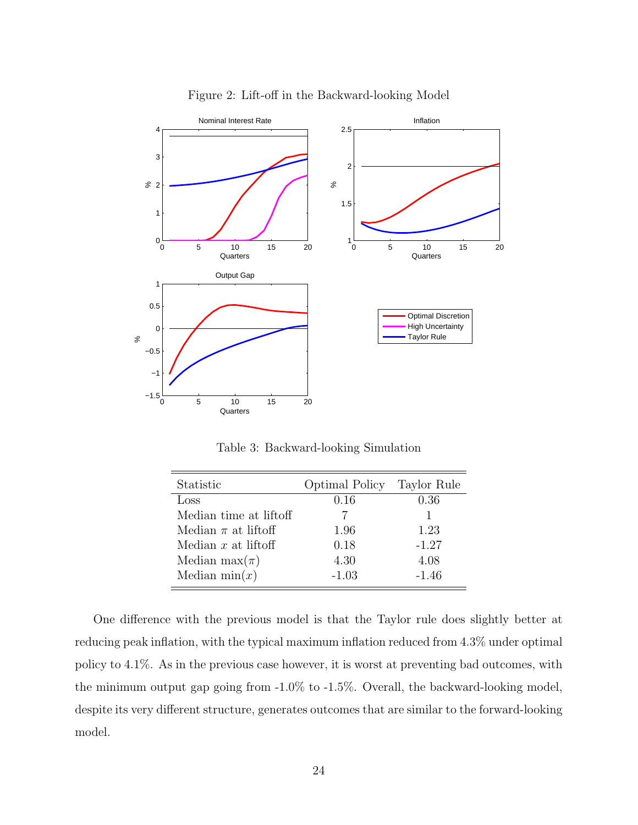

<span id="page-24-0"></span>Figure 2: Lift-off in the Backward-looking Model

<span id="page-24-1"></span>Table 3: Backward-looking Simulation

| Statistic               | <b>Optimal Policy</b> | Taylor Rule |
|-------------------------|-----------------------|-------------|
| Loss                    | 0.16                  | 0.36        |
| Median time at liftoff  |                       |             |
| Median $\pi$ at liftoff | 1.96                  | 1.23        |
| Median $x$ at liftoff   | 0.18                  | $-1.27$     |
| Median max $(\pi)$      | 4.30                  | 4.08        |
| Median $min(x)$         | $-1.03$               | $-1.46$     |

One difference with the previous model is that the Taylor rule does slightly better at reducing peak inflation, with the typical maximum inflation reduced from 4.3% under optimal policy to 4.1%. As in the previous case however, it is worst at preventing bad outcomes, with the minimum output gap going from -1.0% to -1.5%. Overall, the backward-looking model, despite its very different structure, generates outcomes that are similar to the forward-looking model.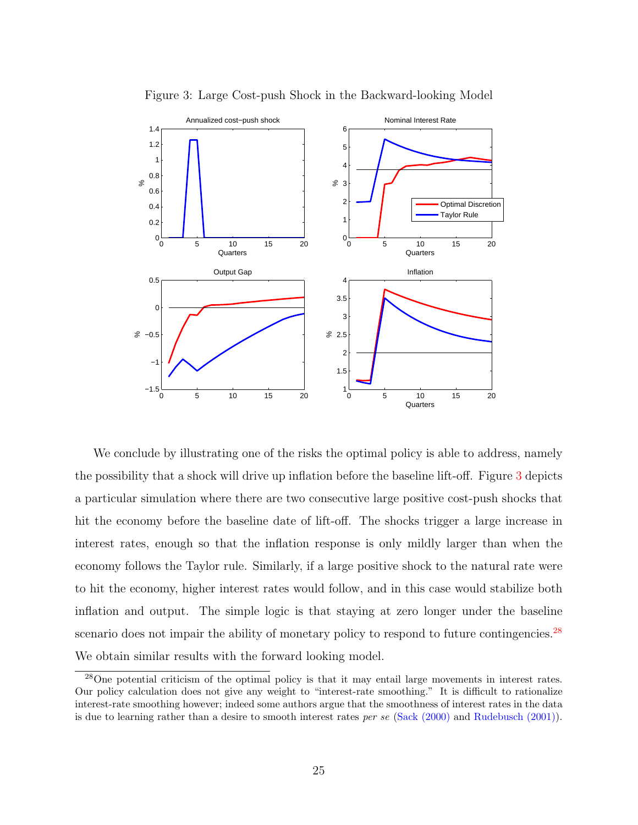

<span id="page-25-0"></span>Figure 3: Large Cost-push Shock in the Backward-looking Model

We conclude by illustrating one of the risks the optimal policy is able to address, namely the possibility that a shock will drive up inflation before the baseline lift-off. Figure [3](#page-25-0) depicts a particular simulation where there are two consecutive large positive cost-push shocks that hit the economy before the baseline date of lift-off. The shocks trigger a large increase in interest rates, enough so that the inflation response is only mildly larger than when the economy follows the Taylor rule. Similarly, if a large positive shock to the natural rate were to hit the economy, higher interest rates would follow, and in this case would stabilize both inflation and output. The simple logic is that staying at zero longer under the baseline scenario does not impair the ability of monetary policy to respond to future contingencies.<sup>[28](#page-0-0)</sup> We obtain similar results with the forward looking model.

<sup>28</sup>One potential criticism of the optimal policy is that it may entail large movements in interest rates. Our policy calculation does not give any weight to "interest-rate smoothing." It is difficult to rationalize interest-rate smoothing however; indeed some authors argue that the smoothness of interest rates in the data is due to learning rather than a desire to smooth interest rates per se [\(Sack](#page-60-8) [\(2000\)](#page-60-8) and [Rudebusch](#page-60-9) [\(2001\)](#page-60-9)).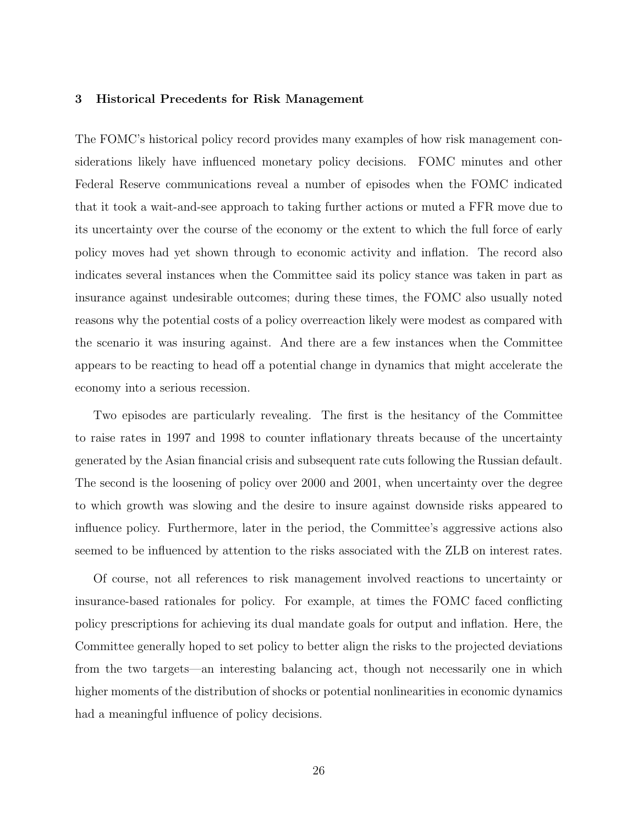#### <span id="page-26-0"></span>3 Historical Precedents for Risk Management

The FOMC's historical policy record provides many examples of how risk management considerations likely have influenced monetary policy decisions. FOMC minutes and other Federal Reserve communications reveal a number of episodes when the FOMC indicated that it took a wait-and-see approach to taking further actions or muted a FFR move due to its uncertainty over the course of the economy or the extent to which the full force of early policy moves had yet shown through to economic activity and inflation. The record also indicates several instances when the Committee said its policy stance was taken in part as insurance against undesirable outcomes; during these times, the FOMC also usually noted reasons why the potential costs of a policy overreaction likely were modest as compared with the scenario it was insuring against. And there are a few instances when the Committee appears to be reacting to head off a potential change in dynamics that might accelerate the economy into a serious recession.

Two episodes are particularly revealing. The first is the hesitancy of the Committee to raise rates in 1997 and 1998 to counter inflationary threats because of the uncertainty generated by the Asian financial crisis and subsequent rate cuts following the Russian default. The second is the loosening of policy over 2000 and 2001, when uncertainty over the degree to which growth was slowing and the desire to insure against downside risks appeared to influence policy. Furthermore, later in the period, the Committee's aggressive actions also seemed to be influenced by attention to the risks associated with the ZLB on interest rates.

Of course, not all references to risk management involved reactions to uncertainty or insurance-based rationales for policy. For example, at times the FOMC faced conflicting policy prescriptions for achieving its dual mandate goals for output and inflation. Here, the Committee generally hoped to set policy to better align the risks to the projected deviations from the two targets—an interesting balancing act, though not necessarily one in which higher moments of the distribution of shocks or potential nonlinearities in economic dynamics had a meaningful influence of policy decisions.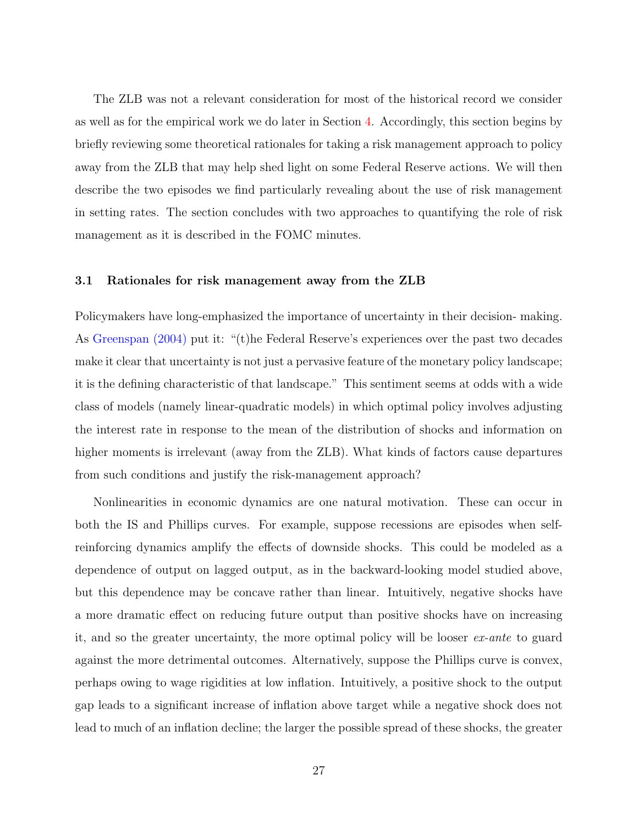The ZLB was not a relevant consideration for most of the historical record we consider as well as for the empirical work we do later in Section [4.](#page-43-0) Accordingly, this section begins by briefly reviewing some theoretical rationales for taking a risk management approach to policy away from the ZLB that may help shed light on some Federal Reserve actions. We will then describe the two episodes we find particularly revealing about the use of risk management in setting rates. The section concludes with two approaches to quantifying the role of risk management as it is described in the FOMC minutes.

#### <span id="page-27-0"></span>3.1 Rationales for risk management away from the ZLB

Policymakers have long-emphasized the importance of uncertainty in their decision- making. As [Greenspan](#page-58-1) [\(2004\)](#page-58-1) put it: "(t)he Federal Reserve's experiences over the past two decades make it clear that uncertainty is not just a pervasive feature of the monetary policy landscape; it is the defining characteristic of that landscape." This sentiment seems at odds with a wide class of models (namely linear-quadratic models) in which optimal policy involves adjusting the interest rate in response to the mean of the distribution of shocks and information on higher moments is irrelevant (away from the ZLB). What kinds of factors cause departures from such conditions and justify the risk-management approach?

Nonlinearities in economic dynamics are one natural motivation. These can occur in both the IS and Phillips curves. For example, suppose recessions are episodes when selfreinforcing dynamics amplify the effects of downside shocks. This could be modeled as a dependence of output on lagged output, as in the backward-looking model studied above, but this dependence may be concave rather than linear. Intuitively, negative shocks have a more dramatic effect on reducing future output than positive shocks have on increasing it, and so the greater uncertainty, the more optimal policy will be looser ex-ante to guard against the more detrimental outcomes. Alternatively, suppose the Phillips curve is convex, perhaps owing to wage rigidities at low inflation. Intuitively, a positive shock to the output gap leads to a significant increase of inflation above target while a negative shock does not lead to much of an inflation decline; the larger the possible spread of these shocks, the greater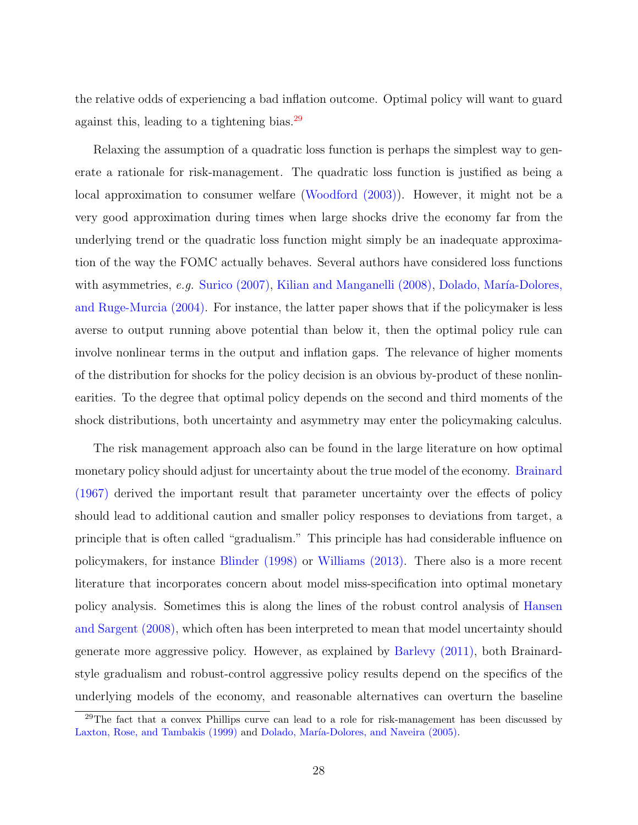the relative odds of experiencing a bad inflation outcome. Optimal policy will want to guard against this, leading to a tightening bias.[29](#page-0-0)

Relaxing the assumption of a quadratic loss function is perhaps the simplest way to generate a rationale for risk-management. The quadratic loss function is justified as being a local approximation to consumer welfare [\(Woodford](#page-60-0) [\(2003\)](#page-60-0)). However, it might not be a very good approximation during times when large shocks drive the economy far from the underlying trend or the quadratic loss function might simply be an inadequate approximation of the way the FOMC actually behaves. Several authors have considered loss functions with asymmetries,  $e.g.$  [Surico](#page-60-10) [\(2007\)](#page-60-10), [Kilian and Manganelli](#page-59-11) [\(2008\)](#page-59-11), Dolado, María-Dolores, [and Ruge-Murcia](#page-57-9) [\(2004\)](#page-57-9). For instance, the latter paper shows that if the policymaker is less averse to output running above potential than below it, then the optimal policy rule can involve nonlinear terms in the output and inflation gaps. The relevance of higher moments of the distribution for shocks for the policy decision is an obvious by-product of these nonlinearities. To the degree that optimal policy depends on the second and third moments of the shock distributions, both uncertainty and asymmetry may enter the policymaking calculus.

The risk management approach also can be found in the large literature on how optimal monetary policy should adjust for uncertainty about the true model of the economy. [Brainard](#page-56-8) [\(1967\)](#page-56-8) derived the important result that parameter uncertainty over the effects of policy should lead to additional caution and smaller policy responses to deviations from target, a principle that is often called "gradualism." This principle has had considerable influence on policymakers, for instance [Blinder](#page-56-9) [\(1998\)](#page-56-9) or [Williams](#page-60-11) [\(2013\)](#page-60-11). There also is a more recent literature that incorporates concern about model miss-specification into optimal monetary policy analysis. Sometimes this is along the lines of the robust control analysis of [Hansen](#page-58-11) [and Sargent](#page-58-11) [\(2008\)](#page-58-11), which often has been interpreted to mean that model uncertainty should generate more aggressive policy. However, as explained by [Barlevy](#page-56-10) [\(2011\)](#page-56-10), both Brainardstyle gradualism and robust-control aggressive policy results depend on the specifics of the underlying models of the economy, and reasonable alternatives can overturn the baseline

 $29$ The fact that a convex Phillips curve can lead to a role for risk-management has been discussed by [Laxton, Rose, and Tambakis](#page-59-12) [\(1999\)](#page-59-12) and Dolado, María-Dolores, and Naveira [\(2005\)](#page-57-10).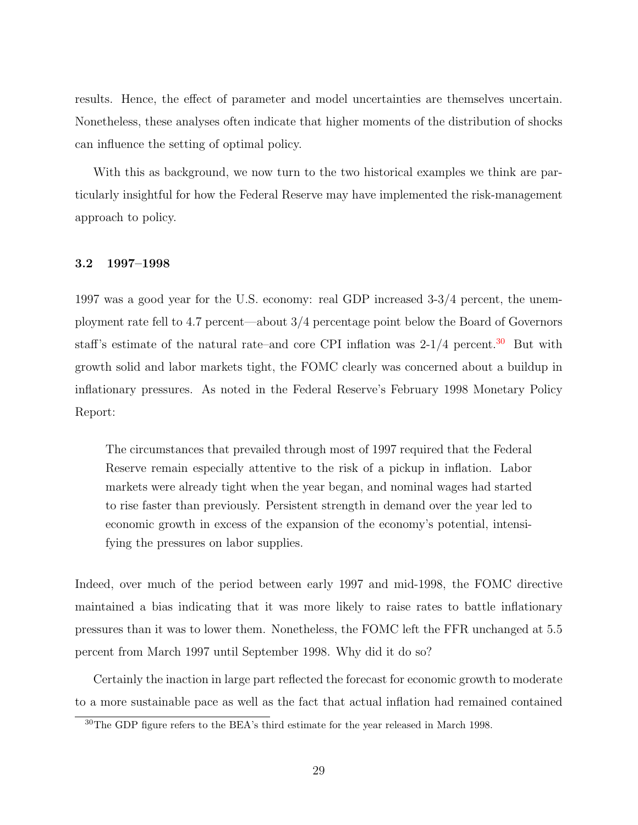results. Hence, the effect of parameter and model uncertainties are themselves uncertain. Nonetheless, these analyses often indicate that higher moments of the distribution of shocks can influence the setting of optimal policy.

With this as background, we now turn to the two historical examples we think are particularly insightful for how the Federal Reserve may have implemented the risk-management approach to policy.

#### 3.2 1997–1998

1997 was a good year for the U.S. economy: real GDP increased 3-3/4 percent, the unemployment rate fell to 4.7 percent—about 3/4 percentage point below the Board of Governors staff's estimate of the natural rate–and core CPI inflation was  $2-1/4$  percent.<sup>[30](#page-0-0)</sup> But with growth solid and labor markets tight, the FOMC clearly was concerned about a buildup in inflationary pressures. As noted in the Federal Reserve's February 1998 Monetary Policy Report:

The circumstances that prevailed through most of 1997 required that the Federal Reserve remain especially attentive to the risk of a pickup in inflation. Labor markets were already tight when the year began, and nominal wages had started to rise faster than previously. Persistent strength in demand over the year led to economic growth in excess of the expansion of the economy's potential, intensifying the pressures on labor supplies.

Indeed, over much of the period between early 1997 and mid-1998, the FOMC directive maintained a bias indicating that it was more likely to raise rates to battle inflationary pressures than it was to lower them. Nonetheless, the FOMC left the FFR unchanged at 5.5 percent from March 1997 until September 1998. Why did it do so?

Certainly the inaction in large part reflected the forecast for economic growth to moderate to a more sustainable pace as well as the fact that actual inflation had remained contained

<sup>30</sup>The GDP figure refers to the BEA's third estimate for the year released in March 1998.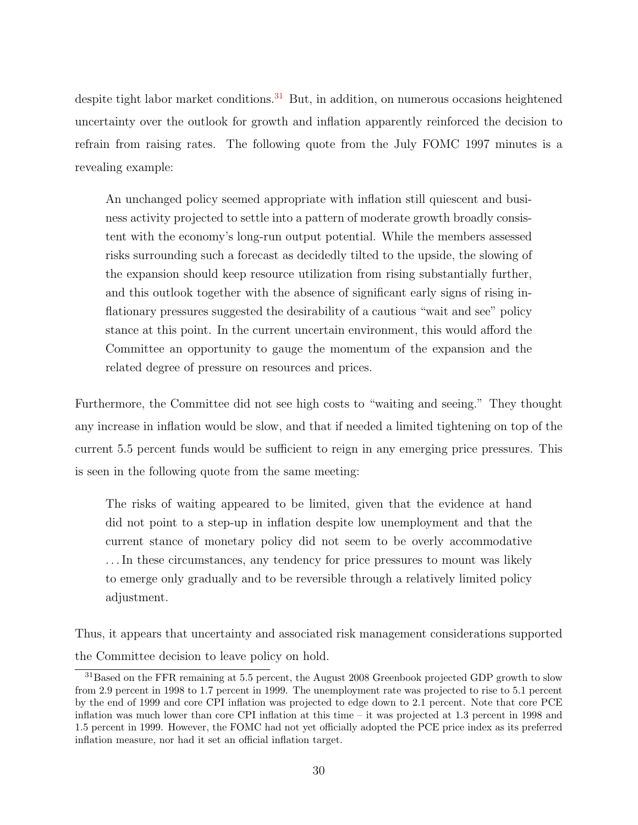despite tight labor market conditions.<sup>[31](#page-0-0)</sup> But, in addition, on numerous occasions heightened uncertainty over the outlook for growth and inflation apparently reinforced the decision to refrain from raising rates. The following quote from the July FOMC 1997 minutes is a revealing example:

An unchanged policy seemed appropriate with inflation still quiescent and business activity projected to settle into a pattern of moderate growth broadly consistent with the economy's long-run output potential. While the members assessed risks surrounding such a forecast as decidedly tilted to the upside, the slowing of the expansion should keep resource utilization from rising substantially further, and this outlook together with the absence of significant early signs of rising inflationary pressures suggested the desirability of a cautious "wait and see" policy stance at this point. In the current uncertain environment, this would afford the Committee an opportunity to gauge the momentum of the expansion and the related degree of pressure on resources and prices.

Furthermore, the Committee did not see high costs to "waiting and seeing." They thought any increase in inflation would be slow, and that if needed a limited tightening on top of the current 5.5 percent funds would be sufficient to reign in any emerging price pressures. This is seen in the following quote from the same meeting:

The risks of waiting appeared to be limited, given that the evidence at hand did not point to a step-up in inflation despite low unemployment and that the current stance of monetary policy did not seem to be overly accommodative . . . In these circumstances, any tendency for price pressures to mount was likely to emerge only gradually and to be reversible through a relatively limited policy adjustment.

Thus, it appears that uncertainty and associated risk management considerations supported the Committee decision to leave policy on hold.

<sup>&</sup>lt;sup>31</sup>Based on the FFR remaining at 5.5 percent, the August 2008 Greenbook projected GDP growth to slow from 2.9 percent in 1998 to 1.7 percent in 1999. The unemployment rate was projected to rise to 5.1 percent by the end of 1999 and core CPI inflation was projected to edge down to 2.1 percent. Note that core PCE inflation was much lower than core CPI inflation at this time – it was projected at 1.3 percent in 1998 and 1.5 percent in 1999. However, the FOMC had not yet officially adopted the PCE price index as its preferred inflation measure, nor had it set an official inflation target.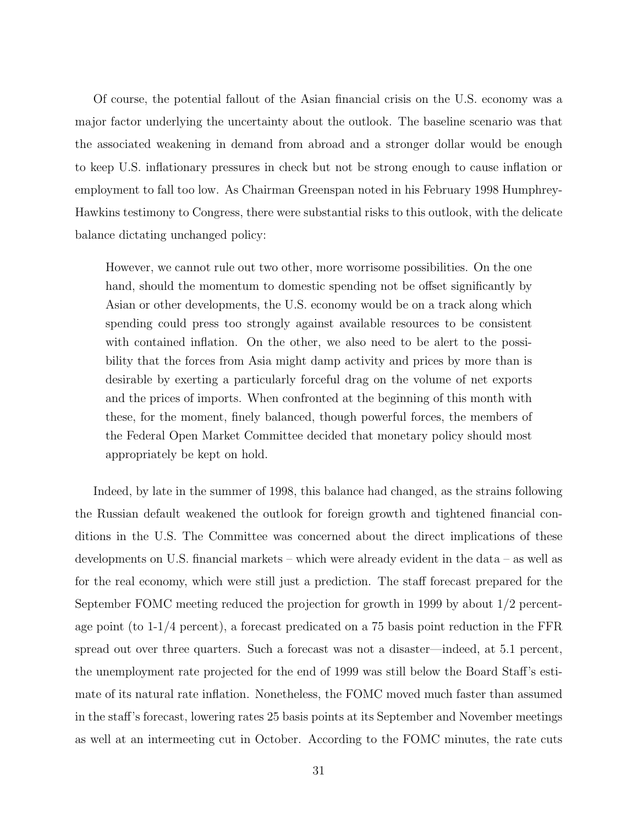Of course, the potential fallout of the Asian financial crisis on the U.S. economy was a major factor underlying the uncertainty about the outlook. The baseline scenario was that the associated weakening in demand from abroad and a stronger dollar would be enough to keep U.S. inflationary pressures in check but not be strong enough to cause inflation or employment to fall too low. As Chairman Greenspan noted in his February 1998 Humphrey-Hawkins testimony to Congress, there were substantial risks to this outlook, with the delicate balance dictating unchanged policy:

However, we cannot rule out two other, more worrisome possibilities. On the one hand, should the momentum to domestic spending not be offset significantly by Asian or other developments, the U.S. economy would be on a track along which spending could press too strongly against available resources to be consistent with contained inflation. On the other, we also need to be alert to the possibility that the forces from Asia might damp activity and prices by more than is desirable by exerting a particularly forceful drag on the volume of net exports and the prices of imports. When confronted at the beginning of this month with these, for the moment, finely balanced, though powerful forces, the members of the Federal Open Market Committee decided that monetary policy should most appropriately be kept on hold.

Indeed, by late in the summer of 1998, this balance had changed, as the strains following the Russian default weakened the outlook for foreign growth and tightened financial conditions in the U.S. The Committee was concerned about the direct implications of these developments on U.S. financial markets – which were already evident in the data – as well as for the real economy, which were still just a prediction. The staff forecast prepared for the September FOMC meeting reduced the projection for growth in 1999 by about 1/2 percentage point (to 1-1/4 percent), a forecast predicated on a 75 basis point reduction in the FFR spread out over three quarters. Such a forecast was not a disaster—indeed, at 5.1 percent, the unemployment rate projected for the end of 1999 was still below the Board Staff's estimate of its natural rate inflation. Nonetheless, the FOMC moved much faster than assumed in the staff's forecast, lowering rates 25 basis points at its September and November meetings as well at an intermeeting cut in October. According to the FOMC minutes, the rate cuts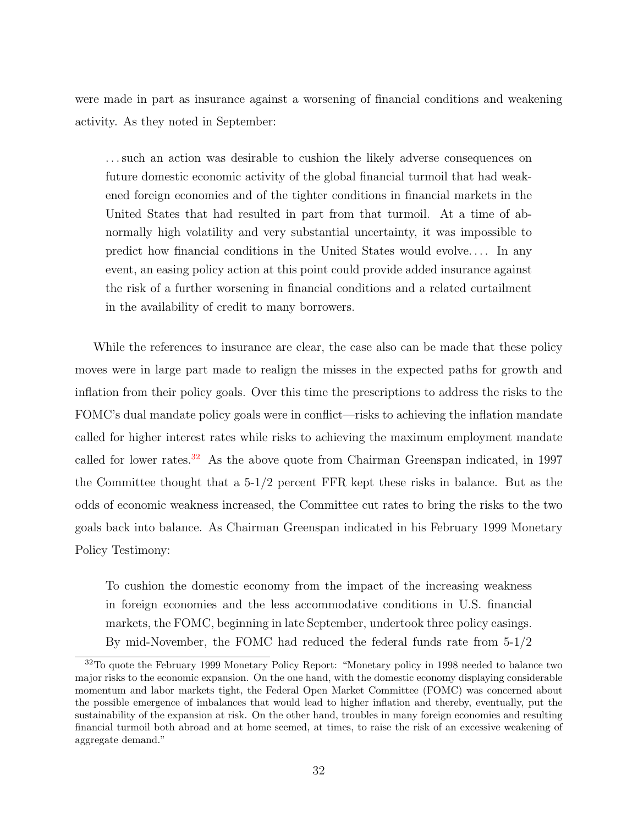were made in part as insurance against a worsening of financial conditions and weakening activity. As they noted in September:

. . . such an action was desirable to cushion the likely adverse consequences on future domestic economic activity of the global financial turmoil that had weakened foreign economies and of the tighter conditions in financial markets in the United States that had resulted in part from that turmoil. At a time of abnormally high volatility and very substantial uncertainty, it was impossible to predict how financial conditions in the United States would evolve. . . . In any event, an easing policy action at this point could provide added insurance against the risk of a further worsening in financial conditions and a related curtailment in the availability of credit to many borrowers.

While the references to insurance are clear, the case also can be made that these policy moves were in large part made to realign the misses in the expected paths for growth and inflation from their policy goals. Over this time the prescriptions to address the risks to the FOMC's dual mandate policy goals were in conflict—risks to achieving the inflation mandate called for higher interest rates while risks to achieving the maximum employment mandate called for lower rates.[32](#page-0-0) As the above quote from Chairman Greenspan indicated, in 1997 the Committee thought that a 5-1/2 percent FFR kept these risks in balance. But as the odds of economic weakness increased, the Committee cut rates to bring the risks to the two goals back into balance. As Chairman Greenspan indicated in his February 1999 Monetary Policy Testimony:

To cushion the domestic economy from the impact of the increasing weakness in foreign economies and the less accommodative conditions in U.S. financial markets, the FOMC, beginning in late September, undertook three policy easings. By mid-November, the FOMC had reduced the federal funds rate from 5-1/2

<sup>&</sup>lt;sup>32</sup>To quote the February 1999 Monetary Policy Report: "Monetary policy in 1998 needed to balance two major risks to the economic expansion. On the one hand, with the domestic economy displaying considerable momentum and labor markets tight, the Federal Open Market Committee (FOMC) was concerned about the possible emergence of imbalances that would lead to higher inflation and thereby, eventually, put the sustainability of the expansion at risk. On the other hand, troubles in many foreign economies and resulting financial turmoil both abroad and at home seemed, at times, to raise the risk of an excessive weakening of aggregate demand."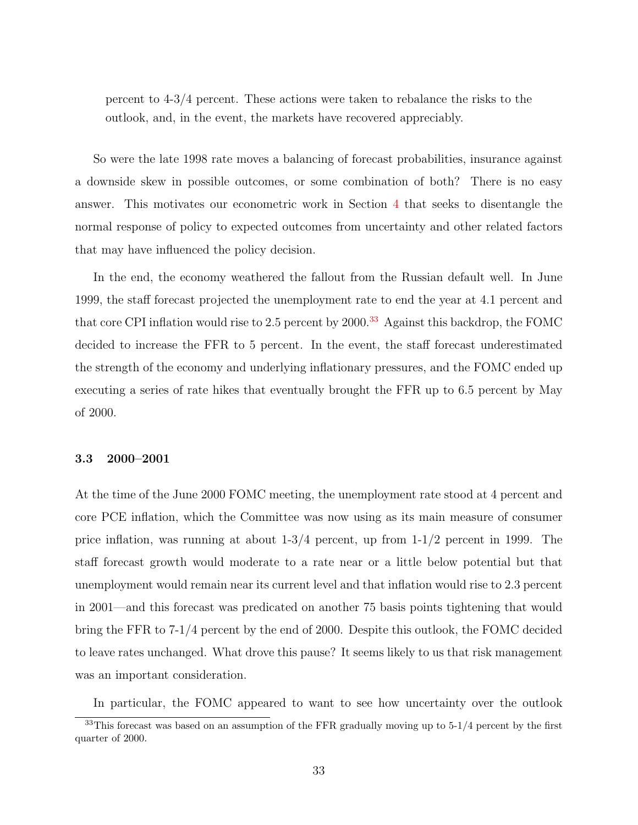percent to 4-3/4 percent. These actions were taken to rebalance the risks to the outlook, and, in the event, the markets have recovered appreciably.

So were the late 1998 rate moves a balancing of forecast probabilities, insurance against a downside skew in possible outcomes, or some combination of both? There is no easy answer. This motivates our econometric work in Section [4](#page-43-0) that seeks to disentangle the normal response of policy to expected outcomes from uncertainty and other related factors that may have influenced the policy decision.

In the end, the economy weathered the fallout from the Russian default well. In June 1999, the staff forecast projected the unemployment rate to end the year at 4.1 percent and that core CPI inflation would rise to 2.5 percent by  $2000$ .<sup>[33](#page-0-0)</sup> Against this backdrop, the FOMC decided to increase the FFR to 5 percent. In the event, the staff forecast underestimated the strength of the economy and underlying inflationary pressures, and the FOMC ended up executing a series of rate hikes that eventually brought the FFR up to 6.5 percent by May of 2000.

#### 3.3 2000–2001

At the time of the June 2000 FOMC meeting, the unemployment rate stood at 4 percent and core PCE inflation, which the Committee was now using as its main measure of consumer price inflation, was running at about  $1-3/4$  percent, up from  $1-1/2$  percent in 1999. The staff forecast growth would moderate to a rate near or a little below potential but that unemployment would remain near its current level and that inflation would rise to 2.3 percent in 2001—and this forecast was predicated on another 75 basis points tightening that would bring the FFR to 7-1/4 percent by the end of 2000. Despite this outlook, the FOMC decided to leave rates unchanged. What drove this pause? It seems likely to us that risk management was an important consideration.

In particular, the FOMC appeared to want to see how uncertainty over the outlook

 $33$ This forecast was based on an assumption of the FFR gradually moving up to  $5-1/4$  percent by the first quarter of 2000.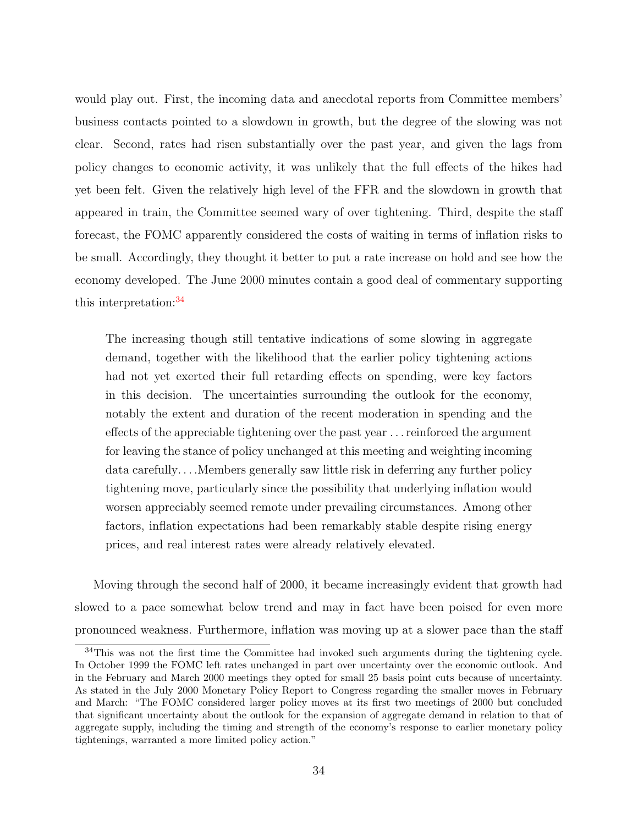would play out. First, the incoming data and anecdotal reports from Committee members' business contacts pointed to a slowdown in growth, but the degree of the slowing was not clear. Second, rates had risen substantially over the past year, and given the lags from policy changes to economic activity, it was unlikely that the full effects of the hikes had yet been felt. Given the relatively high level of the FFR and the slowdown in growth that appeared in train, the Committee seemed wary of over tightening. Third, despite the staff forecast, the FOMC apparently considered the costs of waiting in terms of inflation risks to be small. Accordingly, they thought it better to put a rate increase on hold and see how the economy developed. The June 2000 minutes contain a good deal of commentary supporting this interpretation:<sup>[34](#page-0-0)</sup>

The increasing though still tentative indications of some slowing in aggregate demand, together with the likelihood that the earlier policy tightening actions had not yet exerted their full retarding effects on spending, were key factors in this decision. The uncertainties surrounding the outlook for the economy, notably the extent and duration of the recent moderation in spending and the effects of the appreciable tightening over the past year . . . reinforced the argument for leaving the stance of policy unchanged at this meeting and weighting incoming data carefully. . . .Members generally saw little risk in deferring any further policy tightening move, particularly since the possibility that underlying inflation would worsen appreciably seemed remote under prevailing circumstances. Among other factors, inflation expectations had been remarkably stable despite rising energy prices, and real interest rates were already relatively elevated.

Moving through the second half of 2000, it became increasingly evident that growth had slowed to a pace somewhat below trend and may in fact have been poised for even more pronounced weakness. Furthermore, inflation was moving up at a slower pace than the staff

<sup>&</sup>lt;sup>34</sup>This was not the first time the Committee had invoked such arguments during the tightening cycle. In October 1999 the FOMC left rates unchanged in part over uncertainty over the economic outlook. And in the February and March 2000 meetings they opted for small 25 basis point cuts because of uncertainty. As stated in the July 2000 Monetary Policy Report to Congress regarding the smaller moves in February and March: "The FOMC considered larger policy moves at its first two meetings of 2000 but concluded that significant uncertainty about the outlook for the expansion of aggregate demand in relation to that of aggregate supply, including the timing and strength of the economy's response to earlier monetary policy tightenings, warranted a more limited policy action."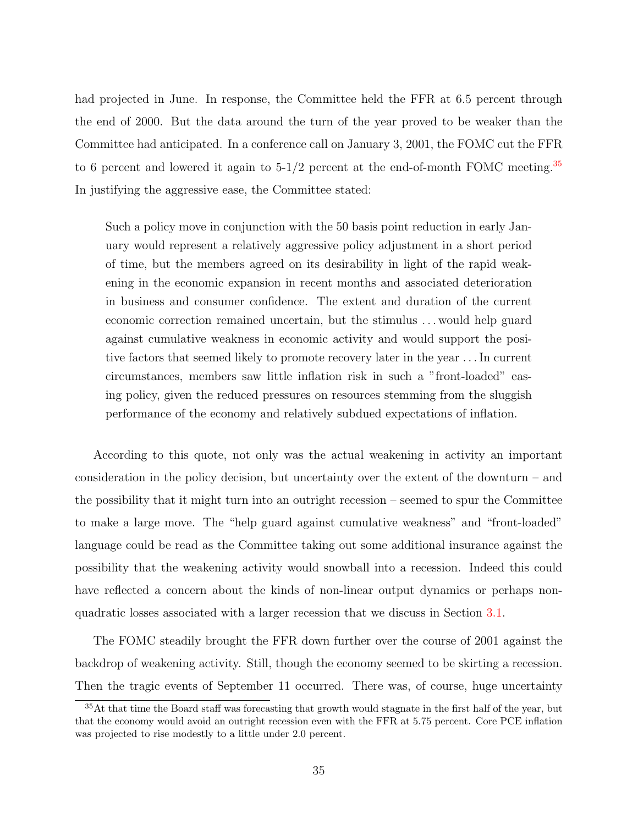had projected in June. In response, the Committee held the FFR at 6.5 percent through the end of 2000. But the data around the turn of the year proved to be weaker than the Committee had anticipated. In a conference call on January 3, 2001, the FOMC cut the FFR to 6 percent and lowered it again to  $5-1/2$  percent at the end-of-month FOMC meeting.<sup>[35](#page-0-0)</sup> In justifying the aggressive ease, the Committee stated:

Such a policy move in conjunction with the 50 basis point reduction in early January would represent a relatively aggressive policy adjustment in a short period of time, but the members agreed on its desirability in light of the rapid weakening in the economic expansion in recent months and associated deterioration in business and consumer confidence. The extent and duration of the current economic correction remained uncertain, but the stimulus . . . would help guard against cumulative weakness in economic activity and would support the positive factors that seemed likely to promote recovery later in the year . . . In current circumstances, members saw little inflation risk in such a "front-loaded" easing policy, given the reduced pressures on resources stemming from the sluggish performance of the economy and relatively subdued expectations of inflation.

According to this quote, not only was the actual weakening in activity an important consideration in the policy decision, but uncertainty over the extent of the downturn – and the possibility that it might turn into an outright recession – seemed to spur the Committee to make a large move. The "help guard against cumulative weakness" and "front-loaded" language could be read as the Committee taking out some additional insurance against the possibility that the weakening activity would snowball into a recession. Indeed this could have reflected a concern about the kinds of non-linear output dynamics or perhaps nonquadratic losses associated with a larger recession that we discuss in Section [3.1.](#page-27-0)

The FOMC steadily brought the FFR down further over the course of 2001 against the backdrop of weakening activity. Still, though the economy seemed to be skirting a recession. Then the tragic events of September 11 occurred. There was, of course, huge uncertainty

<sup>&</sup>lt;sup>35</sup>At that time the Board staff was forecasting that growth would stagnate in the first half of the year, but that the economy would avoid an outright recession even with the FFR at 5.75 percent. Core PCE inflation was projected to rise modestly to a little under 2.0 percent.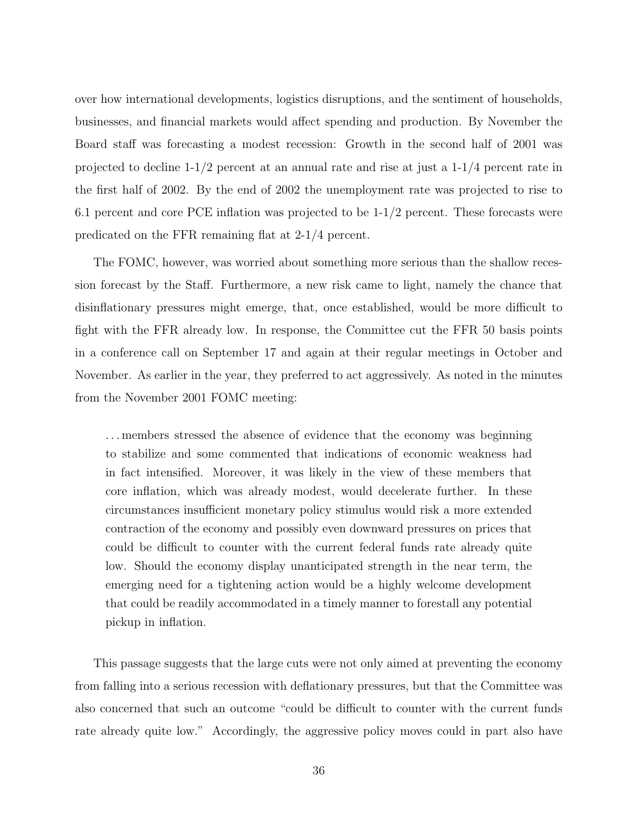over how international developments, logistics disruptions, and the sentiment of households, businesses, and financial markets would affect spending and production. By November the Board staff was forecasting a modest recession: Growth in the second half of 2001 was projected to decline  $1-1/2$  percent at an annual rate and rise at just a  $1-1/4$  percent rate in the first half of 2002. By the end of 2002 the unemployment rate was projected to rise to 6.1 percent and core PCE inflation was projected to be 1-1/2 percent. These forecasts were predicated on the FFR remaining flat at 2-1/4 percent.

The FOMC, however, was worried about something more serious than the shallow recession forecast by the Staff. Furthermore, a new risk came to light, namely the chance that disinflationary pressures might emerge, that, once established, would be more difficult to fight with the FFR already low. In response, the Committee cut the FFR 50 basis points in a conference call on September 17 and again at their regular meetings in October and November. As earlier in the year, they preferred to act aggressively. As noted in the minutes from the November 2001 FOMC meeting:

. . . members stressed the absence of evidence that the economy was beginning to stabilize and some commented that indications of economic weakness had in fact intensified. Moreover, it was likely in the view of these members that core inflation, which was already modest, would decelerate further. In these circumstances insufficient monetary policy stimulus would risk a more extended contraction of the economy and possibly even downward pressures on prices that could be difficult to counter with the current federal funds rate already quite low. Should the economy display unanticipated strength in the near term, the emerging need for a tightening action would be a highly welcome development that could be readily accommodated in a timely manner to forestall any potential pickup in inflation.

This passage suggests that the large cuts were not only aimed at preventing the economy from falling into a serious recession with deflationary pressures, but that the Committee was also concerned that such an outcome "could be difficult to counter with the current funds rate already quite low." Accordingly, the aggressive policy moves could in part also have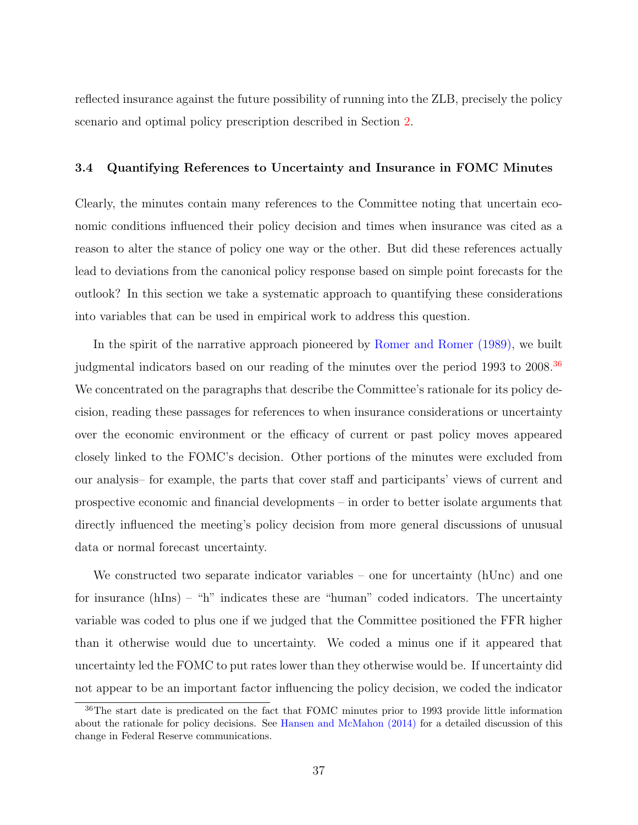reflected insurance against the future possibility of running into the ZLB, precisely the policy scenario and optimal policy prescription described in Section [2.](#page-6-0)

## 3.4 Quantifying References to Uncertainty and Insurance in FOMC Minutes

Clearly, the minutes contain many references to the Committee noting that uncertain economic conditions influenced their policy decision and times when insurance was cited as a reason to alter the stance of policy one way or the other. But did these references actually lead to deviations from the canonical policy response based on simple point forecasts for the outlook? In this section we take a systematic approach to quantifying these considerations into variables that can be used in empirical work to address this question.

In the spirit of the narrative approach pioneered by [Romer and Romer](#page-60-0) [\(1989\)](#page-60-0), we built judgmental indicators based on our reading of the minutes over the period 1993 to 2008.<sup>[36](#page-0-0)</sup> We concentrated on the paragraphs that describe the Committee's rationale for its policy decision, reading these passages for references to when insurance considerations or uncertainty over the economic environment or the efficacy of current or past policy moves appeared closely linked to the FOMC's decision. Other portions of the minutes were excluded from our analysis– for example, the parts that cover staff and participants' views of current and prospective economic and financial developments – in order to better isolate arguments that directly influenced the meeting's policy decision from more general discussions of unusual data or normal forecast uncertainty.

We constructed two separate indicator variables – one for uncertainty (hUnc) and one for insurance  $(hIns) - "h"$  indicates these are "human" coded indicators. The uncertainty variable was coded to plus one if we judged that the Committee positioned the FFR higher than it otherwise would due to uncertainty. We coded a minus one if it appeared that uncertainty led the FOMC to put rates lower than they otherwise would be. If uncertainty did not appear to be an important factor influencing the policy decision, we coded the indicator

<sup>36</sup>The start date is predicated on the fact that FOMC minutes prior to 1993 provide little information about the rationale for policy decisions. See [Hansen and McMahon](#page-58-0) [\(2014\)](#page-58-0) for a detailed discussion of this change in Federal Reserve communications.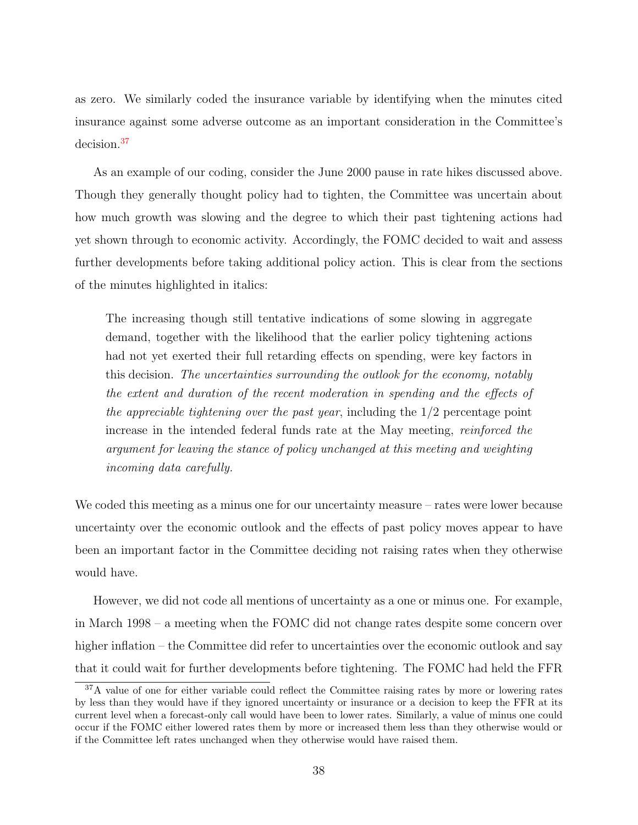as zero. We similarly coded the insurance variable by identifying when the minutes cited insurance against some adverse outcome as an important consideration in the Committee's decision.[37](#page-0-0)

As an example of our coding, consider the June 2000 pause in rate hikes discussed above. Though they generally thought policy had to tighten, the Committee was uncertain about how much growth was slowing and the degree to which their past tightening actions had yet shown through to economic activity. Accordingly, the FOMC decided to wait and assess further developments before taking additional policy action. This is clear from the sections of the minutes highlighted in italics:

The increasing though still tentative indications of some slowing in aggregate demand, together with the likelihood that the earlier policy tightening actions had not yet exerted their full retarding effects on spending, were key factors in this decision. The uncertainties surrounding the outlook for the economy, notably the extent and duration of the recent moderation in spending and the effects of the appreciable tightening over the past year, including the 1/2 percentage point increase in the intended federal funds rate at the May meeting, reinforced the argument for leaving the stance of policy unchanged at this meeting and weighting incoming data carefully.

We coded this meeting as a minus one for our uncertainty measure – rates were lower because uncertainty over the economic outlook and the effects of past policy moves appear to have been an important factor in the Committee deciding not raising rates when they otherwise would have.

However, we did not code all mentions of uncertainty as a one or minus one. For example, in March 1998 – a meeting when the FOMC did not change rates despite some concern over higher inflation – the Committee did refer to uncertainties over the economic outlook and say that it could wait for further developments before tightening. The FOMC had held the FFR

<sup>&</sup>lt;sup>37</sup>A value of one for either variable could reflect the Committee raising rates by more or lowering rates by less than they would have if they ignored uncertainty or insurance or a decision to keep the FFR at its current level when a forecast-only call would have been to lower rates. Similarly, a value of minus one could occur if the FOMC either lowered rates them by more or increased them less than they otherwise would or if the Committee left rates unchanged when they otherwise would have raised them.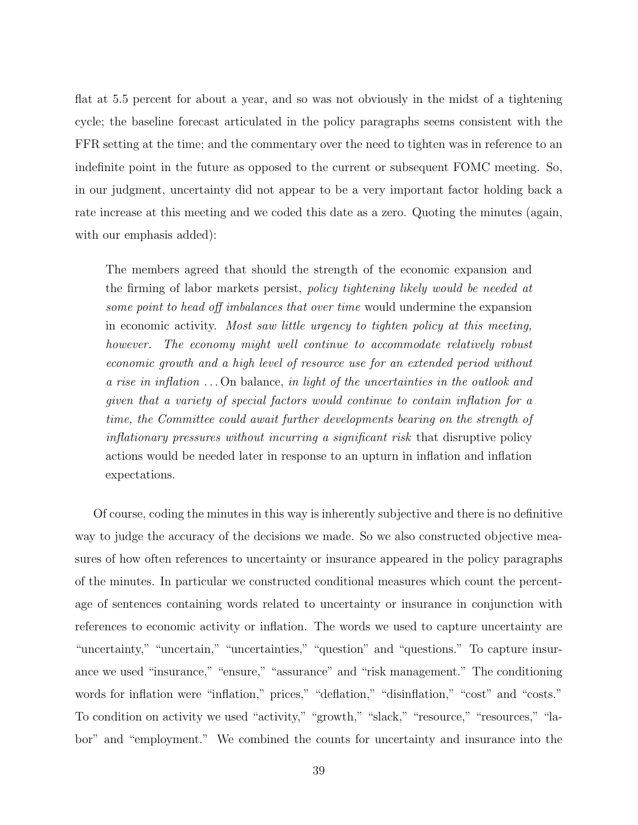flat at 5.5 percent for about a year, and so was not obviously in the midst of a tightening cycle; the baseline forecast articulated in the policy paragraphs seems consistent with the FFR setting at the time; and the commentary over the need to tighten was in reference to an indefinite point in the future as opposed to the current or subsequent FOMC meeting. So, in our judgment, uncertainty did not appear to be a very important factor holding back a rate increase at this meeting and we coded this date as a zero. Quoting the minutes (again, with our emphasis added):

The members agreed that should the strength of the economic expansion and the firming of labor markets persist, policy tightening likely would be needed at some point to head off imbalances that over time would undermine the expansion in economic activity. Most saw little urgency to tighten policy at this meeting, however. The economy might well continue to accommodate relatively robust economic growth and a high level of resource use for an extended period without a rise in inflation . . . On balance, in light of the uncertainties in the outlook and given that a variety of special factors would continue to contain inflation for a time, the Committee could await further developments bearing on the strength of inflationary pressures without incurring a significant risk that disruptive policy actions would be needed later in response to an upturn in inflation and inflation expectations.

Of course, coding the minutes in this way is inherently subjective and there is no definitive way to judge the accuracy of the decisions we made. So we also constructed objective measures of how often references to uncertainty or insurance appeared in the policy paragraphs of the minutes. In particular we constructed conditional measures which count the percentage of sentences containing words related to uncertainty or insurance in conjunction with references to economic activity or inflation. The words we used to capture uncertainty are "uncertainty," "uncertain," "uncertainties," "question" and "questions." To capture insurance we used "insurance," "ensure," "assurance" and "risk management." The conditioning words for inflation were "inflation," prices," "deflation," "disinflation," "cost" and "costs." To condition on activity we used "activity," "growth," "slack," "resource," "resources," "labor" and "employment." We combined the counts for uncertainty and insurance into the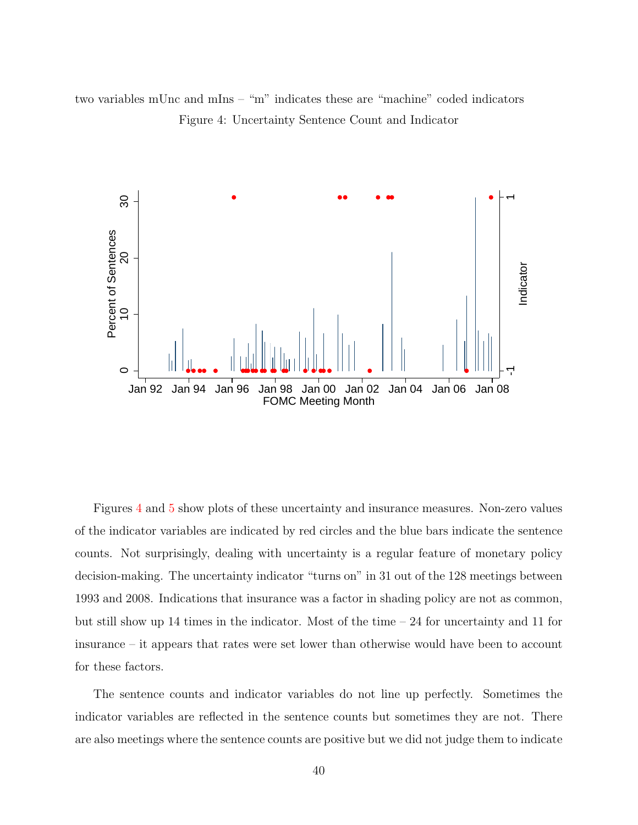<span id="page-40-0"></span>two variables mUnc and mIns – "m" indicates these are "machine" coded indicators Figure 4: Uncertainty Sentence Count and Indicator



Figures [4](#page-40-0) and [5](#page-41-0) show plots of these uncertainty and insurance measures. Non-zero values of the indicator variables are indicated by red circles and the blue bars indicate the sentence counts. Not surprisingly, dealing with uncertainty is a regular feature of monetary policy decision-making. The uncertainty indicator "turns on" in 31 out of the 128 meetings between 1993 and 2008. Indications that insurance was a factor in shading policy are not as common, but still show up 14 times in the indicator. Most of the time  $-24$  for uncertainty and 11 for insurance – it appears that rates were set lower than otherwise would have been to account for these factors.

The sentence counts and indicator variables do not line up perfectly. Sometimes the indicator variables are reflected in the sentence counts but sometimes they are not. There are also meetings where the sentence counts are positive but we did not judge them to indicate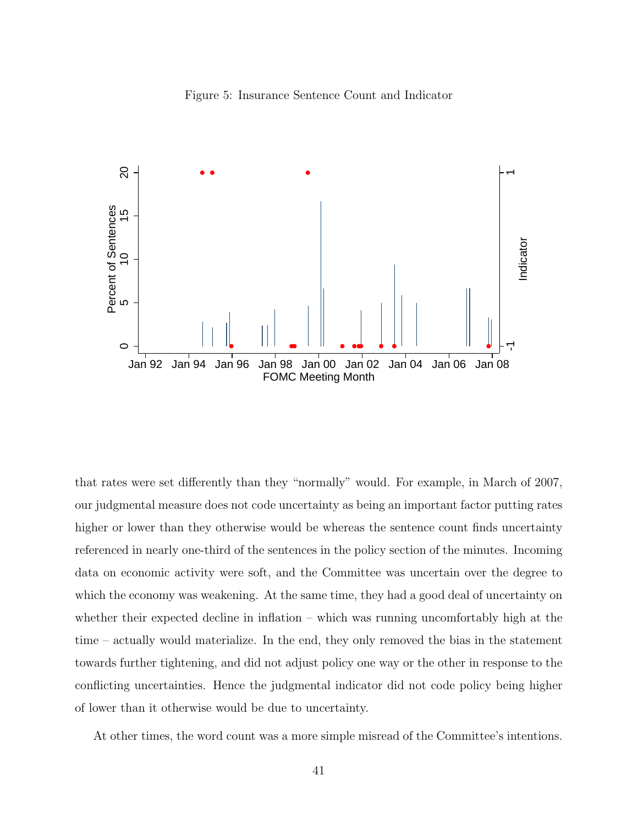<span id="page-41-0"></span>



that rates were set differently than they "normally" would. For example, in March of 2007, our judgmental measure does not code uncertainty as being an important factor putting rates higher or lower than they otherwise would be whereas the sentence count finds uncertainty referenced in nearly one-third of the sentences in the policy section of the minutes. Incoming data on economic activity were soft, and the Committee was uncertain over the degree to which the economy was weakening. At the same time, they had a good deal of uncertainty on whether their expected decline in inflation – which was running uncomfortably high at the time – actually would materialize. In the end, they only removed the bias in the statement towards further tightening, and did not adjust policy one way or the other in response to the conflicting uncertainties. Hence the judgmental indicator did not code policy being higher of lower than it otherwise would be due to uncertainty.

At other times, the word count was a more simple misread of the Committee's intentions.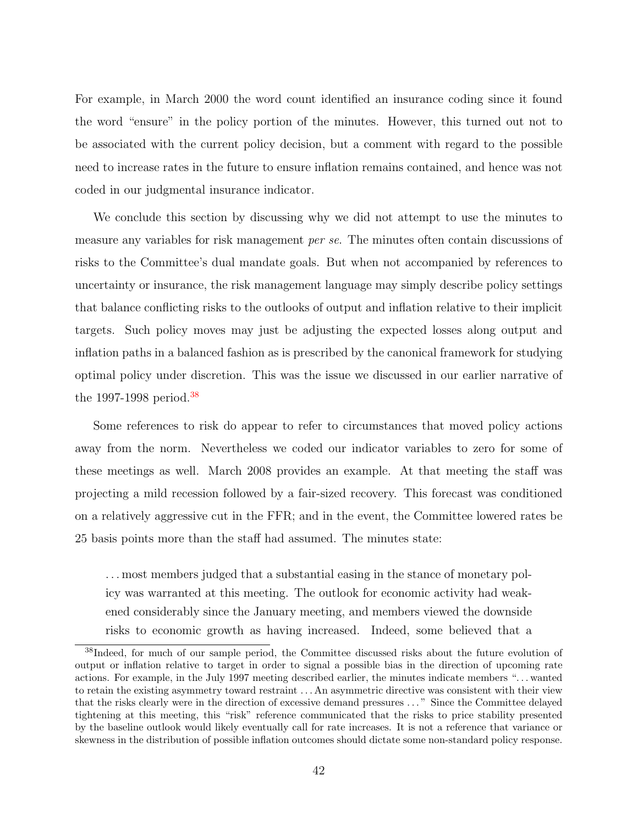For example, in March 2000 the word count identified an insurance coding since it found the word "ensure" in the policy portion of the minutes. However, this turned out not to be associated with the current policy decision, but a comment with regard to the possible need to increase rates in the future to ensure inflation remains contained, and hence was not coded in our judgmental insurance indicator.

We conclude this section by discussing why we did not attempt to use the minutes to measure any variables for risk management per se. The minutes often contain discussions of risks to the Committee's dual mandate goals. But when not accompanied by references to uncertainty or insurance, the risk management language may simply describe policy settings that balance conflicting risks to the outlooks of output and inflation relative to their implicit targets. Such policy moves may just be adjusting the expected losses along output and inflation paths in a balanced fashion as is prescribed by the canonical framework for studying optimal policy under discretion. This was the issue we discussed in our earlier narrative of the 1997-1998 period.<sup>[38](#page-0-0)</sup>

Some references to risk do appear to refer to circumstances that moved policy actions away from the norm. Nevertheless we coded our indicator variables to zero for some of these meetings as well. March 2008 provides an example. At that meeting the staff was projecting a mild recession followed by a fair-sized recovery. This forecast was conditioned on a relatively aggressive cut in the FFR; and in the event, the Committee lowered rates be 25 basis points more than the staff had assumed. The minutes state:

. . . most members judged that a substantial easing in the stance of monetary policy was warranted at this meeting. The outlook for economic activity had weakened considerably since the January meeting, and members viewed the downside risks to economic growth as having increased. Indeed, some believed that a

<sup>38</sup>Indeed, for much of our sample period, the Committee discussed risks about the future evolution of output or inflation relative to target in order to signal a possible bias in the direction of upcoming rate actions. For example, in the July 1997 meeting described earlier, the minutes indicate members ". . . wanted to retain the existing asymmetry toward restraint . . . An asymmetric directive was consistent with their view that the risks clearly were in the direction of excessive demand pressures . . . " Since the Committee delayed tightening at this meeting, this "risk" reference communicated that the risks to price stability presented by the baseline outlook would likely eventually call for rate increases. It is not a reference that variance or skewness in the distribution of possible inflation outcomes should dictate some non-standard policy response.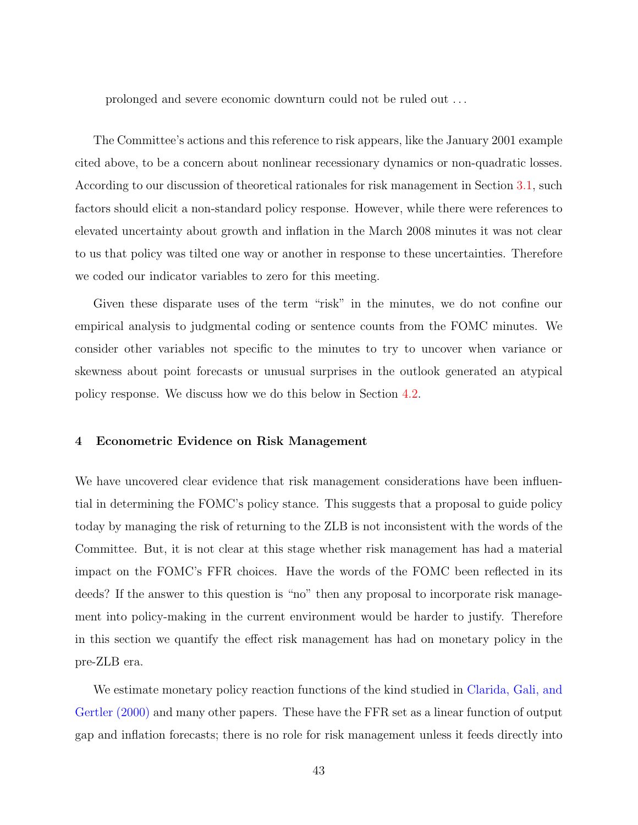prolonged and severe economic downturn could not be ruled out . . .

The Committee's actions and this reference to risk appears, like the January 2001 example cited above, to be a concern about nonlinear recessionary dynamics or non-quadratic losses. According to our discussion of theoretical rationales for risk management in Section [3.1,](#page-27-0) such factors should elicit a non-standard policy response. However, while there were references to elevated uncertainty about growth and inflation in the March 2008 minutes it was not clear to us that policy was tilted one way or another in response to these uncertainties. Therefore we coded our indicator variables to zero for this meeting.

Given these disparate uses of the term "risk" in the minutes, we do not confine our empirical analysis to judgmental coding or sentence counts from the FOMC minutes. We consider other variables not specific to the minutes to try to uncover when variance or skewness about point forecasts or unusual surprises in the outlook generated an atypical policy response. We discuss how we do this below in Section [4.2.](#page-46-0)

## 4 Econometric Evidence on Risk Management

We have uncovered clear evidence that risk management considerations have been influential in determining the FOMC's policy stance. This suggests that a proposal to guide policy today by managing the risk of returning to the ZLB is not inconsistent with the words of the Committee. But, it is not clear at this stage whether risk management has had a material impact on the FOMC's FFR choices. Have the words of the FOMC been reflected in its deeds? If the answer to this question is "no" then any proposal to incorporate risk management into policy-making in the current environment would be harder to justify. Therefore in this section we quantify the effect risk management has had on monetary policy in the pre-ZLB era.

We estimate monetary policy reaction functions of the kind studied in [Clarida, Gali, and](#page-57-0) [Gertler](#page-57-0) [\(2000\)](#page-57-0) and many other papers. These have the FFR set as a linear function of output gap and inflation forecasts; there is no role for risk management unless it feeds directly into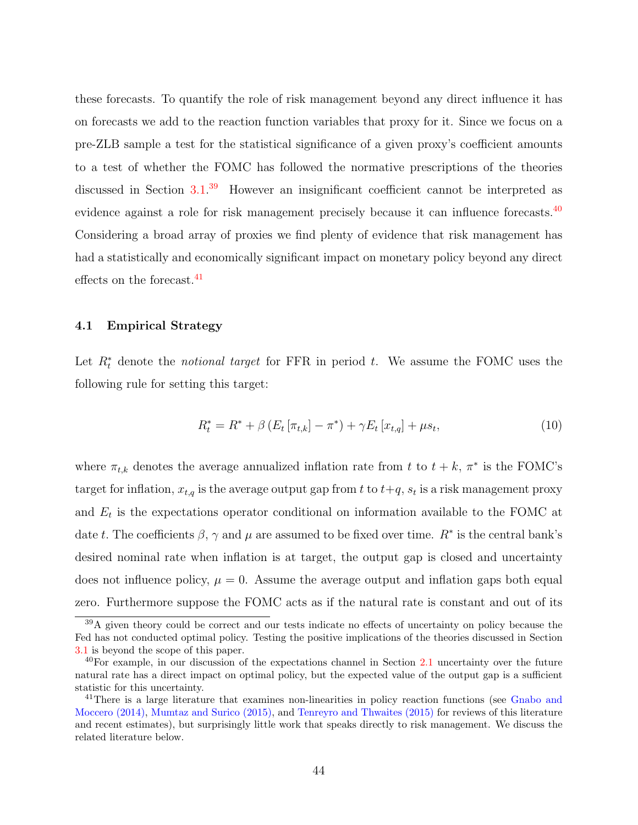these forecasts. To quantify the role of risk management beyond any direct influence it has on forecasts we add to the reaction function variables that proxy for it. Since we focus on a pre-ZLB sample a test for the statistical significance of a given proxy's coefficient amounts to a test of whether the FOMC has followed the normative prescriptions of the theories discussed in Section [3.1.](#page-27-0)<sup>[39](#page-0-0)</sup> However an insignificant coefficient cannot be interpreted as evidence against a role for risk management precisely because it can influence forecasts.<sup>[40](#page-0-0)</sup> Considering a broad array of proxies we find plenty of evidence that risk management has had a statistically and economically significant impact on monetary policy beyond any direct effects on the forecast.<sup>[41](#page-0-0)</sup>

## 4.1 Empirical Strategy

Let  $R_t^*$  denote the *notional target* for FFR in period t. We assume the FOMC uses the following rule for setting this target:

<span id="page-44-0"></span>
$$
R_t^* = R^* + \beta \left( E_t \left[ \pi_{t,k} \right] - \pi^* \right) + \gamma E_t \left[ x_{t,q} \right] + \mu s_t, \tag{10}
$$

where  $\pi_{t,k}$  denotes the average annualized inflation rate from t to  $t + k$ ,  $\pi^*$  is the FOMC's target for inflation,  $x_{t,q}$  is the average output gap from t to  $t+q$ ,  $s_t$  is a risk management proxy and  $E_t$  is the expectations operator conditional on information available to the FOMC at date t. The coefficients  $\beta$ ,  $\gamma$  and  $\mu$  are assumed to be fixed over time.  $R^*$  is the central bank's desired nominal rate when inflation is at target, the output gap is closed and uncertainty does not influence policy,  $\mu = 0$ . Assume the average output and inflation gaps both equal zero. Furthermore suppose the FOMC acts as if the natural rate is constant and out of its

<sup>&</sup>lt;sup>39</sup>A given theory could be correct and our tests indicate no effects of uncertainty on policy because the Fed has not conducted optimal policy. Testing the positive implications of the theories discussed in Section [3.1](#page-27-0) is beyond the scope of this paper.

 $40$ For example, in our discussion of the expectations channel in Section [2.1](#page-7-0) uncertainty over the future natural rate has a direct impact on optimal policy, but the expected value of the output gap is a sufficient statistic for this uncertainty.

<sup>&</sup>lt;sup>41</sup>There is a large literature that examines non-linearities in policy reaction functions (see [Gnabo and](#page-58-1) [Moccero](#page-58-1) [\(2014\)](#page-58-1), [Mumtaz and Surico](#page-59-0) [\(2015\)](#page-59-0), and [Tenreyro and Thwaites](#page-60-1) [\(2015\)](#page-60-1) for reviews of this literature and recent estimates), but surprisingly little work that speaks directly to risk management. We discuss the related literature below.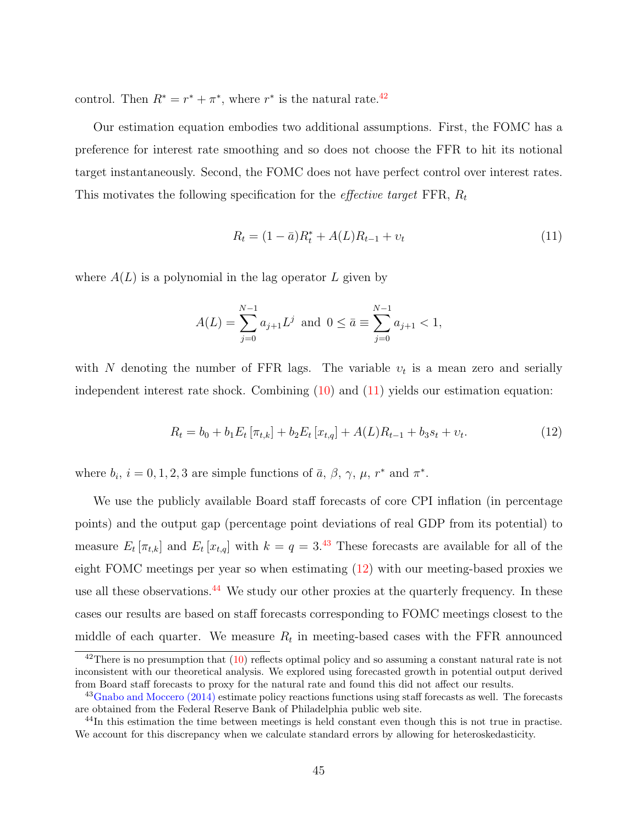control. Then  $R^* = r^* + \pi^*$ , where  $r^*$  is the natural rate.<sup>[42](#page-0-0)</sup>

Our estimation equation embodies two additional assumptions. First, the FOMC has a preference for interest rate smoothing and so does not choose the FFR to hit its notional target instantaneously. Second, the FOMC does not have perfect control over interest rates. This motivates the following specification for the *effective target* FFR,  $R_t$ 

<span id="page-45-0"></span>
$$
R_t = (1 - \bar{a})R_t^* + A(L)R_{t-1} + v_t
$$
\n(11)

where  $A(L)$  is a polynomial in the lag operator L given by

$$
A(L) = \sum_{j=0}^{N-1} a_{j+1} L^j \text{ and } 0 \le \bar{a} \equiv \sum_{j=0}^{N-1} a_{j+1} < 1,
$$

with N denoting the number of FFR lags. The variable  $v_t$  is a mean zero and serially independent interest rate shock. Combining  $(10)$  and  $(11)$  yields our estimation equation:

<span id="page-45-1"></span>
$$
R_t = b_0 + b_1 E_t \left[ \pi_{t,k} \right] + b_2 E_t \left[ x_{t,q} \right] + A(L) R_{t-1} + b_3 s_t + v_t. \tag{12}
$$

where  $b_i$ ,  $i = 0, 1, 2, 3$  are simple functions of  $\bar{a}$ ,  $\beta$ ,  $\gamma$ ,  $\mu$ ,  $r^*$  and  $\pi^*$ .

We use the publicly available Board staff forecasts of core CPI inflation (in percentage points) and the output gap (percentage point deviations of real GDP from its potential) to measure  $E_t[\pi_{t,k}]$  and  $E_t[x_{t,q}]$  with  $k = q = 3^{.43}$  $k = q = 3^{.43}$  $k = q = 3^{.43}$  These forecasts are available for all of the eight FOMC meetings per year so when estimating [\(12\)](#page-45-1) with our meeting-based proxies we use all these observations.<sup>[44](#page-0-0)</sup> We study our other proxies at the quarterly frequency. In these cases our results are based on staff forecasts corresponding to FOMC meetings closest to the middle of each quarter. We measure  $R_t$  in meeting-based cases with the FFR announced

 $^{42}$ There is no presumption that  $(10)$  reflects optimal policy and so assuming a constant natural rate is not inconsistent with our theoretical analysis. We explored using forecasted growth in potential output derived from Board staff forecasts to proxy for the natural rate and found this did not affect our results.

<sup>&</sup>lt;sup>43</sup>[Gnabo and Moccero](#page-58-1) [\(2014\)](#page-58-1) estimate policy reactions functions using staff forecasts as well. The forecasts are obtained from the Federal Reserve Bank of Philadelphia public web site.

<sup>&</sup>lt;sup>44</sup>In this estimation the time between meetings is held constant even though this is not true in practise. We account for this discrepancy when we calculate standard errors by allowing for heteroskedasticity.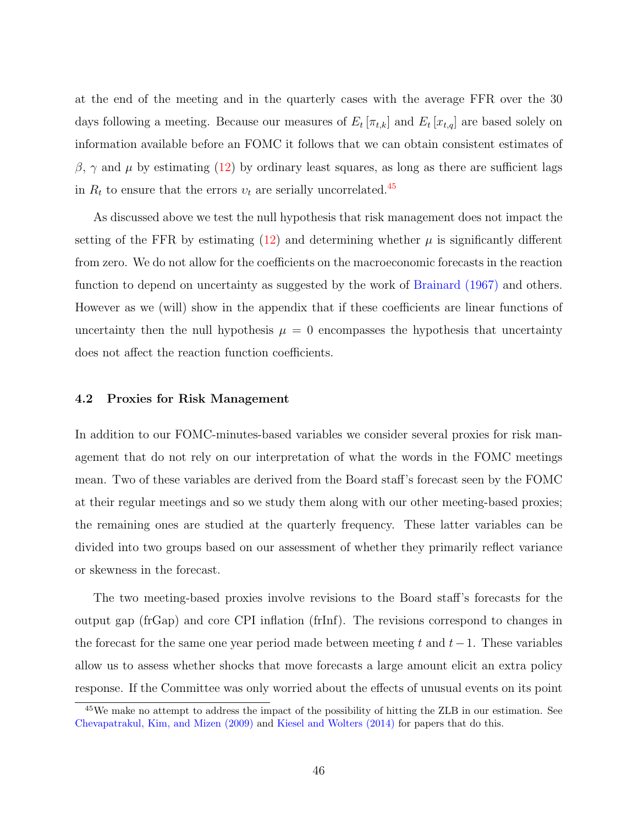at the end of the meeting and in the quarterly cases with the average FFR over the 30 days following a meeting. Because our measures of  $E_t[\pi_{t,k}]$  and  $E_t[x_{t,q}]$  are based solely on information available before an FOMC it follows that we can obtain consistent estimates of  $β, γ$  and  $μ$  by estimating [\(12\)](#page-45-1) by ordinary least squares, as long as there are sufficient lags in  $R_t$  to ensure that the errors  $v_t$  are serially uncorrelated.<sup>[45](#page-0-0)</sup>

As discussed above we test the null hypothesis that risk management does not impact the setting of the FFR by estimating  $(12)$  and determining whether  $\mu$  is significantly different from zero. We do not allow for the coefficients on the macroeconomic forecasts in the reaction function to depend on uncertainty as suggested by the work of [Brainard](#page-56-0) [\(1967\)](#page-56-0) and others. However as we (will) show in the appendix that if these coefficients are linear functions of uncertainty then the null hypothesis  $\mu = 0$  encompasses the hypothesis that uncertainty does not affect the reaction function coefficients.

#### <span id="page-46-0"></span>4.2 Proxies for Risk Management

In addition to our FOMC-minutes-based variables we consider several proxies for risk management that do not rely on our interpretation of what the words in the FOMC meetings mean. Two of these variables are derived from the Board staff's forecast seen by the FOMC at their regular meetings and so we study them along with our other meeting-based proxies; the remaining ones are studied at the quarterly frequency. These latter variables can be divided into two groups based on our assessment of whether they primarily reflect variance or skewness in the forecast.

The two meeting-based proxies involve revisions to the Board staff's forecasts for the output gap (frGap) and core CPI inflation (frInf). The revisions correspond to changes in the forecast for the same one year period made between meeting t and  $t-1$ . These variables allow us to assess whether shocks that move forecasts a large amount elicit an extra policy response. If the Committee was only worried about the effects of unusual events on its point

 $45\,\text{We make no attempt to address the impact of the possibility of hitting the ZLB in our estimation. See}$ [Chevapatrakul, Kim, and Mizen](#page-57-1) [\(2009\)](#page-57-1) and [Kiesel and Wolters](#page-59-1) [\(2014\)](#page-59-1) for papers that do this.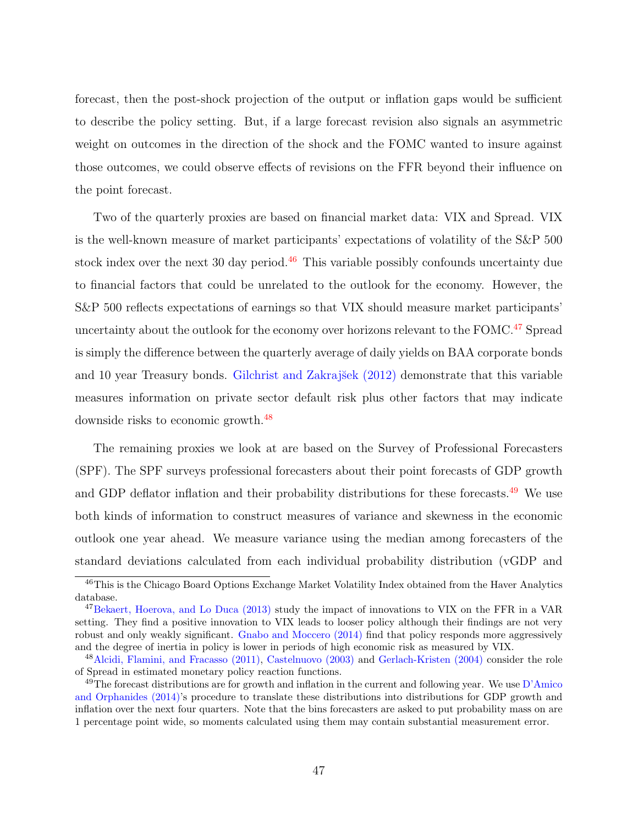forecast, then the post-shock projection of the output or inflation gaps would be sufficient to describe the policy setting. But, if a large forecast revision also signals an asymmetric weight on outcomes in the direction of the shock and the FOMC wanted to insure against those outcomes, we could observe effects of revisions on the FFR beyond their influence on the point forecast.

Two of the quarterly proxies are based on financial market data: VIX and Spread. VIX is the well-known measure of market participants' expectations of volatility of the S&P 500 stock index over the next 30 day period. $46$  This variable possibly confounds uncertainty due to financial factors that could be unrelated to the outlook for the economy. However, the S&P 500 reflects expectations of earnings so that VIX should measure market participants' uncertainty about the outlook for the economy over horizons relevant to the FOMC.<sup>[47](#page-0-0)</sup> Spread is simply the difference between the quarterly average of daily yields on BAA corporate bonds and 10 year Treasury bonds. Gilchrist and Zakrajšek [\(2012\)](#page-58-2) demonstrate that this variable measures information on private sector default risk plus other factors that may indicate downside risks to economic growth.[48](#page-0-0)

The remaining proxies we look at are based on the Survey of Professional Forecasters (SPF). The SPF surveys professional forecasters about their point forecasts of GDP growth and GDP deflator inflation and their probability distributions for these forecasts.<sup>[49](#page-0-0)</sup> We use both kinds of information to construct measures of variance and skewness in the economic outlook one year ahead. We measure variance using the median among forecasters of the standard deviations calculated from each individual probability distribution (vGDP and

<sup>46</sup>This is the Chicago Board Options Exchange Market Volatility Index obtained from the Haver Analytics database.

<sup>&</sup>lt;sup>47</sup>[Bekaert, Hoerova, and Lo Duca](#page-56-1) [\(2013\)](#page-56-1) study the impact of innovations to VIX on the FFR in a VAR setting. They find a positive innovation to VIX leads to looser policy although their findings are not very robust and only weakly significant. [Gnabo and Moccero](#page-58-1) [\(2014\)](#page-58-1) find that policy responds more aggressively and the degree of inertia in policy is lower in periods of high economic risk as measured by VIX.

<sup>48</sup>[Alcidi, Flamini, and Fracasso](#page-56-2) [\(2011\)](#page-56-2), [Castelnuovo](#page-56-3) [\(2003\)](#page-56-3) and [Gerlach-Kristen](#page-58-3) [\(2004\)](#page-58-3) consider the role of Spread in estimated monetary policy reaction functions.

 $^{49}$ The forecast distributions are for growth and inflation in the current and following year. We use [D'Amico](#page-57-2) [and Orphanides](#page-57-2) [\(2014\)](#page-57-2)'s procedure to translate these distributions into distributions for GDP growth and inflation over the next four quarters. Note that the bins forecasters are asked to put probability mass on are 1 percentage point wide, so moments calculated using them may contain substantial measurement error.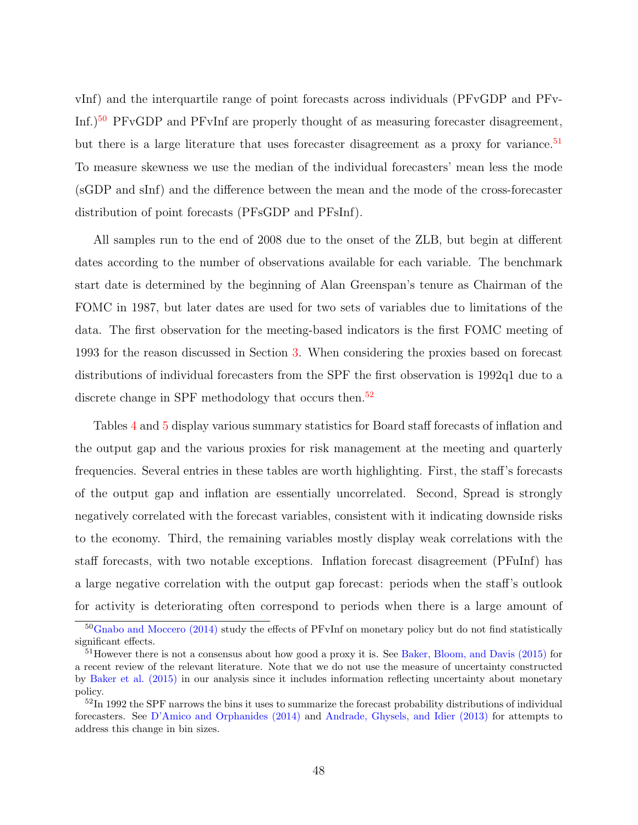vInf) and the interquartile range of point forecasts across individuals (PFvGDP and PFv-Inf.)[50](#page-0-0) PFvGDP and PFvInf are properly thought of as measuring forecaster disagreement, but there is a large literature that uses forecaster disagreement as a proxy for variance.<sup>[51](#page-0-0)</sup> To measure skewness we use the median of the individual forecasters' mean less the mode (sGDP and sInf) and the difference between the mean and the mode of the cross-forecaster distribution of point forecasts (PFsGDP and PFsInf).

All samples run to the end of 2008 due to the onset of the ZLB, but begin at different dates according to the number of observations available for each variable. The benchmark start date is determined by the beginning of Alan Greenspan's tenure as Chairman of the FOMC in 1987, but later dates are used for two sets of variables due to limitations of the data. The first observation for the meeting-based indicators is the first FOMC meeting of 1993 for the reason discussed in Section [3.](#page-26-0) When considering the proxies based on forecast distributions of individual forecasters from the SPF the first observation is 1992q1 due to a discrete change in SPF methodology that occurs then.<sup>[52](#page-0-0)</sup>

Tables [4](#page-49-0) and [5](#page-49-1) display various summary statistics for Board staff forecasts of inflation and the output gap and the various proxies for risk management at the meeting and quarterly frequencies. Several entries in these tables are worth highlighting. First, the staff's forecasts of the output gap and inflation are essentially uncorrelated. Second, Spread is strongly negatively correlated with the forecast variables, consistent with it indicating downside risks to the economy. Third, the remaining variables mostly display weak correlations with the staff forecasts, with two notable exceptions. Inflation forecast disagreement (PFuInf) has a large negative correlation with the output gap forecast: periods when the staff's outlook for activity is deteriorating often correspond to periods when there is a large amount of

<sup>&</sup>lt;sup>50</sup>[Gnabo and Moccero](#page-58-1) [\(2014\)](#page-58-1) study the effects of PFvInf on monetary policy but do not find statistically significant effects.

<sup>51</sup>However there is not a consensus about how good a proxy it is. See [Baker, Bloom, and Davis](#page-56-4) [\(2015\)](#page-56-4) for a recent review of the relevant literature. Note that we do not use the measure of uncertainty constructed by [Baker et al.](#page-56-4) [\(2015\)](#page-56-4) in our analysis since it includes information reflecting uncertainty about monetary policy.

<sup>&</sup>lt;sup>52</sup>In 1992 the SPF narrows the bins it uses to summarize the forecast probability distributions of individual forecasters. See [D'Amico and Orphanides](#page-57-2) [\(2014\)](#page-57-2) and [Andrade, Ghysels, and Idier](#page-56-5) [\(2013\)](#page-56-5) for attempts to address this change in bin sizes.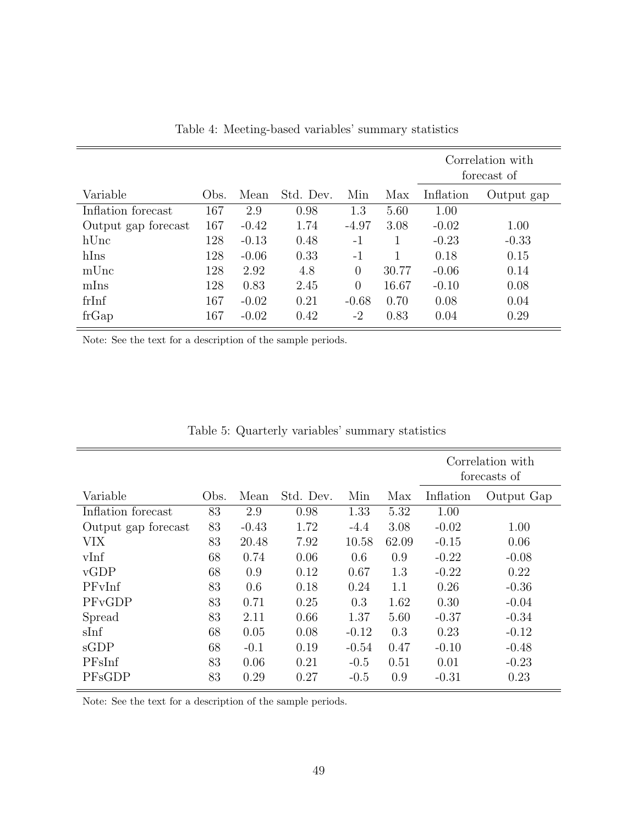|                     |               |         |           |          |       | Correlation with<br>forecast of |            |
|---------------------|---------------|---------|-----------|----------|-------|---------------------------------|------------|
| Variable            | $_{\rm Obs.}$ | Mean    | Std. Dev. | Min      | Max   | Inflation                       | Output gap |
| Inflation forecast  | 167           | 2.9     | 0.98      | 1.3      | 5.60  | 1.00                            |            |
| Output gap forecast | 167           | $-0.42$ | 1.74      | $-4.97$  | 3.08  | $-0.02$                         | 1.00       |
| hUnc                | 128           | $-0.13$ | 0.48      | $-1$     |       | $-0.23$                         | $-0.33$    |
| hIns                | 128           | $-0.06$ | 0.33      | $-1$     |       | 0.18                            | 0.15       |
| mUnc                | 128           | 2.92    | 4.8       | $\theta$ | 30.77 | $-0.06$                         | 0.14       |
| mIns                | 128           | 0.83    | 2.45      | $\theta$ | 16.67 | $-0.10$                         | 0.08       |
| frInf               | 167           | $-0.02$ | 0.21      | $-0.68$  | 0.70  | 0.08                            | 0.04       |
| frGap               | 167           | $-0.02$ | 0.42      | $-2$     | 0.83  | 0.04                            | 0.29       |

<span id="page-49-0"></span>Table 4: Meeting-based variables' summary statistics

Note: See the text for a description of the sample periods.

|      |         |           |         |       | Correlation with<br>forecasts of |            |
|------|---------|-----------|---------|-------|----------------------------------|------------|
| Obs. | Mean    | Std. Dev. | Min     | Max   | Inflation                        | Output Gap |
| 83   | 2.9     | 0.98      | 1.33    | 5.32  | 1.00                             |            |
| 83   | $-0.43$ | 1.72      | $-4.4$  | 3.08  | $-0.02$                          | 1.00       |
| 83   | 20.48   | 7.92      | 10.58   | 62.09 | $-0.15$                          | 0.06       |
| 68   | 0.74    | 0.06      | 0.6     | 0.9   | $-0.22$                          | $-0.08$    |
| 68   | 0.9     | 0.12      | 0.67    | 1.3   | $-0.22$                          | 0.22       |
| 83   | 0.6     | 0.18      | 0.24    | 1.1   | 0.26                             | $-0.36$    |
| 83   | 0.71    | 0.25      | 0.3     | 1.62  | 0.30                             | $-0.04$    |
| 83   | 2.11    | 0.66      | 1.37    | 5.60  | $-0.37$                          | $-0.34$    |
| 68   | 0.05    | 0.08      | $-0.12$ | 0.3   | 0.23                             | $-0.12$    |
| 68   | $-0.1$  | 0.19      | $-0.54$ | 0.47  | $-0.10$                          | $-0.48$    |
| 83   | 0.06    | 0.21      | $-0.5$  | 0.51  | 0.01                             | $-0.23$    |
| 83   | 0.29    | 0.27      | $-0.5$  | 0.9   | $-0.31$                          | 0.23       |
|      |         |           |         |       |                                  |            |

<span id="page-49-1"></span>Table 5: Quarterly variables' summary statistics

Note: See the text for a description of the sample periods.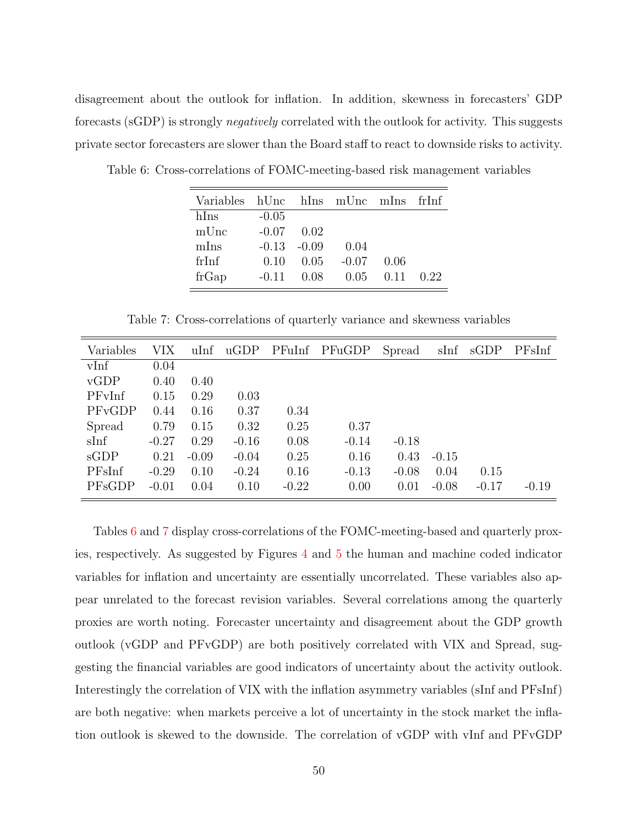disagreement about the outlook for inflation. In addition, skewness in forecasters' GDP forecasts (sGDP) is strongly negatively correlated with the outlook for activity. This suggests private sector forecasters are slower than the Board staff to react to downside risks to activity.

<span id="page-50-0"></span>

| Variables hUnc hIns mUnc mIns |         |         |         |      | frInf |
|-------------------------------|---------|---------|---------|------|-------|
| hIns                          | $-0.05$ |         |         |      |       |
| mUnc                          | $-0.07$ | 0.02    |         |      |       |
| mIns                          | $-0.13$ | $-0.09$ | 0.04    |      |       |
| frInf                         | (110)   | 0.05    | $-0.07$ | 0.06 |       |
| frGap                         | $-0.11$ | 0.08    | 0.05    | 0.11 | 0.22  |

Table 6: Cross-correlations of FOMC-meeting-based risk management variables

<span id="page-50-1"></span>Table 7: Cross-correlations of quarterly variance and skewness variables

| Variables | VIX     | $u$ Inf | $\mathbf{uGDP}$ | PFuInf  | PFuGDP  | Spread  | sInf    | sGDP    | PFsInf  |
|-----------|---------|---------|-----------------|---------|---------|---------|---------|---------|---------|
| vInf      | 0.04    |         |                 |         |         |         |         |         |         |
| vGDP      | 0.40    | 0.40    |                 |         |         |         |         |         |         |
| PFvInf    | 0.15    | 0.29    | 0.03            |         |         |         |         |         |         |
| PFvGDP    | 0.44    | 0.16    | 0.37            | 0.34    |         |         |         |         |         |
| Spread    | 0.79    | 0.15    | 0.32            | 0.25    | 0.37    |         |         |         |         |
| sInf      | $-0.27$ | 0.29    | $-0.16$         | 0.08    | $-0.14$ | $-0.18$ |         |         |         |
| sGDP      | 0.21    | $-0.09$ | $-0.04$         | 0.25    | 0.16    | 0.43    | $-0.15$ |         |         |
| PFsInf    | $-0.29$ | 0.10    | $-0.24$         | 0.16    | $-0.13$ | $-0.08$ | 0.04    | 0.15    |         |
| PFsGDP    | $-0.01$ | 0.04    | 0.10            | $-0.22$ | 0.00    | 0.01    | $-0.08$ | $-0.17$ | $-0.19$ |

Tables [6](#page-50-0) and [7](#page-50-1) display cross-correlations of the FOMC-meeting-based and quarterly proxies, respectively. As suggested by Figures [4](#page-40-0) and [5](#page-41-0) the human and machine coded indicator variables for inflation and uncertainty are essentially uncorrelated. These variables also appear unrelated to the forecast revision variables. Several correlations among the quarterly proxies are worth noting. Forecaster uncertainty and disagreement about the GDP growth outlook (vGDP and PFvGDP) are both positively correlated with VIX and Spread, suggesting the financial variables are good indicators of uncertainty about the activity outlook. Interestingly the correlation of VIX with the inflation asymmetry variables (sInf and PFsInf) are both negative: when markets perceive a lot of uncertainty in the stock market the inflation outlook is skewed to the downside. The correlation of vGDP with vInf and PFvGDP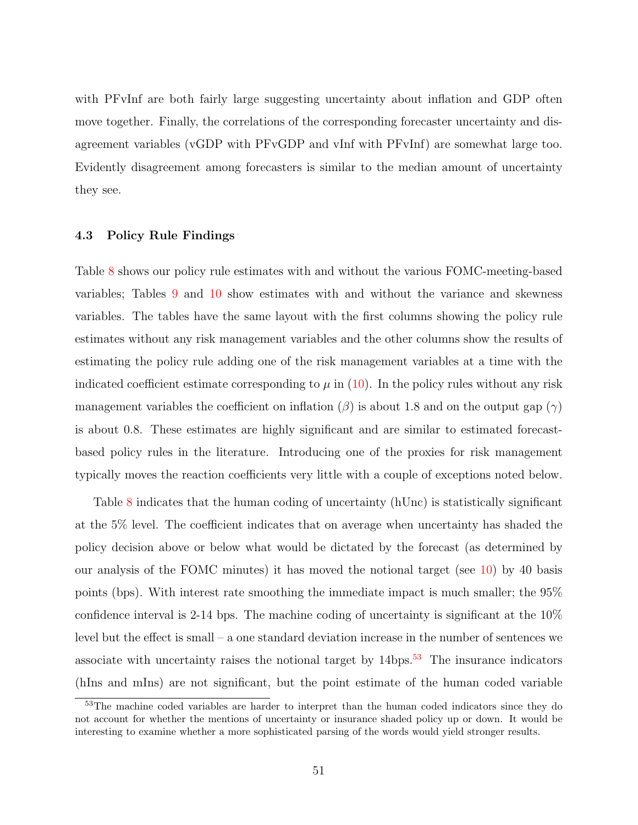with PFvInf are both fairly large suggesting uncertainty about inflation and GDP often move together. Finally, the correlations of the corresponding forecaster uncertainty and disagreement variables (vGDP with PFvGDP and vInf with PFvInf) are somewhat large too. Evidently disagreement among forecasters is similar to the median amount of uncertainty they see.

## 4.3 Policy Rule Findings

Table [8](#page-52-0) shows our policy rule estimates with and without the various FOMC-meeting-based variables; Tables [9](#page-53-0) and [10](#page-54-0) show estimates with and without the variance and skewness variables. The tables have the same layout with the first columns showing the policy rule estimates without any risk management variables and the other columns show the results of estimating the policy rule adding one of the risk management variables at a time with the indicated coefficient estimate corresponding to  $\mu$  in [\(10\)](#page-44-0). In the policy rules without any risk management variables the coefficient on inflation  $(\beta)$  is about 1.8 and on the output gap  $(\gamma)$ is about 0.8. These estimates are highly significant and are similar to estimated forecastbased policy rules in the literature. Introducing one of the proxies for risk management typically moves the reaction coefficients very little with a couple of exceptions noted below.

Table [8](#page-52-0) indicates that the human coding of uncertainty (hUnc) is statistically significant at the 5% level. The coefficient indicates that on average when uncertainty has shaded the policy decision above or below what would be dictated by the forecast (as determined by our analysis of the FOMC minutes) it has moved the notional target (see [10\)](#page-44-0) by 40 basis points (bps). With interest rate smoothing the immediate impact is much smaller; the 95% confidence interval is 2-14 bps. The machine coding of uncertainty is significant at the 10% level but the effect is small – a one standard deviation increase in the number of sentences we associate with uncertainty raises the notional target by  $14bps$ .<sup>[53](#page-0-0)</sup> The insurance indicators (hIns and mIns) are not significant, but the point estimate of the human coded variable

<sup>53</sup>The machine coded variables are harder to interpret than the human coded indicators since they do not account for whether the mentions of uncertainty or insurance shaded policy up or down. It would be interesting to examine whether a more sophisticated parsing of the words would yield stronger results.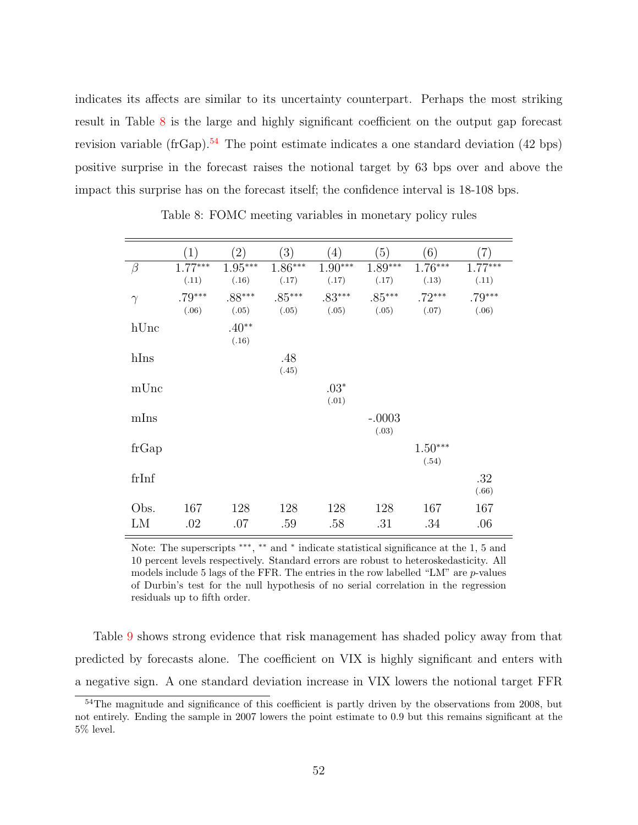indicates its affects are similar to its uncertainty counterpart. Perhaps the most striking result in Table [8](#page-52-0) is the large and highly significant coefficient on the output gap forecast revision variable (frGap).<sup>[54](#page-0-0)</sup> The point estimate indicates a one standard deviation (42 bps) positive surprise in the forecast raises the notional target by 63 bps over and above the impact this surprise has on the forecast itself; the confidence interval is 18-108 bps.

|            | $\left(1\right)$   | $\left( 2\right)$  | (3)                | (4)                | (5)                | (6)                | $\left( 7\right)$  |
|------------|--------------------|--------------------|--------------------|--------------------|--------------------|--------------------|--------------------|
| $\beta$    | $1.77***$<br>(.11) | $1.95***$<br>(.16) | $1.86***$<br>(.17) | $1.90***$<br>(.17) | $1.89***$<br>(.17) | $1.76***$<br>(.13) | $1.77***$<br>(.11) |
| $\gamma$   | $.79***$<br>(.06)  | $.88***$<br>(.05)  | $.85***$<br>(.05)  | $.83***$<br>(.05)  | $.85***$<br>(.05)  | $.72***$<br>(.07)  | $.79***$<br>(.06)  |
| hUnc       |                    | $.40**$<br>(.16)   |                    |                    |                    |                    |                    |
| hIns       |                    |                    | .48<br>(.45)       |                    |                    |                    |                    |
| mUnc       |                    |                    |                    | $.03*$<br>(.01)    |                    |                    |                    |
| mIns       |                    |                    |                    |                    | $-.0003$<br>(.03)  |                    |                    |
| frGap      |                    |                    |                    |                    |                    | $1.50***$<br>(.54) |                    |
| frInf      |                    |                    |                    |                    |                    |                    | .32<br>(.66)       |
| Obs.<br>LM | 167<br>.02         | 128<br>.07         | 128<br>.59         | 128<br>.58         | 128<br>.31         | 167<br>.34         | 167<br>.06         |

<span id="page-52-0"></span>Table 8: FOMC meeting variables in monetary policy rules

Note: The superscripts \*\*\*, \*\* and \* indicate statistical significance at the 1, 5 and 10 percent levels respectively. Standard errors are robust to heteroskedasticity. All models include 5 lags of the FFR. The entries in the row labelled "LM" are  $p$ -values of Durbin's test for the null hypothesis of no serial correlation in the regression residuals up to fifth order.

Table [9](#page-53-0) shows strong evidence that risk management has shaded policy away from that predicted by forecasts alone. The coefficient on VIX is highly significant and enters with a negative sign. A one standard deviation increase in VIX lowers the notional target FFR

<sup>&</sup>lt;sup>54</sup>The magnitude and significance of this coefficient is partly driven by the observations from 2008, but not entirely. Ending the sample in 2007 lowers the point estimate to 0.9 but this remains significant at the 5% level.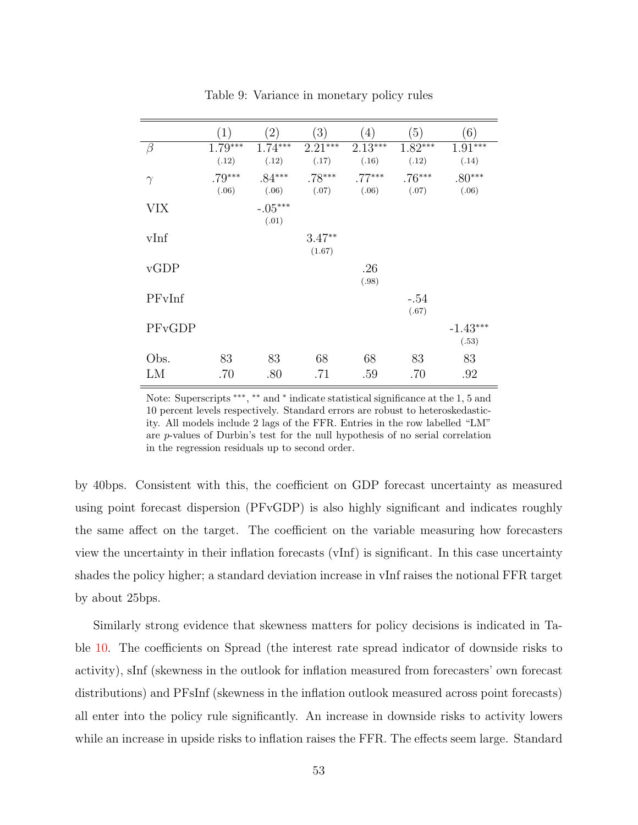|            | (1)                | (2)                | (3)                | (4)                | (5)                | (6)                 |
|------------|--------------------|--------------------|--------------------|--------------------|--------------------|---------------------|
| $\beta$    | $1.79***$<br>(.12) | $1.74***$<br>(.12) | $2.21***$<br>(.17) | $2.13***$<br>(.16) | $1.82***$<br>(.12) | $1.91***$<br>(.14)  |
| $\gamma$   | $.79***$<br>(.06)  | $.84***$<br>(.06)  | $.78***$<br>(.07)  | $.77***$<br>(.06)  | $.76***$<br>(.07)  | $.80***$<br>(.06)   |
| <b>VIX</b> |                    | $-.05***$<br>(.01) |                    |                    |                    |                     |
| vInf       |                    |                    | $3.47**$<br>(1.67) |                    |                    |                     |
| vGDP       |                    |                    |                    | .26<br>(.98)       |                    |                     |
| PFvInf     |                    |                    |                    |                    | $-.54$<br>(.67)    |                     |
| PFvGDP     |                    |                    |                    |                    |                    | $-1.43***$<br>(.53) |
| Obs.<br>LM | 83<br>.70          | 83<br>.80          | 68<br>.71          | 68<br>.59          | 83<br>.70          | 83<br>.92           |

<span id="page-53-0"></span>Table 9: Variance in monetary policy rules

Note: Superscripts \*\*\*, \*\* and \* indicate statistical significance at the 1, 5 and 10 percent levels respectively. Standard errors are robust to heteroskedasticity. All models include 2 lags of the FFR. Entries in the row labelled "LM" are p-values of Durbin's test for the null hypothesis of no serial correlation in the regression residuals up to second order.

by 40bps. Consistent with this, the coefficient on GDP forecast uncertainty as measured using point forecast dispersion (PFvGDP) is also highly significant and indicates roughly the same affect on the target. The coefficient on the variable measuring how forecasters view the uncertainty in their inflation forecasts (vInf) is significant. In this case uncertainty shades the policy higher; a standard deviation increase in vInf raises the notional FFR target by about 25bps.

Similarly strong evidence that skewness matters for policy decisions is indicated in Table [10.](#page-54-0) The coefficients on Spread (the interest rate spread indicator of downside risks to activity), sInf (skewness in the outlook for inflation measured from forecasters' own forecast distributions) and PFsInf (skewness in the inflation outlook measured across point forecasts) all enter into the policy rule significantly. An increase in downside risks to activity lowers while an increase in upside risks to inflation raises the FFR. The effects seem large. Standard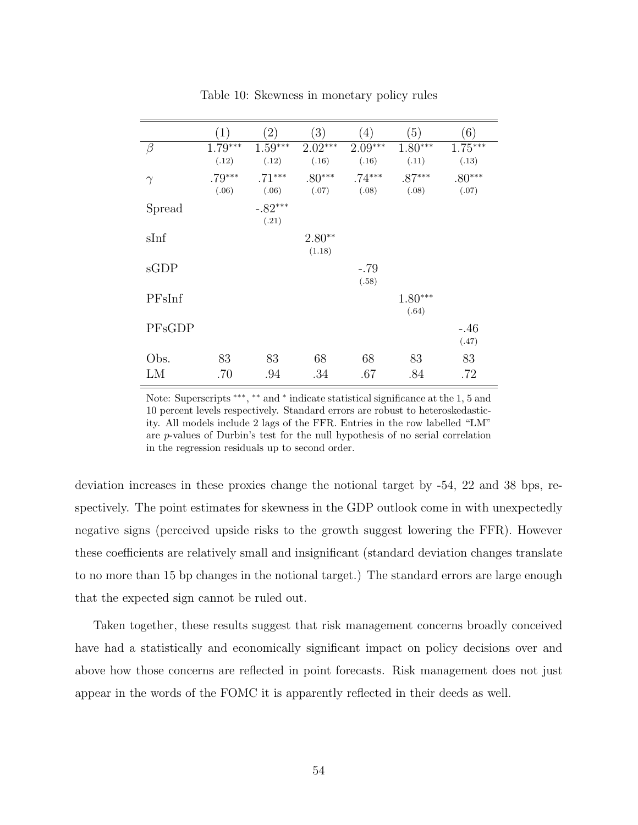|          | (1)                | (2)                | (3)                | (4)                | (5)                | (6)                |
|----------|--------------------|--------------------|--------------------|--------------------|--------------------|--------------------|
| $\beta$  | $1.79***$<br>(.12) | $1.59***$<br>(.12) | $2.02***$<br>(.16) | $2.09***$<br>(.16) | $1.80***$<br>(.11) | $1.75***$<br>(.13) |
| $\gamma$ | $.79***$<br>(.06)  | $.71***$<br>(.06)  | $.80***$<br>(.07)  | $.74***$<br>(.08)  | $.87***$<br>(.08)  | $.80***$<br>(.07)  |
| Spread   |                    | $-.82***$<br>(.21) |                    |                    |                    |                    |
| sInf     |                    |                    | $2.80**$<br>(1.18) |                    |                    |                    |
| sGDP     |                    |                    |                    | $-.79$<br>(.58)    |                    |                    |
| PFsInf   |                    |                    |                    |                    | $1.80***$<br>(.64) |                    |
| PFsGDP   |                    |                    |                    |                    |                    | $-.46$<br>(.47)    |
| Obs.     | 83                 | 83                 | 68                 | 68                 | 83                 | 83                 |
| LM       | .70                | .94                | .34                | .67                | .84                | .72                |

<span id="page-54-0"></span>Table 10: Skewness in monetary policy rules

Note: Superscripts \*\*\*, \*\* and \* indicate statistical significance at the 1, 5 and 10 percent levels respectively. Standard errors are robust to heteroskedasticity. All models include 2 lags of the FFR. Entries in the row labelled "LM" are p-values of Durbin's test for the null hypothesis of no serial correlation in the regression residuals up to second order.

deviation increases in these proxies change the notional target by -54, 22 and 38 bps, respectively. The point estimates for skewness in the GDP outlook come in with unexpectedly negative signs (perceived upside risks to the growth suggest lowering the FFR). However these coefficients are relatively small and insignificant (standard deviation changes translate to no more than 15 bp changes in the notional target.) The standard errors are large enough that the expected sign cannot be ruled out.

Taken together, these results suggest that risk management concerns broadly conceived have had a statistically and economically significant impact on policy decisions over and above how those concerns are reflected in point forecasts. Risk management does not just appear in the words of the FOMC it is apparently reflected in their deeds as well.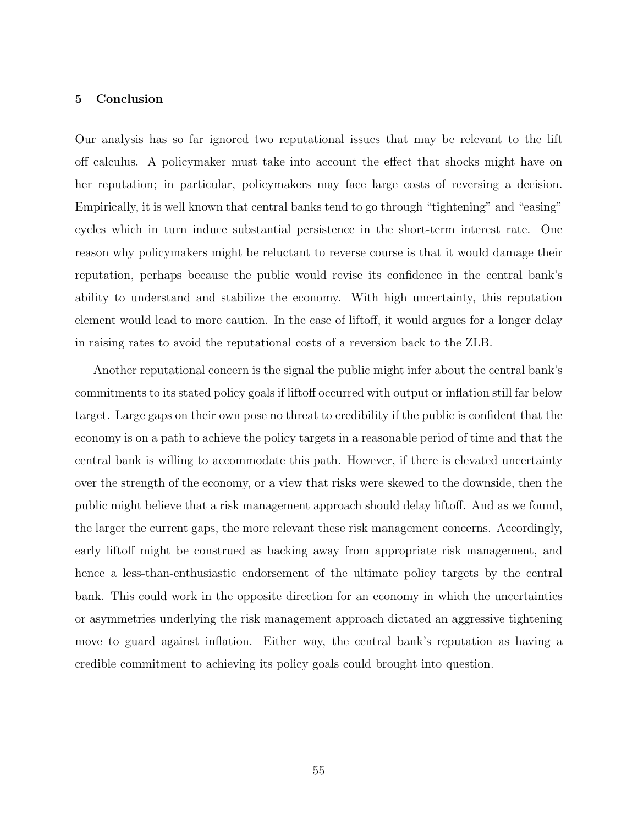## 5 Conclusion

Our analysis has so far ignored two reputational issues that may be relevant to the lift off calculus. A policymaker must take into account the effect that shocks might have on her reputation; in particular, policymakers may face large costs of reversing a decision. Empirically, it is well known that central banks tend to go through "tightening" and "easing" cycles which in turn induce substantial persistence in the short-term interest rate. One reason why policymakers might be reluctant to reverse course is that it would damage their reputation, perhaps because the public would revise its confidence in the central bank's ability to understand and stabilize the economy. With high uncertainty, this reputation element would lead to more caution. In the case of liftoff, it would argues for a longer delay in raising rates to avoid the reputational costs of a reversion back to the ZLB.

Another reputational concern is the signal the public might infer about the central bank's commitments to its stated policy goals if liftoff occurred with output or inflation still far below target. Large gaps on their own pose no threat to credibility if the public is confident that the economy is on a path to achieve the policy targets in a reasonable period of time and that the central bank is willing to accommodate this path. However, if there is elevated uncertainty over the strength of the economy, or a view that risks were skewed to the downside, then the public might believe that a risk management approach should delay liftoff. And as we found, the larger the current gaps, the more relevant these risk management concerns. Accordingly, early liftoff might be construed as backing away from appropriate risk management, and hence a less-than-enthusiastic endorsement of the ultimate policy targets by the central bank. This could work in the opposite direction for an economy in which the uncertainties or asymmetries underlying the risk management approach dictated an aggressive tightening move to guard against inflation. Either way, the central bank's reputation as having a credible commitment to achieving its policy goals could brought into question.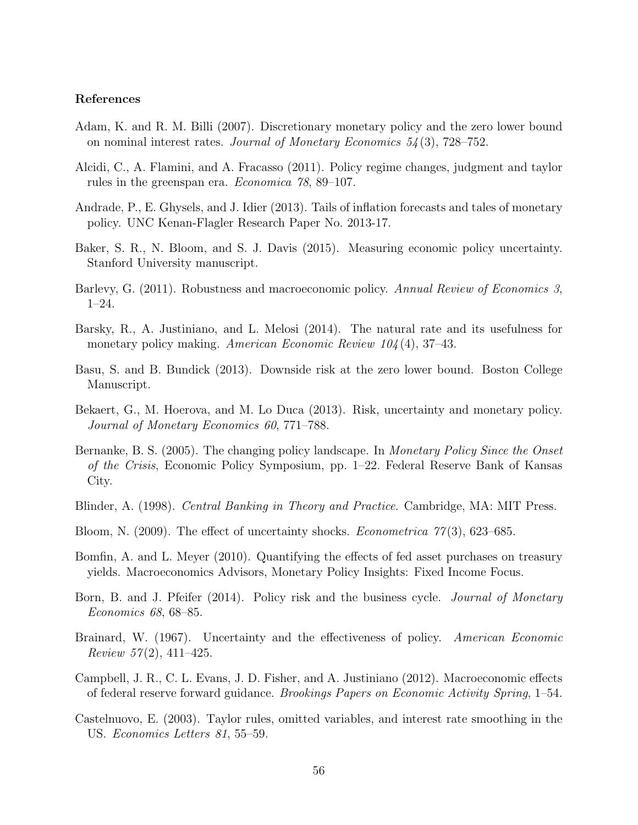## References

- Adam, K. and R. M. Billi (2007). Discretionary monetary policy and the zero lower bound on nominal interest rates. Journal of Monetary Economics  $54(3)$ , 728–752.
- <span id="page-56-2"></span>Alcidi, C., A. Flamini, and A. Fracasso (2011). Policy regime changes, judgment and taylor rules in the greenspan era. Economica 78, 89–107.
- <span id="page-56-5"></span>Andrade, P., E. Ghysels, and J. Idier (2013). Tails of inflation forecasts and tales of monetary policy. UNC Kenan-Flagler Research Paper No. 2013-17.
- <span id="page-56-4"></span>Baker, S. R., N. Bloom, and S. J. Davis (2015). Measuring economic policy uncertainty. Stanford University manuscript.
- Barlevy, G. (2011). Robustness and macroeconomic policy. Annual Review of Economics 3, 1–24.
- Barsky, R., A. Justiniano, and L. Melosi (2014). The natural rate and its usefulness for monetary policy making. American Economic Review  $104(4)$ , 37–43.
- Basu, S. and B. Bundick (2013). Downside risk at the zero lower bound. Boston College Manuscript.
- <span id="page-56-1"></span>Bekaert, G., M. Hoerova, and M. Lo Duca (2013). Risk, uncertainty and monetary policy. Journal of Monetary Economics 60, 771–788.
- Bernanke, B. S. (2005). The changing policy landscape. In Monetary Policy Since the Onset of the Crisis, Economic Policy Symposium, pp. 1–22. Federal Reserve Bank of Kansas City.
- Blinder, A. (1998). Central Banking in Theory and Practice. Cambridge, MA: MIT Press.
- Bloom, N. (2009). The effect of uncertainty shocks. *Econometrica*  $77(3)$ , 623–685.
- Bomfin, A. and L. Meyer (2010). Quantifying the effects of fed asset purchases on treasury yields. Macroeconomics Advisors, Monetary Policy Insights: Fixed Income Focus.
- Born, B. and J. Pfeifer (2014). Policy risk and the business cycle. *Journal of Monetary* Economics 68, 68–85.
- <span id="page-56-0"></span>Brainard, W. (1967). Uncertainty and the effectiveness of policy. American Economic Review  $57(2)$ , 411-425.
- Campbell, J. R., C. L. Evans, J. D. Fisher, and A. Justiniano (2012). Macroeconomic effects of federal reserve forward guidance. Brookings Papers on Economic Activity Spring, 1–54.
- <span id="page-56-3"></span>Castelnuovo, E. (2003). Taylor rules, omitted variables, and interest rate smoothing in the US. Economics Letters 81, 55–59.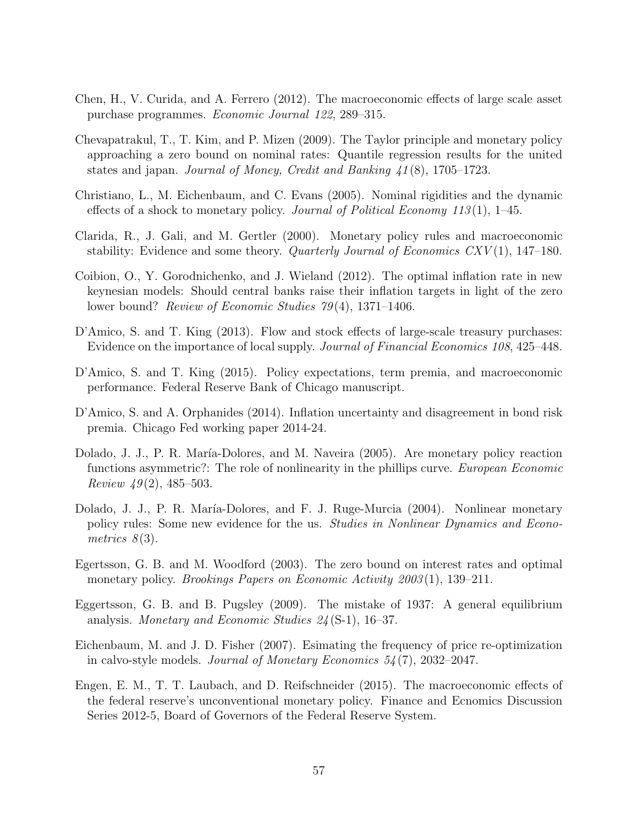- Chen, H., V. Curida, and A. Ferrero (2012). The macroeconomic effects of large scale asset purchase programmes. Economic Journal 122, 289–315.
- <span id="page-57-1"></span>Chevapatrakul, T., T. Kim, and P. Mizen (2009). The Taylor principle and monetary policy approaching a zero bound on nominal rates: Quantile regression results for the united states and japan. Journal of Money, Credit and Banking  $\frac{41(8)}{3!}$ , 1705–1723.
- Christiano, L., M. Eichenbaum, and C. Evans (2005). Nominal rigidities and the dynamic effects of a shock to monetary policy. Journal of Political Economy 113(1), 1–45.
- <span id="page-57-0"></span>Clarida, R., J. Gali, and M. Gertler (2000). Monetary policy rules and macroeconomic stability: Evidence and some theory. *Quarterly Journal of Economics CXV* $(1)$ , 147–180.
- Coibion, O., Y. Gorodnichenko, and J. Wieland (2012). The optimal inflation rate in new keynesian models: Should central banks raise their inflation targets in light of the zero lower bound? *Review of Economic Studies 79*(4), 1371–1406.
- D'Amico, S. and T. King (2013). Flow and stock effects of large-scale treasury purchases: Evidence on the importance of local supply. Journal of Financial Economics 108, 425–448.
- D'Amico, S. and T. King (2015). Policy expectations, term premia, and macroeconomic performance. Federal Reserve Bank of Chicago manuscript.
- <span id="page-57-2"></span>D'Amico, S. and A. Orphanides (2014). Inflation uncertainty and disagreement in bond risk premia. Chicago Fed working paper 2014-24.
- Dolado, J. J., P. R. María-Dolores, and M. Naveira (2005). Are monetary policy reaction functions asymmetric?: The role of nonlinearity in the phillips curve. *European Economic* Review  $49(2)$ , 485–503.
- Dolado, J. J., P. R. María-Dolores, and F. J. Ruge-Murcia (2004). Nonlinear monetary policy rules: Some new evidence for the us. *Studies in Nonlinear Dynamics and Econo*metrics  $8(3)$ .
- Egertsson, G. B. and M. Woodford (2003). The zero bound on interest rates and optimal monetary policy. *Brookings Papers on Economic Activity 2003* (1), 139–211.
- Eggertsson, G. B. and B. Pugsley (2009). The mistake of 1937: A general equilibrium analysis. Monetary and Economic Studies 24 (S-1), 16–37.
- Eichenbaum, M. and J. D. Fisher (2007). Esimating the frequency of price re-optimization in calvo-style models. Journal of Monetary Economics 54 (7), 2032–2047.
- Engen, E. M., T. T. Laubach, and D. Reifschneider (2015). The macroeconomic effects of the federal reserve's unconventional monetary policy. Finance and Ecnomics Discussion Series 2012-5, Board of Governors of the Federal Reserve System.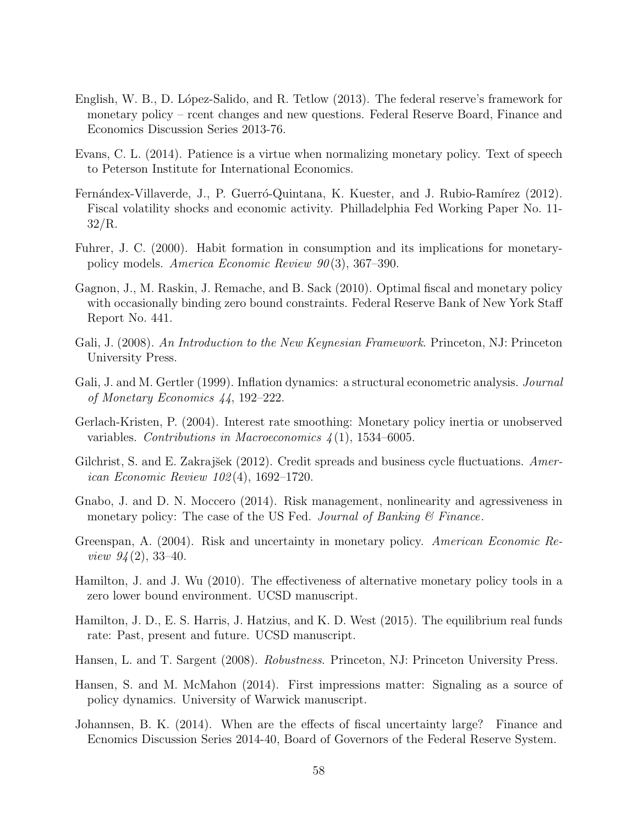- English, W. B., D. López-Salido, and R. Tetlow (2013). The federal reserve's framework for monetary policy – rcent changes and new questions. Federal Reserve Board, Finance and Economics Discussion Series 2013-76.
- Evans, C. L. (2014). Patience is a virtue when normalizing monetary policy. Text of speech to Peterson Institute for International Economics.
- Fernándex-Villaverde, J., P. Guerró-Quintana, K. Kuester, and J. Rubio-Ramírez (2012). Fiscal volatility shocks and economic activity. Philladelphia Fed Working Paper No. 11- 32/R.
- Fuhrer, J. C. (2000). Habit formation in consumption and its implications for monetarypolicy models. America Economic Review 90 (3), 367–390.
- Gagnon, J., M. Raskin, J. Remache, and B. Sack (2010). Optimal fiscal and monetary policy with occasionally binding zero bound constraints. Federal Reserve Bank of New York Staff Report No. 441.
- Gali, J. (2008). An Introduction to the New Keynesian Framework. Princeton, NJ: Princeton University Press.
- Gali, J. and M. Gertler (1999). Inflation dynamics: a structural econometric analysis. *Journal* of Monetary Economics 44, 192–222.
- <span id="page-58-3"></span>Gerlach-Kristen, P. (2004). Interest rate smoothing: Monetary policy inertia or unobserved variables. Contributions in Macroeconomics  $\mathcal{A}(1)$ , 1534–6005.
- <span id="page-58-2"></span>Gilchrist, S. and E. Zakraj $\check{\rm sek}$  (2012). Credit spreads and business cycle fluctuations. American Economic Review 102 (4), 1692–1720.
- <span id="page-58-1"></span>Gnabo, J. and D. N. Moccero (2014). Risk management, nonlinearity and agressiveness in monetary policy: The case of the US Fed. Journal of Banking  $\mathcal C$  Finance.
- Greenspan, A. (2004). Risk and uncertainty in monetary policy. American Economic Re*view 94* (2), 33–40.
- Hamilton, J. and J. Wu (2010). The effectiveness of alternative monetary policy tools in a zero lower bound environment. UCSD manuscript.
- Hamilton, J. D., E. S. Harris, J. Hatzius, and K. D. West (2015). The equilibrium real funds rate: Past, present and future. UCSD manuscript.
- Hansen, L. and T. Sargent (2008). Robustness. Princeton, NJ: Princeton University Press.
- <span id="page-58-0"></span>Hansen, S. and M. McMahon (2014). First impressions matter: Signaling as a source of policy dynamics. University of Warwick manuscript.
- Johannsen, B. K. (2014). When are the effects of fiscal uncertainty large? Finance and Ecnomics Discussion Series 2014-40, Board of Governors of the Federal Reserve System.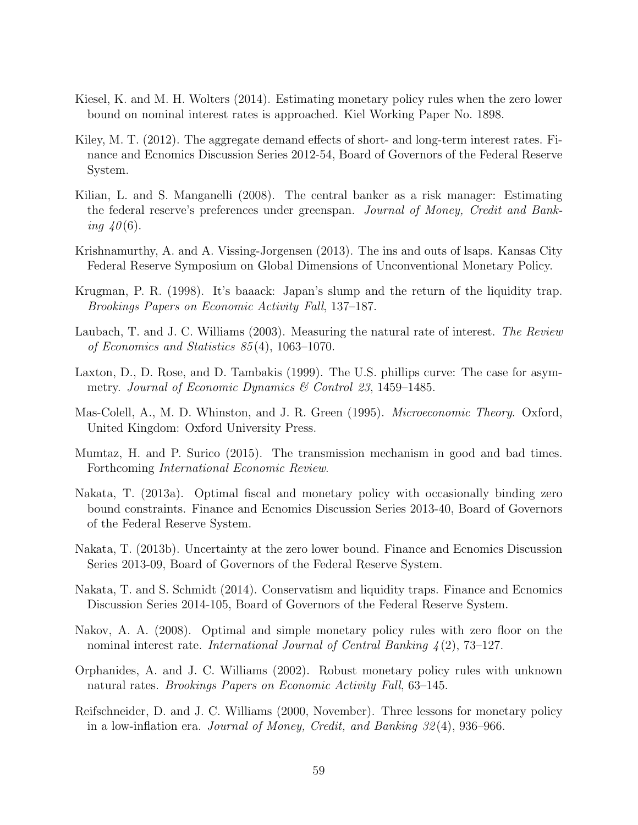- <span id="page-59-1"></span>Kiesel, K. and M. H. Wolters (2014). Estimating monetary policy rules when the zero lower bound on nominal interest rates is approached. Kiel Working Paper No. 1898.
- Kiley, M. T. (2012). The aggregate demand effects of short- and long-term interest rates. Finance and Ecnomics Discussion Series 2012-54, Board of Governors of the Federal Reserve System.
- Kilian, L. and S. Manganelli (2008). The central banker as a risk manager: Estimating the federal reserve's preferences under greenspan. Journal of Money, Credit and Banking  $40(6)$ .
- Krishnamurthy, A. and A. Vissing-Jorgensen (2013). The ins and outs of lsaps. Kansas City Federal Reserve Symposium on Global Dimensions of Unconventional Monetary Policy.
- Krugman, P. R. (1998). It's baaack: Japan's slump and the return of the liquidity trap. Brookings Papers on Economic Activity Fall, 137–187.
- Laubach, T. and J. C. Williams (2003). Measuring the natural rate of interest. The Review of Economics and Statistics 85 (4), 1063–1070.
- Laxton, D., D. Rose, and D. Tambakis (1999). The U.S. phillips curve: The case for asymmetry. Journal of Economic Dynamics & Control 23, 1459–1485.
- Mas-Colell, A., M. D. Whinston, and J. R. Green (1995). Microeconomic Theory. Oxford, United Kingdom: Oxford University Press.
- <span id="page-59-0"></span>Mumtaz, H. and P. Surico (2015). The transmission mechanism in good and bad times. Forthcoming International Economic Review.
- Nakata, T. (2013a). Optimal fiscal and monetary policy with occasionally binding zero bound constraints. Finance and Ecnomics Discussion Series 2013-40, Board of Governors of the Federal Reserve System.
- Nakata, T. (2013b). Uncertainty at the zero lower bound. Finance and Ecnomics Discussion Series 2013-09, Board of Governors of the Federal Reserve System.
- Nakata, T. and S. Schmidt (2014). Conservatism and liquidity traps. Finance and Ecnomics Discussion Series 2014-105, Board of Governors of the Federal Reserve System.
- Nakov, A. A. (2008). Optimal and simple monetary policy rules with zero floor on the nominal interest rate. International Journal of Central Banking 4 (2), 73–127.
- Orphanides, A. and J. C. Williams (2002). Robust monetary policy rules with unknown natural rates. Brookings Papers on Economic Activity Fall, 63–145.
- Reifschneider, D. and J. C. Williams (2000, November). Three lessons for monetary policy in a low-inflation era. Journal of Money, Credit, and Banking 32 (4), 936–966.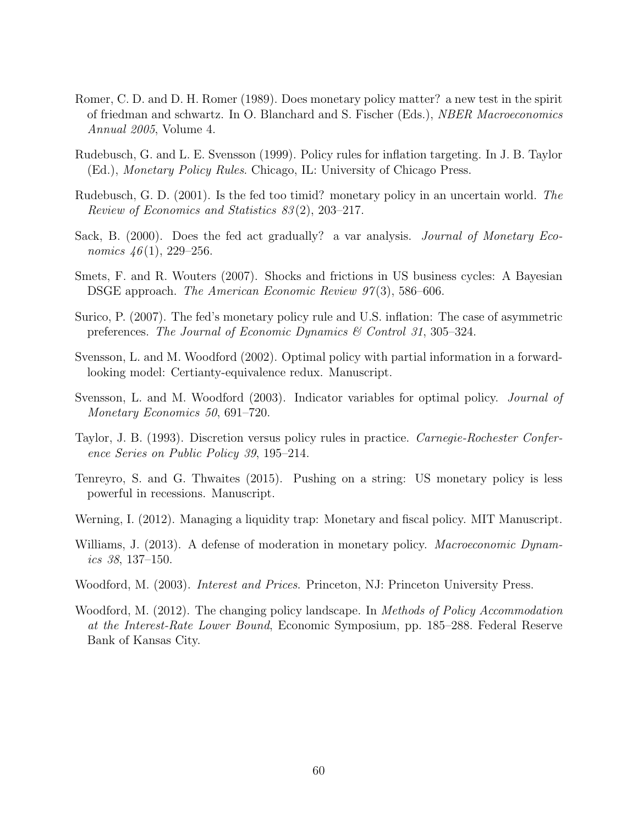- <span id="page-60-0"></span>Romer, C. D. and D. H. Romer (1989). Does monetary policy matter? a new test in the spirit of friedman and schwartz. In O. Blanchard and S. Fischer (Eds.), NBER Macroeconomics Annual 2005, Volume 4.
- Rudebusch, G. and L. E. Svensson (1999). Policy rules for inflation targeting. In J. B. Taylor (Ed.), Monetary Policy Rules. Chicago, IL: University of Chicago Press.
- Rudebusch, G. D. (2001). Is the fed too timid? monetary policy in an uncertain world. The Review of Economics and Statistics 83 (2), 203–217.
- Sack, B. (2000). Does the fed act gradually? a var analysis. *Journal of Monetary Eco*nomics  $46(1)$ , 229–256.
- Smets, F. and R. Wouters (2007). Shocks and frictions in US business cycles: A Bayesian DSGE approach. *The American Economic Review 97*(3), 586–606.
- Surico, P. (2007). The fed's monetary policy rule and U.S. inflation: The case of asymmetric preferences. The Journal of Economic Dynamics & Control 31, 305–324.
- Svensson, L. and M. Woodford (2002). Optimal policy with partial information in a forwardlooking model: Certianty-equivalence redux. Manuscript.
- Svensson, L. and M. Woodford (2003). Indicator variables for optimal policy. *Journal of* Monetary Economics 50, 691–720.
- Taylor, J. B. (1993). Discretion versus policy rules in practice. Carnegie-Rochester Conference Series on Public Policy 39, 195–214.
- <span id="page-60-1"></span>Tenreyro, S. and G. Thwaites (2015). Pushing on a string: US monetary policy is less powerful in recessions. Manuscript.
- Werning, I. (2012). Managing a liquidity trap: Monetary and fiscal policy. MIT Manuscript.
- Williams, J. (2013). A defense of moderation in monetary policy. *Macroeconomic Dynam*ics 38, 137–150.
- Woodford, M. (2003). *Interest and Prices*. Princeton, NJ: Princeton University Press.
- Woodford, M. (2012). The changing policy landscape. In *Methods of Policy Accommodation* at the Interest-Rate Lower Bound, Economic Symposium, pp. 185–288. Federal Reserve Bank of Kansas City.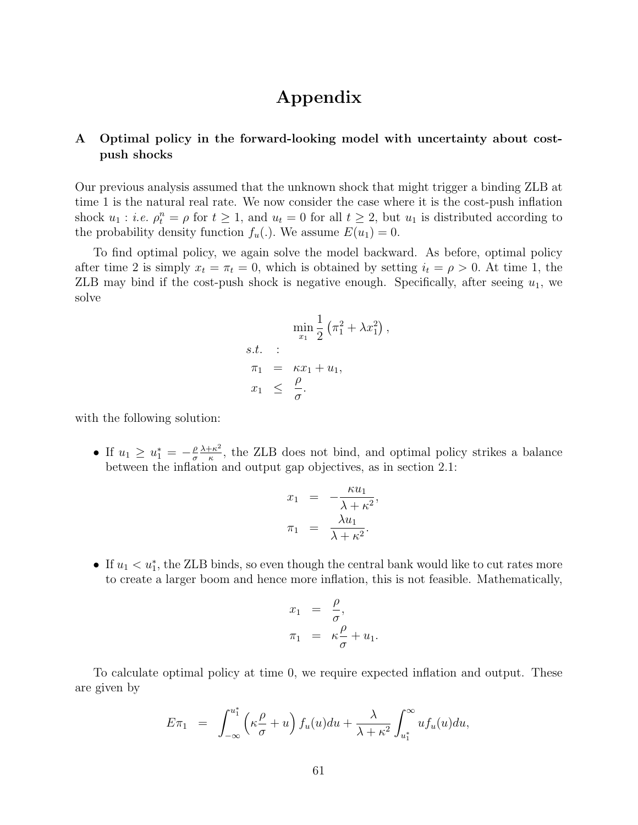# Appendix

# A Optimal policy in the forward-looking model with uncertainty about costpush shocks

Our previous analysis assumed that the unknown shock that might trigger a binding ZLB at time 1 is the natural real rate. We now consider the case where it is the cost-push inflation shock  $u_1 : i.e. \rho_t^n = \rho$  for  $t \geq 1$ , and  $u_t = 0$  for all  $t \geq 2$ , but  $u_1$  is distributed according to the probability density function  $f_u(.)$ . We assume  $E(u_1) = 0$ .

To find optimal policy, we again solve the model backward. As before, optimal policy after time 2 is simply  $x_t = \pi_t = 0$ , which is obtained by setting  $i_t = \rho > 0$ . At time 1, the ZLB may bind if the cost-push shock is negative enough. Specifically, after seeing  $u_1$ , we solve

$$
\min_{x_1} \frac{1}{2} \left( \pi_1^2 + \lambda x_1^2 \right)
$$
  
s.t. :  

$$
\pi_1 = \kappa x_1 + u_1,
$$
  

$$
x_1 \leq \frac{\rho}{\sigma}.
$$

,

with the following solution:

• If  $u_1 \geq u_1^* = -\frac{\rho}{\sigma}$ σ  $\lambda + \kappa^2$  $\frac{k}{\kappa}$ , the ZLB does not bind, and optimal policy strikes a balance between the inflation and output gap objectives, as in section 2.1:

$$
x_1 = -\frac{\kappa u_1}{\lambda + \kappa^2},
$$
  

$$
\pi_1 = \frac{\lambda u_1}{\lambda + \kappa^2}.
$$

• If  $u_1 < u_1^*$ , the ZLB binds, so even though the central bank would like to cut rates more to create a larger boom and hence more inflation, this is not feasible. Mathematically,

$$
\begin{array}{rcl}\nx_1 &=& \frac{\rho}{\sigma}, \\
\pi_1 &=& \kappa \frac{\rho}{\sigma} + u_1.\n\end{array}
$$

To calculate optimal policy at time 0, we require expected inflation and output. These are given by

$$
E\pi_1 = \int_{-\infty}^{u_1^*} \left(\kappa \frac{\rho}{\sigma} + u\right) f_u(u) du + \frac{\lambda}{\lambda + \kappa^2} \int_{u_1^*}^{\infty} u f_u(u) du,
$$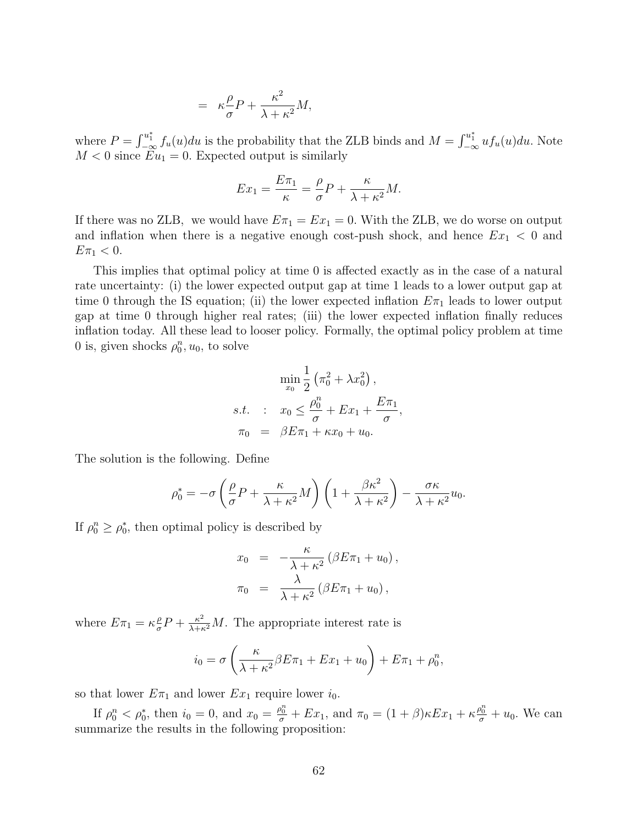$$
= \kappa \frac{\rho}{\sigma} P + \frac{\kappa^2}{\lambda + \kappa^2} M,
$$

where  $P = \int_{-\infty}^{u_1^*} f_u(u) du$  is the probability that the ZLB binds and  $M = \int_{-\infty}^{u_1^*} u f_u(u) du$ . Note  $M < 0$  since  $Eu_1 = 0$ . Expected output is similarly

$$
Ex_1 = \frac{E\pi_1}{\kappa} = \frac{\rho}{\sigma}P + \frac{\kappa}{\lambda + \kappa^2}M.
$$

If there was no ZLB, we would have  $E\pi_1 = Ex_1 = 0$ . With the ZLB, we do worse on output and inflation when there is a negative enough cost-push shock, and hence  $Ex_1 < 0$  and  $E\pi_1 < 0.$ 

This implies that optimal policy at time 0 is affected exactly as in the case of a natural rate uncertainty: (i) the lower expected output gap at time 1 leads to a lower output gap at time 0 through the IS equation; (ii) the lower expected inflation  $E_{\pi_1}$  leads to lower output gap at time 0 through higher real rates; (iii) the lower expected inflation finally reduces inflation today. All these lead to looser policy. Formally, the optimal policy problem at time 0 is, given shocks  $\rho_0^n, u_0$ , to solve

$$
\min_{x_0} \frac{1}{2} (\pi_0^2 + \lambda x_0^2),
$$
  
s.t. :  $x_0 \le \frac{\rho_0^n}{\sigma} + Ex_1 + \frac{E\pi_1}{\sigma},$   
 $\pi_0 = \beta E \pi_1 + \kappa x_0 + u_0.$ 

The solution is the following. Define

$$
\rho_0^* = -\sigma \left(\frac{\rho}{\sigma} P + \frac{\kappa}{\lambda + \kappa^2} M\right) \left(1 + \frac{\beta \kappa^2}{\lambda + \kappa^2}\right) - \frac{\sigma \kappa}{\lambda + \kappa^2} u_0.
$$

If  $\rho_0^n \ge \rho_0^*$ , then optimal policy is described by

$$
x_0 = -\frac{\kappa}{\lambda + \kappa^2} (\beta E \pi_1 + u_0),
$$
  

$$
\pi_0 = \frac{\lambda}{\lambda + \kappa^2} (\beta E \pi_1 + u_0),
$$

where  $E\pi_1 = \kappa \frac{\rho}{\sigma}$  $\frac{\rho}{\sigma}P + \frac{\kappa^2}{\lambda + \kappa^2}M$ . The appropriate interest rate is

$$
i_0 = \sigma \left(\frac{\kappa}{\lambda + \kappa^2} \beta E \pi_1 + E x_1 + u_0\right) + E \pi_1 + \rho_0^n,
$$

so that lower  $E\pi_1$  and lower  $Ex_1$  require lower  $i_0$ .

If  $\rho_0^n < \rho_0^*$ , then  $i_0 = 0$ , and  $x_0 = \frac{\rho_0^n}{\sigma} + Ex_1$ , and  $\pi_0 = (1 + \beta)\kappa Ex_1 + \kappa \frac{\rho_0^n}{\sigma} + u_0$ . We can summarize the results in the following proposition: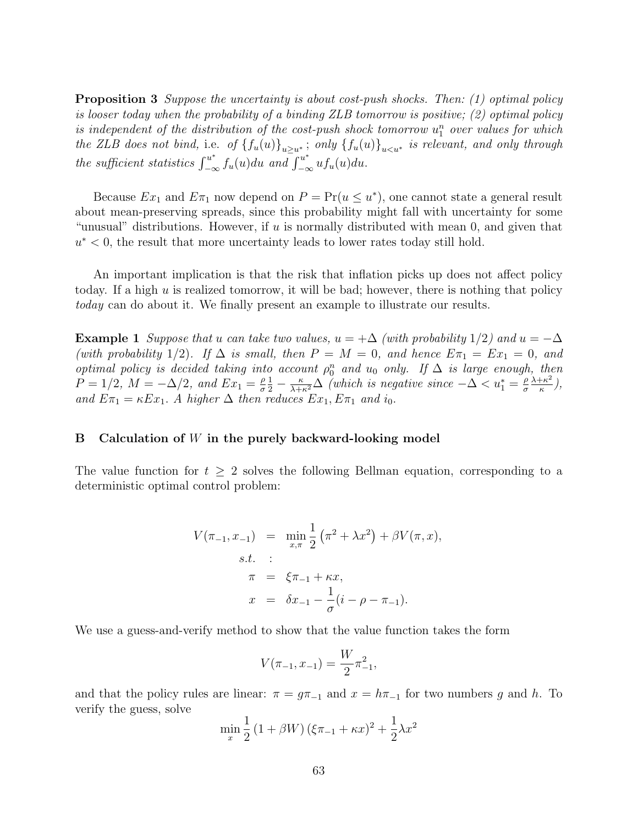Proposition 3 Suppose the uncertainty is about cost-push shocks. Then: (1) optimal policy is looser today when the probability of a binding ZLB tomorrow is positive; (2) optimal policy is independent of the distribution of the cost-push shock tomorrow  $u_1^n$  over values for which the ZLB does not bind, i.e. of  ${f_u(u)}_{u\geq u^*}$ ; only  ${f_u(u)}_{u\leq u^*}$  is relevant, and only through the sufficient statistics  $\int_{-\infty}^{u^*} f_u(u) du$  and  $\int_{-\infty}^{u^*} uf_u(u) du$ .

Because  $Ex_1$  and  $E\pi_1$  now depend on  $P = Pr(u \le u^*)$ , one cannot state a general result about mean-preserving spreads, since this probability might fall with uncertainty for some "unusual" distributions. However, if  $u$  is normally distributed with mean 0, and given that  $u^*$  < 0, the result that more uncertainty leads to lower rates today still hold.

An important implication is that the risk that inflation picks up does not affect policy today. If a high  $u$  is realized tomorrow, it will be bad; however, there is nothing that policy today can do about it. We finally present an example to illustrate our results.

**Example 1** Suppose that u can take two values,  $u = +\Delta$  (with probability 1/2) and  $u = -\Delta$ (with probability 1/2). If  $\Delta$  is small, then  $P = M = 0$ , and hence  $E\pi_1 = Ex_1 = 0$ , and optimal policy is decided taking into account  $\rho_0^n$  and  $u_0$  only. If  $\Delta$  is large enough, then  $P = 1/2$ ,  $M = -\Delta/2$ , and  $Ex_1 = \frac{\rho}{\sigma}$ σ  $\frac{1}{2} - \frac{\kappa}{\lambda + \kappa^2} \Delta$  (which is negative since  $-\Delta < u_1^* = \frac{\rho}{\sigma}$ σ  $\lambda + \kappa^2$  $\frac{+\kappa^2}{\kappa},$ and  $E\pi_1 = \kappa E x_1$ . A higher  $\Delta$  then reduces  $Ex_1, E\pi_1$  and  $i_0$ .

## B Calculation of W in the purely backward-looking model

The value function for  $t \geq 2$  solves the following Bellman equation, corresponding to a deterministic optimal control problem:

$$
V(\pi_{-1}, x_{-1}) = \min_{x, \pi} \frac{1}{2} (\pi^2 + \lambda x^2) + \beta V(\pi, x),
$$
  
s.t. :  

$$
\pi = \xi \pi_{-1} + \kappa x,
$$
  

$$
x = \delta x_{-1} - \frac{1}{\sigma} (i - \rho - \pi_{-1}).
$$

We use a guess-and-verify method to show that the value function takes the form

$$
V(\pi_{-1}, x_{-1}) = \frac{W}{2} \pi_{-1}^2,
$$

and that the policy rules are linear:  $\pi = g\pi_{-1}$  and  $x = h\pi_{-1}$  for two numbers g and h. To verify the guess, solve

$$
\min_{x} \frac{1}{2} \left( 1 + \beta W \right) \left( \xi \pi_{-1} + \kappa x \right)^2 + \frac{1}{2} \lambda x^2
$$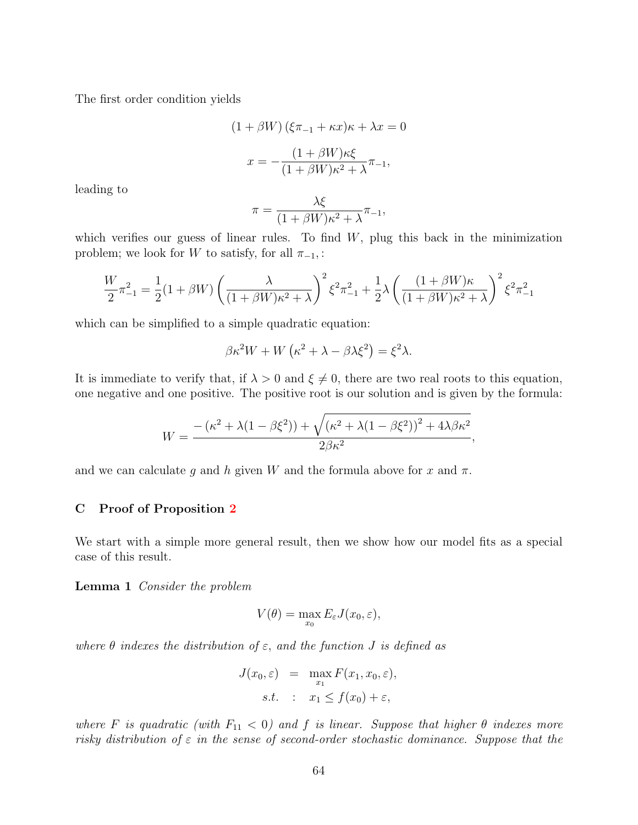The first order condition yields

$$
(1 + \beta W) (\xi \pi_{-1} + \kappa x) \kappa + \lambda x = 0
$$

$$
x = -\frac{(1 + \beta W) \kappa \xi}{(1 + \beta W) \kappa^2 + \lambda} \pi_{-1},
$$

leading to

$$
\pi = \frac{\lambda \xi}{(1 + \beta W)\kappa^2 + \lambda} \pi_{-1},
$$

which verifies our guess of linear rules. To find  $W$ , plug this back in the minimization problem; we look for W to satisfy, for all  $\pi_{-1}$ , :

$$
\frac{W}{2}\pi_{-1}^{2} = \frac{1}{2}(1+\beta W)\left(\frac{\lambda}{(1+\beta W)\kappa^{2}+\lambda}\right)^{2}\xi^{2}\pi_{-1}^{2} + \frac{1}{2}\lambda\left(\frac{(1+\beta W)\kappa}{(1+\beta W)\kappa^{2}+\lambda}\right)^{2}\xi^{2}\pi_{-1}^{2}
$$

which can be simplified to a simple quadratic equation:

$$
\beta \kappa^2 W + W \left( \kappa^2 + \lambda - \beta \lambda \xi^2 \right) = \xi^2 \lambda.
$$

It is immediate to verify that, if  $\lambda > 0$  and  $\xi \neq 0$ , there are two real roots to this equation, one negative and one positive. The positive root is our solution and is given by the formula:

$$
W = \frac{-\left(\kappa^2 + \lambda(1 - \beta\xi^2)\right) + \sqrt{\left(\kappa^2 + \lambda(1 - \beta\xi^2)\right)^2 + 4\lambda\beta\kappa^2}}{2\beta\kappa^2},
$$

and we can calculate g and h given W and the formula above for x and  $\pi$ .

# C Proof of Proposition [2](#page-17-0)

We start with a simple more general result, then we show how our model fits as a special case of this result.

Lemma 1 Consider the problem

$$
V(\theta) = \max_{x_0} E_{\varepsilon} J(x_0, \varepsilon),
$$

where  $\theta$  indexes the distribution of  $\varepsilon$ , and the function  $J$  is defined as

$$
J(x_0, \varepsilon) = \max_{x_1} F(x_1, x_0, \varepsilon),
$$
  
s.t. :  $x_1 \le f(x_0) + \varepsilon$ ,

where F is quadratic (with  $F_{11} < 0$ ) and f is linear. Suppose that higher  $\theta$  indexes more risky distribution of  $\varepsilon$  in the sense of second-order stochastic dominance. Suppose that the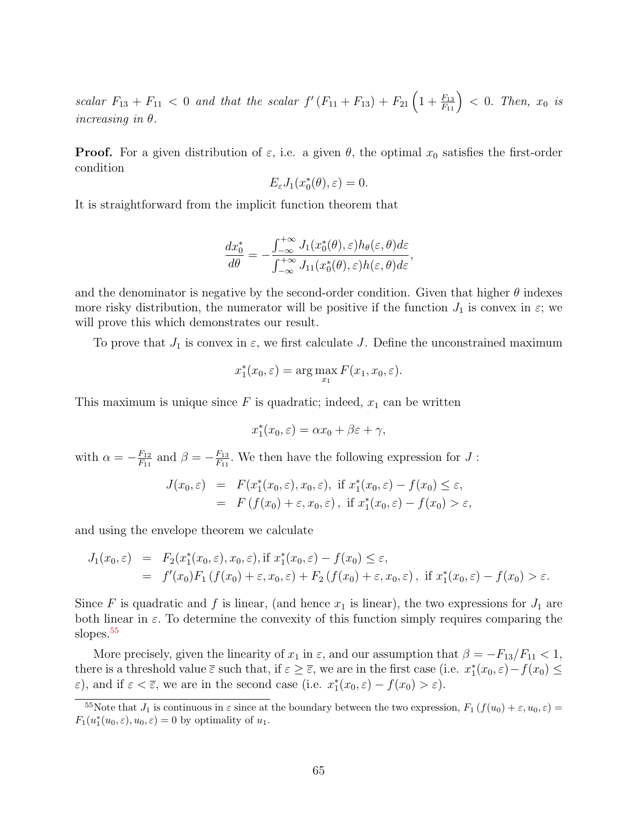scalar  $F_{13} + F_{11} < 0$  and that the scalar  $f'(F_{11} + F_{13}) + F_{21} \left(1 + \frac{F_{13}}{F_{11}}\right) < 0$ . Then,  $x_0$  is increasing in  $\theta$ .

**Proof.** For a given distribution of  $\varepsilon$ , i.e. a given  $\theta$ , the optimal  $x_0$  satisfies the first-order condition

$$
E_{\varepsilon}J_1(x_0^*(\theta), \varepsilon)=0.
$$

It is straightforward from the implicit function theorem that

$$
\frac{dx_0^*}{d\theta} = -\frac{\int_{-\infty}^{+\infty} J_1(x_0^*(\theta), \varepsilon) h_{\theta}(\varepsilon, \theta) d\varepsilon}{\int_{-\infty}^{+\infty} J_{11}(x_0^*(\theta), \varepsilon) h(\varepsilon, \theta) d\varepsilon},
$$

and the denominator is negative by the second-order condition. Given that higher  $\theta$  indexes more risky distribution, the numerator will be positive if the function  $J_1$  is convex in  $\varepsilon$ ; we will prove this which demonstrates our result.

To prove that  $J_1$  is convex in  $\varepsilon$ , we first calculate J. Define the unconstrained maximum

$$
x_1^*(x_0, \varepsilon) = \arg\max_{x_1} F(x_1, x_0, \varepsilon).
$$

This maximum is unique since  $F$  is quadratic; indeed,  $x_1$  can be written

$$
x_1^*(x_0, \varepsilon) = \alpha x_0 + \beta \varepsilon + \gamma,
$$

with  $\alpha = -\frac{F_{12}}{F_{11}}$  $\frac{F_{12}}{F_{11}}$  and  $\beta = -\frac{F_{13}}{F_{11}}$  $\frac{F_{13}}{F_{11}}$ . We then have the following expression for  $J$ :

$$
J(x_0, \varepsilon) = F(x_1^*(x_0, \varepsilon), x_0, \varepsilon), \text{ if } x_1^*(x_0, \varepsilon) - f(x_0) \le \varepsilon,
$$
  
=  $F(f(x_0) + \varepsilon, x_0, \varepsilon), \text{ if } x_1^*(x_0, \varepsilon) - f(x_0) > \varepsilon,$ 

and using the envelope theorem we calculate

$$
J_1(x_0, \varepsilon) = F_2(x_1^*(x_0, \varepsilon), x_0, \varepsilon), \text{if } x_1^*(x_0, \varepsilon) - f(x_0) \le \varepsilon,
$$
  
=  $f'(x_0)F_1(f(x_0) + \varepsilon, x_0, \varepsilon) + F_2(f(x_0) + \varepsilon, x_0, \varepsilon), \text{ if } x_1^*(x_0, \varepsilon) - f(x_0) > \varepsilon.$ 

Since F is quadratic and f is linear, (and hence  $x_1$  is linear), the two expressions for  $J_1$  are both linear in  $\varepsilon$ . To determine the convexity of this function simply requires comparing the slopes.<sup>[55](#page-0-0)</sup>

More precisely, given the linearity of  $x_1$  in  $\varepsilon$ , and our assumption that  $\beta = -F_{13}/F_{11} < 1$ , there is a threshold value  $\overline{\varepsilon}$  such that, if  $\varepsilon \geq \overline{\varepsilon}$ , we are in the first case (i.e.  $x_1^*(x_0, \varepsilon) - f(x_0) \leq$  $\varepsilon$ ), and if  $\varepsilon < \overline{\varepsilon}$ , we are in the second case (i.e.  $x_1^*(x_0, \varepsilon) - f(x_0) > \varepsilon$ ).

<sup>&</sup>lt;sup>55</sup>Note that  $J_1$  is continuous in  $\varepsilon$  since at the boundary between the two expression,  $F_1(f(u_0) + \varepsilon, u_0, \varepsilon) =$  $F_1(u_1^*(u_0,\varepsilon), u_0, \varepsilon) = 0$  by optimality of  $u_1$ .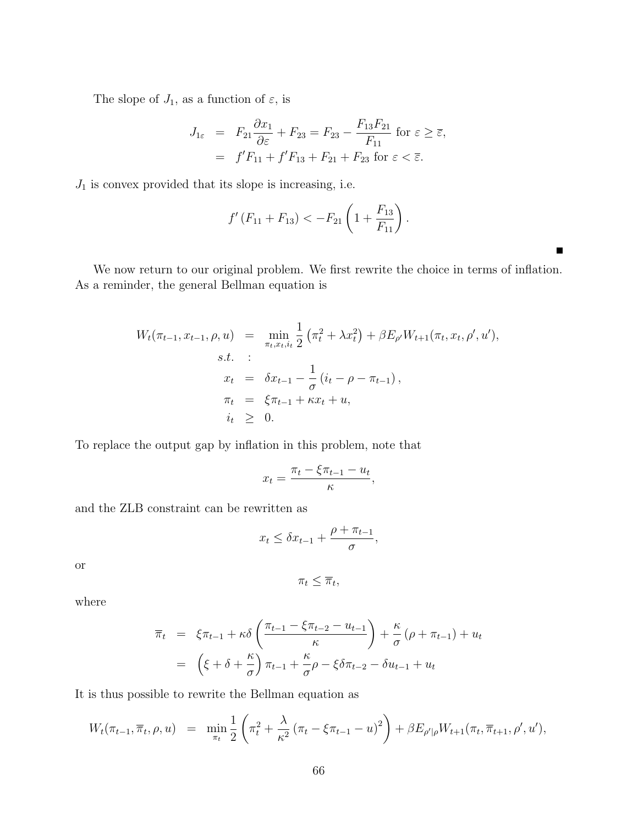The slope of  $J_1$ , as a function of  $\varepsilon$ , is

$$
J_{1\varepsilon} = F_{21} \frac{\partial x_1}{\partial \varepsilon} + F_{23} = F_{23} - \frac{F_{13} F_{21}}{F_{11}} \text{ for } \varepsilon \ge \overline{\varepsilon},
$$
  

$$
= f'F_{11} + f'F_{13} + F_{21} + F_{23} \text{ for } \varepsilon < \overline{\varepsilon}.
$$

 $J_{\rm 1}$  is convex provided that its slope is increasing, i.e.

$$
f'(F_{11}+F_{13})<-F_{21}\left(1+\frac{F_{13}}{F_{11}}\right).
$$

We now return to our original problem. We first rewrite the choice in terms of inflation. As a reminder, the general Bellman equation is

 $\blacksquare$ 

$$
W_t(\pi_{t-1}, x_{t-1}, \rho, u) = \min_{\pi_t, x_t, i_t} \frac{1}{2} (\pi_t^2 + \lambda x_t^2) + \beta E_{\rho'} W_{t+1}(\pi_t, x_t, \rho', u'),
$$
  
s.t. :  

$$
x_t = \delta x_{t-1} - \frac{1}{\sigma} (i_t - \rho - \pi_{t-1}),
$$
  

$$
\pi_t = \xi \pi_{t-1} + \kappa x_t + u,
$$
  

$$
i_t \geq 0.
$$

To replace the output gap by inflation in this problem, note that

$$
x_t = \frac{\pi_t - \xi \pi_{t-1} - u_t}{\kappa},
$$

and the ZLB constraint can be rewritten as

$$
x_t \leq \delta x_{t-1} + \frac{\rho + \pi_{t-1}}{\sigma},
$$

or

$$
\pi_t \leq \overline{\pi}_t,
$$

where

$$
\overline{\pi}_t = \xi \pi_{t-1} + \kappa \delta \left( \frac{\pi_{t-1} - \xi \pi_{t-2} - u_{t-1}}{\kappa} \right) + \frac{\kappa}{\sigma} (\rho + \pi_{t-1}) + u_t
$$

$$
= \left( \xi + \delta + \frac{\kappa}{\sigma} \right) \pi_{t-1} + \frac{\kappa}{\sigma} \rho - \xi \delta \pi_{t-2} - \delta u_{t-1} + u_t
$$

It is thus possible to rewrite the Bellman equation as

$$
W_t(\pi_{t-1}, \overline{\pi}_t, \rho, u) = \min_{\pi_t} \frac{1}{2} \left( \pi_t^2 + \frac{\lambda}{\kappa^2} \left( \pi_t - \xi \pi_{t-1} - u \right)^2 \right) + \beta E_{\rho'|\rho} W_{t+1}(\pi_t, \overline{\pi}_{t+1}, \rho', u'),
$$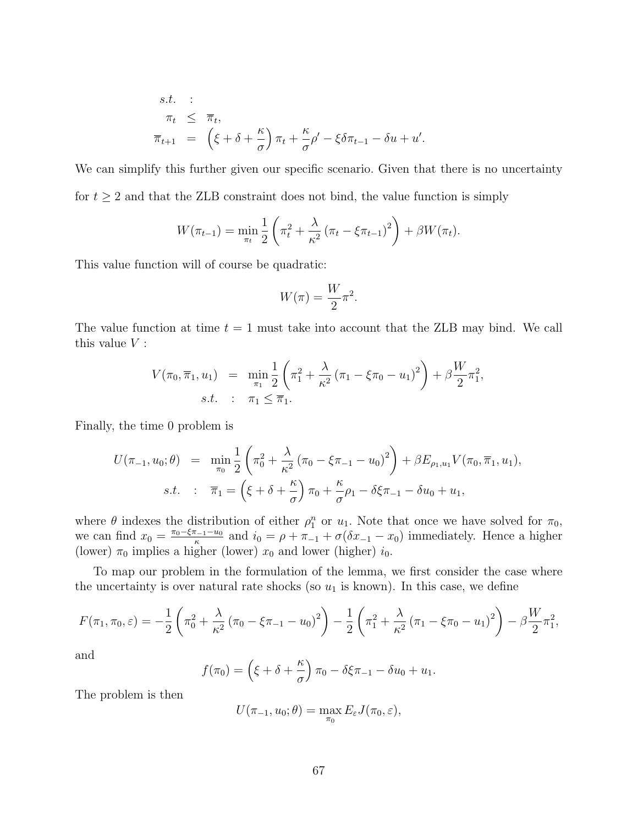s.t. :  
\n
$$
\pi_t \leq \overline{\pi}_t,
$$
\n
$$
\overline{\pi}_{t+1} = (\xi + \delta + \frac{\kappa}{\sigma}) \pi_t + \frac{\kappa}{\sigma} \rho' - \xi \delta \pi_{t-1} - \delta u + u'.
$$

We can simplify this further given our specific scenario. Given that there is no uncertainty for  $t \geq 2$  and that the ZLB constraint does not bind, the value function is simply

$$
W(\pi_{t-1}) = \min_{\pi_t} \frac{1}{2} \left( \pi_t^2 + \frac{\lambda}{\kappa^2} \left( \pi_t - \xi \pi_{t-1} \right)^2 \right) + \beta W(\pi_t).
$$

This value function will of course be quadratic:

$$
W(\pi) = \frac{W}{2}\pi^2.
$$

The value function at time  $t = 1$  must take into account that the ZLB may bind. We call this value  $V$  :

$$
V(\pi_0, \overline{\pi}_1, u_1) = \min_{\pi_1} \frac{1}{2} \left( \pi_1^2 + \frac{\lambda}{\kappa^2} (\pi_1 - \xi \pi_0 - u_1)^2 \right) + \beta \frac{W}{2} \pi_1^2,
$$
  
s.t. :  $\pi_1 \le \overline{\pi}_1.$ 

Finally, the time 0 problem is

$$
U(\pi_{-1}, u_0; \theta) = \min_{\pi_0} \frac{1}{2} \left( \pi_0^2 + \frac{\lambda}{\kappa^2} (\pi_0 - \xi \pi_{-1} - u_0)^2 \right) + \beta E_{\rho_1, u_1} V(\pi_0, \overline{\pi}_1, u_1),
$$
  
s.t. :  $\overline{\pi}_1 = \left( \xi + \delta + \frac{\kappa}{\sigma} \right) \pi_0 + \frac{\kappa}{\sigma} \rho_1 - \delta \xi \pi_{-1} - \delta u_0 + u_1,$ 

where  $\theta$  indexes the distribution of either  $\rho_1^n$  or  $u_1$ . Note that once we have solved for  $\pi_0$ , we can find  $x_0 = \frac{\pi_0 - \xi \pi_{-1} - u_0}{\kappa}$  $\frac{a_{-1}-u_0}{\kappa}$  and  $i_0 = \rho + \pi_{-1} + \sigma(\delta x_{-1} - x_0)$  immediately. Hence a higher (lower)  $\pi_0$  implies a higher (lower)  $x_0$  and lower (higher)  $i_0$ .

To map our problem in the formulation of the lemma, we first consider the case where the uncertainty is over natural rate shocks (so  $u_1$  is known). In this case, we define

$$
F(\pi_1, \pi_0, \varepsilon) = -\frac{1}{2} \left( \pi_0^2 + \frac{\lambda}{\kappa^2} \left( \pi_0 - \xi \pi_{-1} - u_0 \right)^2 \right) - \frac{1}{2} \left( \pi_1^2 + \frac{\lambda}{\kappa^2} \left( \pi_1 - \xi \pi_0 - u_1 \right)^2 \right) - \beta \frac{W}{2} \pi_1^2,
$$

and

$$
f(\pi_0) = \left(\xi + \delta + \frac{\kappa}{\sigma}\right)\pi_0 - \delta\xi\pi_{-1} - \delta u_0 + u_1.
$$

The problem is then

$$
U(\pi_{-1}, u_0; \theta) = \max_{\pi_0} E_{\varepsilon} J(\pi_0, \varepsilon),
$$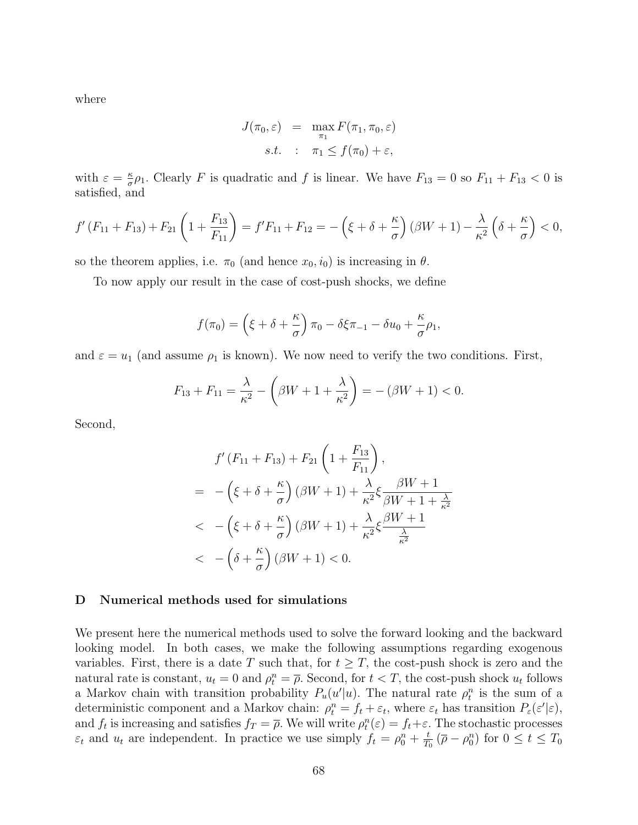where

$$
J(\pi_0, \varepsilon) = \max_{\pi_1} F(\pi_1, \pi_0, \varepsilon)
$$
  
s.t. :  $\pi_1 \le f(\pi_0) + \varepsilon$ ,

with  $\varepsilon = \frac{\kappa}{\sigma}$  $\frac{\kappa}{\sigma}\rho_1$ . Clearly F is quadratic and f is linear. We have  $F_{13} = 0$  so  $F_{11} + F_{13} < 0$  is satisfied, and

$$
f'(F_{11} + F_{13}) + F_{21}\left(1 + \frac{F_{13}}{F_{11}}\right) = f'F_{11} + F_{12} = -\left(\xi + \delta + \frac{\kappa}{\sigma}\right)(\beta W + 1) - \frac{\lambda}{\kappa^2}\left(\delta + \frac{\kappa}{\sigma}\right) < 0,
$$

so the theorem applies, i.e.  $\pi_0$  (and hence  $x_0, i_0$ ) is increasing in  $\theta$ .

To now apply our result in the case of cost-push shocks, we define

$$
f(\pi_0) = \left(\xi + \delta + \frac{\kappa}{\sigma}\right)\pi_0 - \delta\xi\pi_{-1} - \delta u_0 + \frac{\kappa}{\sigma}\rho_1,
$$

and  $\varepsilon = u_1$  (and assume  $\rho_1$  is known). We now need to verify the two conditions. First,

$$
F_{13} + F_{11} = \frac{\lambda}{\kappa^2} - \left(\beta W + 1 + \frac{\lambda}{\kappa^2}\right) = -\left(\beta W + 1\right) < 0.
$$

Second,

$$
f'(F_{11} + F_{13}) + F_{21}\left(1 + \frac{F_{13}}{F_{11}}\right),
$$
  
= 
$$
-\left(\xi + \delta + \frac{\kappa}{\sigma}\right)(\beta W + 1) + \frac{\lambda}{\kappa^2}\xi \frac{\beta W + 1}{\beta W + 1 + \frac{\lambda}{\kappa^2}}
$$
  
< 
$$
-\left(\xi + \delta + \frac{\kappa}{\sigma}\right)(\beta W + 1) + \frac{\lambda}{\kappa^2}\xi \frac{\beta W + 1}{\frac{\lambda}{\kappa^2}}
$$
  
< 
$$
-\left(\delta + \frac{\kappa}{\sigma}\right)(\beta W + 1) < 0.
$$

## D Numerical methods used for simulations

We present here the numerical methods used to solve the forward looking and the backward looking model. In both cases, we make the following assumptions regarding exogenous variables. First, there is a date T such that, for  $t \geq T$ , the cost-push shock is zero and the natural rate is constant,  $u_t = 0$  and  $\rho_t^n = \overline{\rho}$ . Second, for  $t < T$ , the cost-push shock  $u_t$  follows a Markov chain with transition probability  $P_u(u'|u)$ . The natural rate  $\rho_t^n$  is the sum of a deterministic component and a Markov chain:  $\rho_t^n = f_t + \varepsilon_t$ , where  $\varepsilon_t$  has transition  $P_{\varepsilon}(\varepsilon'|\varepsilon)$ , and  $f_t$  is increasing and satisfies  $f_T = \overline{\rho}$ . We will write  $\rho_t^n(\varepsilon) = f_t + \varepsilon$ . The stochastic processes  $\varepsilon_t$  and  $u_t$  are independent. In practice we use simply  $f_t = \rho_0^n + \frac{t}{T_0}$  $\frac{t}{T_0}$  ( $\overline{\rho} - \rho_0^n$ ) for  $0 \le t \le T_0$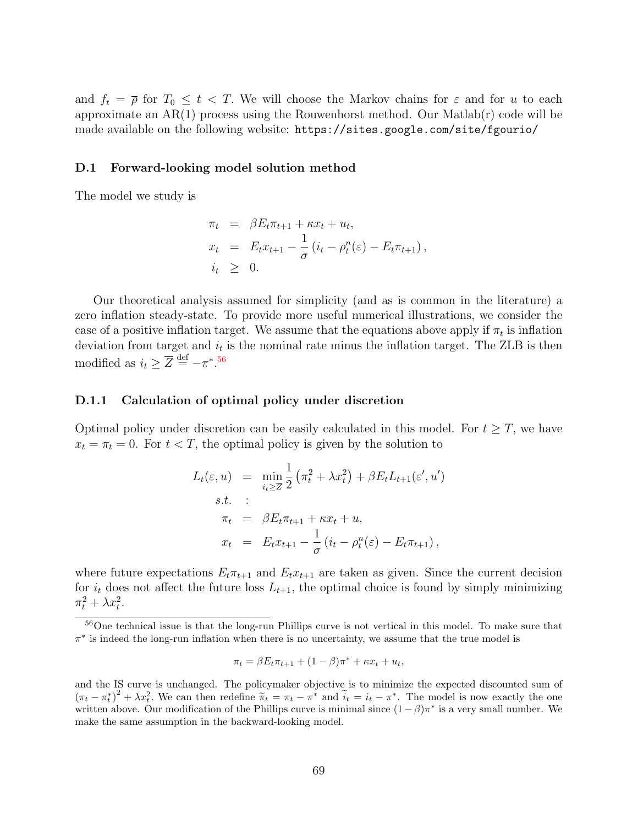and  $f_t = \overline{\rho}$  for  $T_0 \leq t < T$ . We will choose the Markov chains for  $\varepsilon$  and for u to each approximate an  $AR(1)$  process using the Rouwenhorst method. Our Matlab $(r)$  code will be made available on the following website: https://sites.google.com/site/fgourio/

## D.1 Forward-looking model solution method

The model we study is

$$
\pi_t = \beta E_t \pi_{t+1} + \kappa x_t + u_t,
$$
  
\n
$$
x_t = E_t x_{t+1} - \frac{1}{\sigma} (i_t - \rho_t^n(\varepsilon) - E_t \pi_{t+1}),
$$
  
\n
$$
i_t \geq 0.
$$

Our theoretical analysis assumed for simplicity (and as is common in the literature) a zero inflation steady-state. To provide more useful numerical illustrations, we consider the case of a positive inflation target. We assume that the equations above apply if  $\pi_t$  is inflation deviation from target and  $i_t$  is the nominal rate minus the inflation target. The ZLB is then modified as  $i_t \geq \overline{Z} \stackrel{\text{def}}{=} -\pi^*$ .<sup>[56](#page-0-0)</sup>

## D.1.1 Calculation of optimal policy under discretion

Optimal policy under discretion can be easily calculated in this model. For  $t \geq T$ , we have  $x_t = \pi_t = 0$ . For  $t < T$ , the optimal policy is given by the solution to

$$
L_t(\varepsilon, u) = \min_{i_t \geq \overline{Z}} \frac{1}{2} \left( \pi_t^2 + \lambda x_t^2 \right) + \beta E_t L_{t+1}(\varepsilon', u')
$$
  
s.t. :  

$$
\pi_t = \beta E_t \pi_{t+1} + \kappa x_t + u,
$$
  

$$
x_t = E_t x_{t+1} - \frac{1}{\sigma} \left( i_t - \rho_t^n(\varepsilon) - E_t \pi_{t+1} \right),
$$

where future expectations  $E_t \pi_{t+1}$  and  $E_t x_{t+1}$  are taken as given. Since the current decision for  $i_t$  does not affect the future loss  $L_{t+1}$ , the optimal choice is found by simply minimizing  $\pi_t^2 + \lambda x_t^2$ .

$$
\pi_t = \beta E_t \pi_{t+1} + (1 - \beta)\pi^* + \kappa x_t + u_t,
$$

<sup>56</sup>One technical issue is that the long-run Phillips curve is not vertical in this model. To make sure that  $\pi^*$  is indeed the long-run inflation when there is no uncertainty, we assume that the true model is

and the IS curve is unchanged. The policymaker objective is to minimize the expected discounted sum of  $(\pi_t - \pi_t^*)^2 + \lambda x_t^2$ . We can then redefine  $\tilde{\pi}_t = \pi_t - \pi^*$  and  $\tilde{i}_t = i_t - \pi^*$ . The model is now exactly the one written above. Our modification of the Phillips curve is minimal since  $(1 - \beta)\pi^*$  is a very small number. We make the same assumption in the backward-looking model.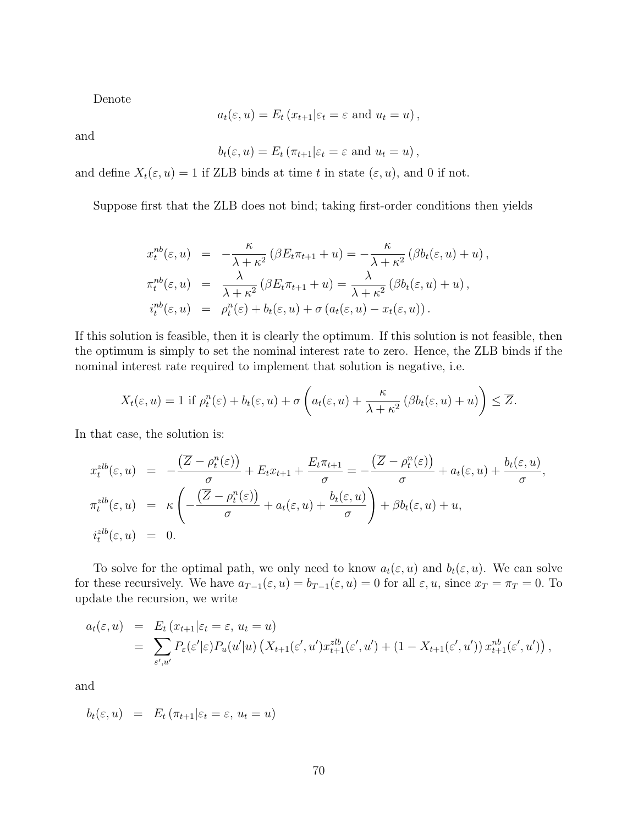Denote

$$
a_t(\varepsilon, u) = E_t(x_{t+1}|\varepsilon_t = \varepsilon
$$
 and  $u_t = u)$ ,

and

$$
b_t(\varepsilon, u) = E_t \left( \pi_{t+1} | \varepsilon_t = \varepsilon \text{ and } u_t = u \right),\,
$$

and define  $X_t(\varepsilon, u) = 1$  if ZLB binds at time t in state  $(\varepsilon, u)$ , and 0 if not.

Suppose first that the ZLB does not bind; taking first-order conditions then yields

$$
x_t^{nb}(\varepsilon, u) = -\frac{\kappa}{\lambda + \kappa^2} (\beta E_t \pi_{t+1} + u) = -\frac{\kappa}{\lambda + \kappa^2} (\beta b_t(\varepsilon, u) + u),
$$
  
\n
$$
\pi_t^{nb}(\varepsilon, u) = \frac{\lambda}{\lambda + \kappa^2} (\beta E_t \pi_{t+1} + u) = \frac{\lambda}{\lambda + \kappa^2} (\beta b_t(\varepsilon, u) + u),
$$
  
\n
$$
i_t^{nb}(\varepsilon, u) = \rho_t^n(\varepsilon) + b_t(\varepsilon, u) + \sigma (a_t(\varepsilon, u) - x_t(\varepsilon, u)).
$$

If this solution is feasible, then it is clearly the optimum. If this solution is not feasible, then the optimum is simply to set the nominal interest rate to zero. Hence, the ZLB binds if the nominal interest rate required to implement that solution is negative, i.e.

$$
X_t(\varepsilon, u) = 1 \text{ if } \rho_t^n(\varepsilon) + b_t(\varepsilon, u) + \sigma \left( a_t(\varepsilon, u) + \frac{\kappa}{\lambda + \kappa^2} \left( \beta b_t(\varepsilon, u) + u \right) \right) \leq \overline{Z}.
$$

In that case, the solution is:

$$
x_t^{zlb}(\varepsilon, u) = -\frac{(\overline{Z} - \rho_t^n(\varepsilon))}{\sigma} + E_t x_{t+1} + \frac{E_t \pi_{t+1}}{\sigma} = -\frac{(\overline{Z} - \rho_t^n(\varepsilon))}{\sigma} + a_t(\varepsilon, u) + \frac{b_t(\varepsilon, u)}{\sigma},
$$
  

$$
\pi_t^{zlb}(\varepsilon, u) = \kappa \left( -\frac{(\overline{Z} - \rho_t^n(\varepsilon))}{\sigma} + a_t(\varepsilon, u) + \frac{b_t(\varepsilon, u)}{\sigma} \right) + \beta b_t(\varepsilon, u) + u,
$$
  

$$
i_t^{zlb}(\varepsilon, u) = 0.
$$

To solve for the optimal path, we only need to know  $a_t(\varepsilon, u)$  and  $b_t(\varepsilon, u)$ . We can solve for these recursively. We have  $a_{T-1}(\varepsilon, u) = b_{T-1}(\varepsilon, u) = 0$  for all  $\varepsilon, u$ , since  $x_T = \pi_T = 0$ . To update the recursion, we write

$$
a_t(\varepsilon, u) = E_t(x_{t+1}|\varepsilon_t = \varepsilon, u_t = u)
$$
  
= 
$$
\sum_{\varepsilon', u'} P_{\varepsilon}(\varepsilon'|\varepsilon) P_u(u'|u) \left( X_{t+1}(\varepsilon', u') x_{t+1}^{zlb}(\varepsilon', u') + (1 - X_{t+1}(\varepsilon', u')) x_{t+1}^{nb}(\varepsilon', u') \right),
$$

and

$$
b_t(\varepsilon, u) = E_t(\pi_{t+1}|\varepsilon_t = \varepsilon, u_t = u)
$$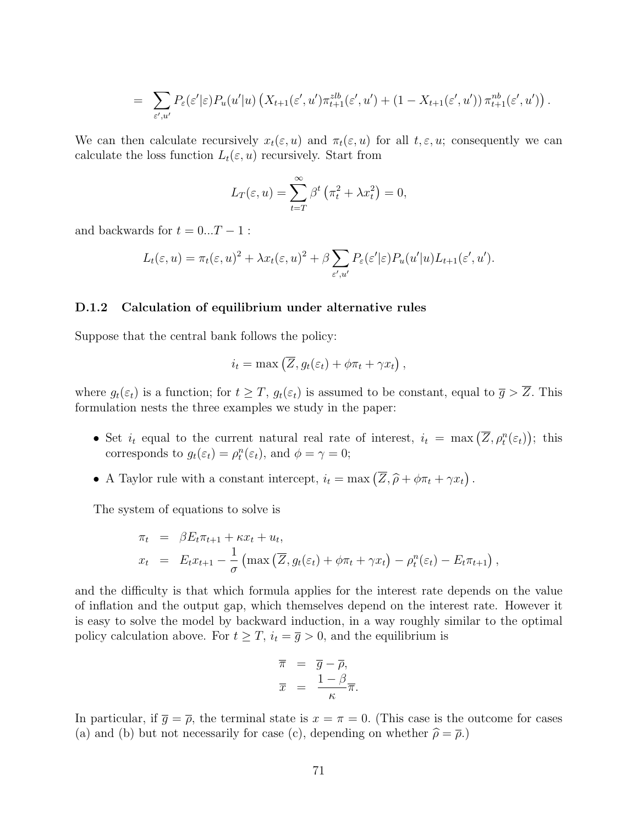$$
= \sum_{\varepsilon',u'} P_{\varepsilon}(\varepsilon'|\varepsilon) P_u(u'|u) \left( X_{t+1}(\varepsilon',u') \pi_{t+1}^{zlb}(\varepsilon',u') + (1 - X_{t+1}(\varepsilon',u')) \pi_{t+1}^{nb}(\varepsilon',u') \right).
$$

We can then calculate recursively  $x_t(\varepsilon, u)$  and  $\pi_t(\varepsilon, u)$  for all  $t, \varepsilon, u$ ; consequently we can calculate the loss function  $L_t(\varepsilon, u)$  recursively. Start from

$$
L_T(\varepsilon, u) = \sum_{t=T}^{\infty} \beta^t \left( \pi_t^2 + \lambda x_t^2 \right) = 0,
$$

and backwards for  $t = 0...T - 1$ :

$$
L_t(\varepsilon, u) = \pi_t(\varepsilon, u)^2 + \lambda x_t(\varepsilon, u)^2 + \beta \sum_{\varepsilon', u'} P_{\varepsilon}(\varepsilon' | \varepsilon) P_u(u' | u) L_{t+1}(\varepsilon', u').
$$

## D.1.2 Calculation of equilibrium under alternative rules

Suppose that the central bank follows the policy:

$$
i_t = \max(\overline{Z}, g_t(\varepsilon_t) + \phi \pi_t + \gamma x_t),
$$

where  $g_t(\varepsilon_t)$  is a function; for  $t \geq T$ ,  $g_t(\varepsilon_t)$  is assumed to be constant, equal to  $\overline{g} > \overline{Z}$ . This formulation nests the three examples we study in the paper:

- Set  $i_t$  equal to the current natural real rate of interest,  $i_t = \max(\overline{Z}, \rho_t^n(\varepsilon_t));$  this corresponds to  $g_t(\varepsilon_t) = \rho_t^n(\varepsilon_t)$ , and  $\phi = \gamma = 0$ ;
- A Taylor rule with a constant intercept,  $i_t = \max(\overline{Z}, \widehat{\rho} + \phi \pi_t + \gamma x_t)$ .

The system of equations to solve is

$$
\pi_t = \beta E_t \pi_{t+1} + \kappa x_t + u_t,
$$
  
\n
$$
x_t = E_t x_{t+1} - \frac{1}{\sigma} \left( \max \left( \overline{Z}, g_t(\varepsilon_t) + \phi \pi_t + \gamma x_t \right) - \rho_t^n(\varepsilon_t) - E_t \pi_{t+1} \right),
$$

and the difficulty is that which formula applies for the interest rate depends on the value of inflation and the output gap, which themselves depend on the interest rate. However it is easy to solve the model by backward induction, in a way roughly similar to the optimal policy calculation above. For  $t \geq T$ ,  $i_t = \overline{g} > 0$ , and the equilibrium is

$$
\overline{\pi} = \overline{g} - \overline{\rho}, \n\overline{x} = \frac{1 - \beta}{\kappa} \overline{\pi}.
$$

In particular, if  $\bar{g} = \bar{\rho}$ , the terminal state is  $x = \pi = 0$ . (This case is the outcome for cases (a) and (b) but not necessarily for case (c), depending on whether  $\hat{\rho} = \overline{\rho}$ .)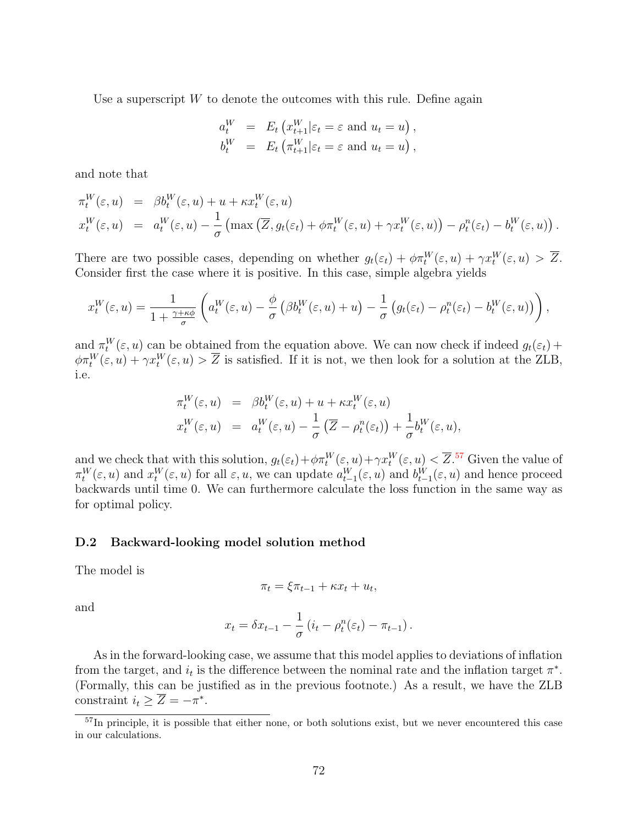Use a superscript  $W$  to denote the outcomes with this rule. Define again

$$
a_t^W = E_t \left( x_{t+1}^W | \varepsilon_t = \varepsilon \text{ and } u_t = u \right),
$$
  
\n
$$
b_t^W = E_t \left( \pi_{t+1}^W | \varepsilon_t = \varepsilon \text{ and } u_t = u \right),
$$

and note that

$$
\pi_t^W(\varepsilon, u) = \beta b_t^W(\varepsilon, u) + u + \kappa x_t^W(\varepsilon, u) \n x_t^W(\varepsilon, u) = a_t^W(\varepsilon, u) - \frac{1}{\sigma} \left( \max \left( \overline{Z}, g_t(\varepsilon_t) + \phi \pi_t^W(\varepsilon, u) + \gamma x_t^W(\varepsilon, u) \right) - \rho_t^n(\varepsilon_t) - b_t^W(\varepsilon, u) \right).
$$

There are two possible cases, depending on whether  $g_t(\varepsilon_t) + \phi \pi_t^W(\varepsilon, u) + \gamma x_t^W(\varepsilon, u) > \overline{Z}$ . Consider first the case where it is positive. In this case, simple algebra yields

$$
x_t^W(\varepsilon, u) = \frac{1}{1 + \frac{\gamma + \kappa \phi}{\sigma}} \left( a_t^W(\varepsilon, u) - \frac{\phi}{\sigma} \left( \beta b_t^W(\varepsilon, u) + u \right) - \frac{1}{\sigma} \left( g_t(\varepsilon_t) - \rho_t^n(\varepsilon_t) - b_t^W(\varepsilon, u) \right) \right),
$$

and  $\pi_t^W(\varepsilon, u)$  can be obtained from the equation above. We can now check if indeed  $g_t(\varepsilon_t)$  +  $\phi\pi_t^W(\varepsilon, u) + \gamma x_t^W(\varepsilon, u) > \overline{Z}$  is satisfied. If it is not, we then look for a solution at the ZLB, i.e.

$$
\pi_t^W(\varepsilon, u) = \beta b_t^W(\varepsilon, u) + u + \kappa x_t^W(\varepsilon, u) \n x_t^W(\varepsilon, u) = a_t^W(\varepsilon, u) - \frac{1}{\sigma} (\overline{Z} - \rho_t^n(\varepsilon_t)) + \frac{1}{\sigma} b_t^W(\varepsilon, u),
$$

and we check that with this solution,  $g_t(\varepsilon_t) + \phi \pi_t^W(\varepsilon, u) + \gamma x_t^W(\varepsilon, u) < \overline{Z}$ .<sup>[57](#page-0-0)</sup> Given the value of  $\pi_t^W(\varepsilon, u)$  and  $x_t^W(\varepsilon, u)$  for all  $\varepsilon, u$ , we can update  $a_{t-1}^W(\varepsilon, u)$  and  $b_{t-1}^W(\varepsilon, u)$  and hence proceed backwards until time 0. We can furthermore calculate the loss function in the same way as for optimal policy.

## D.2 Backward-looking model solution method

The model is

$$
\pi_t = \xi \pi_{t-1} + \kappa x_t + u_t,
$$

and

$$
x_t = \delta x_{t-1} - \frac{1}{\sigma} \left( i_t - \rho_t^n(\varepsilon_t) - \pi_{t-1} \right).
$$

As in the forward-looking case, we assume that this model applies to deviations of inflation from the target, and  $i_t$  is the difference between the nominal rate and the inflation target  $\pi^*$ . (Formally, this can be justified as in the previous footnote.) As a result, we have the ZLB constraint  $i_t \geq \overline{Z} = -\pi^*$ .

<sup>57</sup>In principle, it is possible that either none, or both solutions exist, but we never encountered this case in our calculations.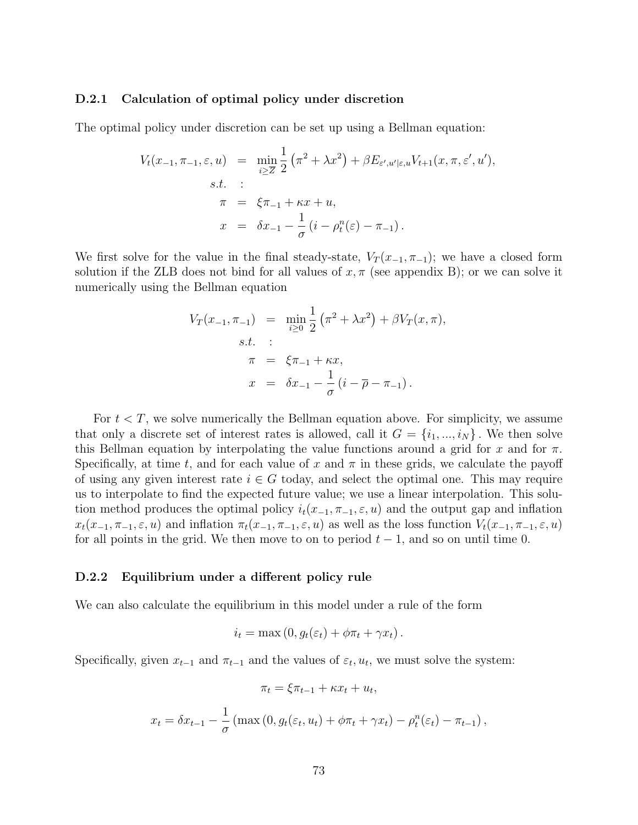## D.2.1 Calculation of optimal policy under discretion

The optimal policy under discretion can be set up using a Bellman equation:

$$
V_t(x_{-1}, \pi_{-1}, \varepsilon, u) = \min_{i \geq \overline{Z}} \frac{1}{2} (\pi^2 + \lambda x^2) + \beta E_{\varepsilon', u' | \varepsilon, u} V_{t+1}(x, \pi, \varepsilon', u'),
$$
  
s.t. :  

$$
\pi = \xi \pi_{-1} + \kappa x + u,
$$
  

$$
x = \delta x_{-1} - \frac{1}{\sigma} (i - \rho_t^n(\varepsilon) - \pi_{-1}).
$$

We first solve for the value in the final steady-state,  $V_T(x_{-1}, \pi_{-1})$ ; we have a closed form solution if the ZLB does not bind for all values of  $x, \pi$  (see appendix B); or we can solve it numerically using the Bellman equation

$$
V_T(x_{-1}, \pi_{-1}) = \min_{i \ge 0} \frac{1}{2} (\pi^2 + \lambda x^2) + \beta V_T(x, \pi),
$$
  
s.t. :  

$$
\pi = \xi \pi_{-1} + \kappa x,
$$
  

$$
x = \delta x_{-1} - \frac{1}{\sigma} (i - \overline{\rho} - \pi_{-1}).
$$

For  $t < T$ , we solve numerically the Bellman equation above. For simplicity, we assume that only a discrete set of interest rates is allowed, call it  $G = \{i_1, ..., i_N\}$ . We then solve this Bellman equation by interpolating the value functions around a grid for x and for  $\pi$ . Specifically, at time t, and for each value of x and  $\pi$  in these grids, we calculate the payoff of using any given interest rate  $i \in G$  today, and select the optimal one. This may require us to interpolate to find the expected future value; we use a linear interpolation. This solution method produces the optimal policy  $i_t(x_{-1}, \pi_{-1}, \varepsilon, u)$  and the output gap and inflation  $x_t(x_{-1}, \pi_{-1}, \varepsilon, u)$  and inflation  $\pi_t(x_{-1}, \pi_{-1}, \varepsilon, u)$  as well as the loss function  $V_t(x_{-1}, \pi_{-1}, \varepsilon, u)$ for all points in the grid. We then move to on to period  $t-1$ , and so on until time 0.

## D.2.2 Equilibrium under a different policy rule

We can also calculate the equilibrium in this model under a rule of the form

$$
i_t = \max(0, g_t(\varepsilon_t) + \phi \pi_t + \gamma x_t).
$$

Specifically, given  $x_{t-1}$  and  $\pi_{t-1}$  and the values of  $\varepsilon_t$ ,  $u_t$ , we must solve the system:

$$
\pi_t = \xi \pi_{t-1} + \kappa x_t + u_t,
$$
  

$$
x_t = \delta x_{t-1} - \frac{1}{\sigma} (\max(0, g_t(\varepsilon_t, u_t) + \phi \pi_t + \gamma x_t) - \rho_t^n(\varepsilon_t) - \pi_{t-1}),
$$